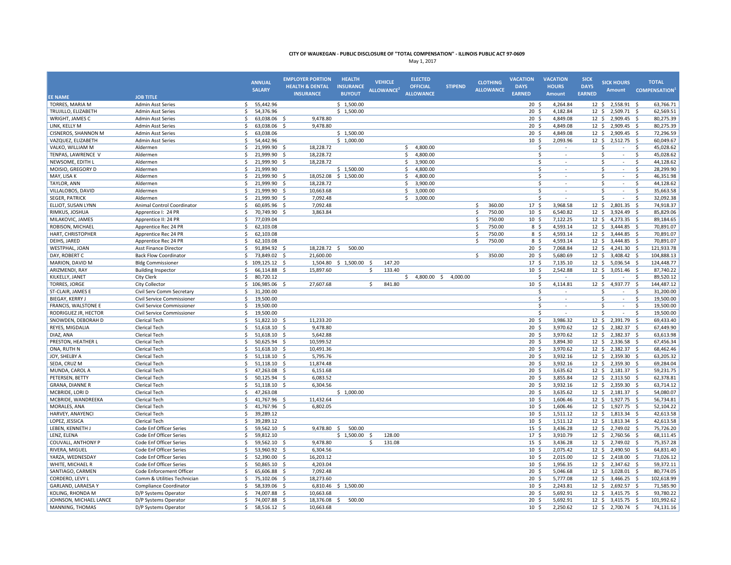|                        |                              | <b>ANNUAL</b><br><b>SALARY</b> | <b>EMPLOYER PORTION</b><br><b>HEALTH &amp; DENTAL</b><br><b>INSURANCE</b> | <b>HEALTH</b><br><b>INSURANCE</b><br><b>BUYOUT</b> | <b>VEHICLE</b><br>ALLOWANCE <sup>2</sup> | <b>ELECTED</b><br><b>OFFICIAL</b><br><b>ALLOWANCE</b> | <b>STIPEND</b>       | <b>CLOTHING</b><br><b>ALLOWANCE</b> | <b>VACATION</b><br><b>DAYS</b><br><b>EARNED</b> | <b>VACATION</b><br><b>HOURS</b><br><b>Amount</b> | <b>SICK</b><br><b>DAYS</b><br><b>EARNED</b> | <b>SICK HOURS</b><br><b>Amount</b>             | <b>TOTAL</b><br><b>COMPENSATION</b> |
|------------------------|------------------------------|--------------------------------|---------------------------------------------------------------------------|----------------------------------------------------|------------------------------------------|-------------------------------------------------------|----------------------|-------------------------------------|-------------------------------------------------|--------------------------------------------------|---------------------------------------------|------------------------------------------------|-------------------------------------|
| <b>EE NAME</b>         | <b>JOB TITLE</b>             |                                |                                                                           |                                                    |                                          |                                                       |                      |                                     |                                                 |                                                  |                                             |                                                |                                     |
| TORRES, MARIA M        | <b>Admin Asst Series</b>     | 55,442.96<br>\$                |                                                                           | \$1,500.00                                         |                                          |                                                       |                      |                                     | 20 <sup>5</sup>                                 | 4,264.84                                         |                                             | 12 \$ 2,558.91 \$                              | 63,766.71                           |
| TRUJILLO, ELIZABETH    | <b>Admin Asst Series</b>     | 54,376.96<br>Ŝ.                |                                                                           | \$1,500.00                                         |                                          |                                                       |                      |                                     | 20 <sup>5</sup>                                 | 4,182.84                                         |                                             | 12 \$ 2,509.71                                 | 62,569.51<br>- S                    |
| WRIGHT. JAMES C        | <b>Admin Asst Series</b>     | 63,038.06<br>\$                | 9.478.80<br>-S                                                            |                                                    |                                          |                                                       |                      |                                     | 20 <sub>5</sub>                                 | 4.849.08                                         | 12 <sup>5</sup>                             | 2,909.45                                       | 80.275.39<br>- Ś                    |
| LINK, KELLY M          | <b>Admin Asst Series</b>     | \$<br>63,038.06                | 9,478.80<br>∫ <                                                           |                                                    |                                          |                                                       |                      |                                     | 20 <sup>5</sup>                                 | 4,849.08                                         | 12 <sup>5</sup>                             | 2,909.45                                       | 80,275.39<br>- \$                   |
| CISNEROS, SHANNON M    | <b>Admin Asst Series</b>     | \$<br>63,038.06                |                                                                           | \$1,500.00                                         |                                          |                                                       |                      |                                     | 20 <sup>5</sup>                                 | 4,849.08                                         | $12 \quad$                                  | 2,909.45                                       | 72,296.59<br>- \$                   |
| VAZQUEZ, ELIZABETH     | <b>Admin Asst Series</b>     | \$<br>54,442.96                |                                                                           | \$1,000.00                                         |                                          |                                                       |                      |                                     | 10 <sup>5</sup>                                 | 2,093.96                                         | $12 \quad$                                  | 2,512.75 \$                                    | 60,049.67                           |
| VALKO, WILLIAM M       | Aldermen                     | Ś<br>21,999.90                 | 18,228.72                                                                 |                                                    |                                          | \$<br>4,800.00                                        |                      |                                     |                                                 | Ś                                                |                                             | Ś                                              | <sub>S</sub><br>45,028.62           |
| TENPAS, LAWRENCE V     | Aldermen                     | 21,999.90<br>\$                | 18,228.72<br>- Ś                                                          |                                                    |                                          | 4,800.00<br>\$                                        |                      |                                     |                                                 | Ś<br>$\sim$                                      |                                             | Ś<br>$\sim$                                    | -S<br>45,028.62                     |
| NEWSOME, EDITH I       | Aldermen                     | \$<br>21,999.90                | 18,228.72<br>Ŝ.                                                           |                                                    |                                          | \$<br>3,900.00                                        |                      |                                     |                                                 | Ś                                                |                                             | Ś<br>÷                                         | <sub>S</sub><br>44,128.62           |
| MOISIO, GREGORY D      | Aldermen                     | \$<br>21,999.90                |                                                                           | \$1,500.00                                         |                                          | \$<br>4,800.00                                        |                      |                                     |                                                 | \$                                               |                                             | Ś<br>$\sim$                                    | \$<br>28,299.90                     |
| MAY, LISA K            | Aldermen                     | \$<br>21,999.90                | - \$                                                                      | 18,052.08 \$ 1,500.00                              |                                          | \$<br>4,800.00                                        |                      |                                     |                                                 | Ś.                                               |                                             | Ś<br>$\sim$                                    | 46,351.98<br>-\$                    |
| <b>TAYLOR, ANN</b>     | Aldermen                     | \$<br>21,999.90 \$             | 18,228.72                                                                 |                                                    |                                          | \$<br>3,900.00                                        |                      |                                     |                                                 | Ś.                                               |                                             | Ś<br>$\sim$                                    | 44,128.62<br>-S                     |
| VILLALOBOS, DAVID      | Aldermen                     | 21,999.90<br>\$                | - Ś<br>10,663.68                                                          |                                                    |                                          | \$<br>3,000.00                                        |                      |                                     |                                                 | $\mathsf{s}$<br>$\sim$                           |                                             | Š.<br>÷.                                       | 35,663.58<br>-Ś                     |
| <b>SEGER, PATRICK</b>  | Aldermen                     | \$<br>21,999.90                | 7,092.48<br>- S                                                           |                                                    |                                          | \$<br>3,000.00                                        |                      |                                     |                                                 | \$                                               |                                             | $\mathsf{\hat{S}}$<br>$\overline{\phantom{a}}$ | <sup>\$</sup><br>32,092.38          |
| ELLIOT, SUSAN LYNN     | Animal Control Coordinator   | 60,695.96 \$<br>Ŝ.             | 7.092.48                                                                  |                                                    |                                          |                                                       |                      | 360.00<br>Ŝ.                        | 17 <sub>5</sub>                                 | 3,968.58                                         | 12 <sup>5</sup>                             | 2,801.35                                       | 74,918.37<br>- Ś                    |
| RIMKUS, JOSHUA         | Apprentice I: 24 PR          | Š.<br>70,749.90                | 3,863.84<br><sub>S</sub>                                                  |                                                    |                                          |                                                       |                      | 750.00<br>Ŝ.                        | 10 <sup>5</sup>                                 | 6,540.82                                         | $12 \; \text{S}$                            | 3,924.49                                       | 85,829.06<br>- 5                    |
| MILAKOVIC, JAMES       | Apprentice II: 24 PR         | \$<br>77,039.04                |                                                                           |                                                    |                                          |                                                       |                      | 750.00<br>Ŝ.                        | 10 <sup>5</sup>                                 | 7,122.25                                         | $12 \quad$                                  | 4,273.35 \$                                    | 89,184.65                           |
| ROBISON, MICHAEL       | Apprentice Rec 24 PR         | \$<br>62,103.08                |                                                                           |                                                    |                                          |                                                       |                      | 750.00                              | 8 \$                                            | 4,593.14                                         | 12 <sup>5</sup>                             | 3,444.85                                       | 70,891.07<br>- \$                   |
| HART, CHRISTOPHER      | Apprentice Rec 24 PR         | \$<br>62,103.08                |                                                                           |                                                    |                                          |                                                       |                      | 750.00<br>Ŝ.                        | 8 \$                                            | 4,593.14                                         | $12 \quad$                                  | 3,444.85 \$                                    | 70,891.07                           |
| DEIHS, JARED           | Apprentice Rec 24 PR         | Ś<br>62,103.08                 |                                                                           |                                                    |                                          |                                                       |                      | <b>S</b><br>750.00                  | 8 \$                                            | 4,593.14                                         | 12 <sup>5</sup>                             | 3,444.85                                       | 70,891.07<br>- s                    |
| WESTPHAL, JOAN         | Asst Finance Director        | 91,894.92 \$<br>\$             | 18,228.72 \$                                                              | 500.00                                             |                                          |                                                       |                      |                                     | 20 <sup>5</sup>                                 | 7,068.84                                         | $12 \quad$                                  | 4,241.30 \$                                    | 121,933.78                          |
| DAY, ROBERT C          | <b>Back Flow Coordinator</b> | \$<br>73,849.02                | 21.600.00<br>- S                                                          |                                                    |                                          |                                                       |                      | Ŝ.<br>350.00                        | $20 \div$                                       | 5,680.69                                         | $12 \div$                                   | 3,408.42 \$                                    | 104,888.13                          |
| MARION, DAVID M        | <b>Bldg Commissioner</b>     | \$<br>109,125.12 \$            |                                                                           | 1,504.80 \$ 1,500.00 \$                            | 147.20                                   |                                                       |                      |                                     | 17 <sup>5</sup>                                 | 7,135.10                                         |                                             | 12 \$ 5,036.54 \$                              | 124,448.77                          |
| ARIZMENDI, RAY         | <b>Building Inspector</b>    | \$<br>66,114.88                | - \$<br>15,897.60                                                         |                                                    | 133.40<br>\$                             |                                                       |                      |                                     | 10 <sup>5</sup>                                 | 2,542.88                                         |                                             | 12 \$ 3,051.46 \$                              | 87,740.22                           |
| KILKELLY, JANET        | City Clerk                   | 80,720.12<br>Ś                 |                                                                           |                                                    |                                          | \$                                                    | 4,800.00 \$ 4,000.00 |                                     |                                                 | Ś                                                |                                             | Ś                                              | 89,520.12<br>-Ś                     |
| <b>TORRES, JORGE</b>   | City Collector               | \$<br>106,985.06               | 27,607.68<br>-S                                                           |                                                    | \$<br>841.80                             |                                                       |                      |                                     | 10 <sup>5</sup>                                 | 4,114.81                                         | 12 <sup>5</sup>                             | 4,937.77 \$                                    | 144,487.12                          |
| ST-CLAIR, JAMES E      | Civil Serv Comm Secretary    | Ś.<br>31,200.00                |                                                                           |                                                    |                                          |                                                       |                      |                                     |                                                 | Ś                                                |                                             | Ś                                              | 31,200.00<br>Ŝ.                     |
| BIEGAY, KERRY J        | Civil Service Commissioner   | Ś.<br>19,500.00                |                                                                           |                                                    |                                          |                                                       |                      |                                     |                                                 | $\mathsf{s}$<br>$\sim$                           |                                             | .S<br>$\sim$                                   | -Ś<br>19,500.00                     |
| FRANCIS, WALSTONE E    | Civil Service Commissioner   | Ś<br>19,500.00                 |                                                                           |                                                    |                                          |                                                       |                      |                                     |                                                 | Ś                                                |                                             | Ś<br>÷                                         | 19,500.00<br>Ŝ                      |
| RODRIGUEZ JR, HECTOR   | Civil Service Commissioner   | 19,500.00<br>\$                |                                                                           |                                                    |                                          |                                                       |                      |                                     |                                                 | Ś                                                |                                             | Ś                                              | 19,500.00<br>Ŝ                      |
| SNOWDEN, DEBORAH D     | <b>Clerical Tech</b>         | \$<br>51,822.10                | 11,233.20<br>-\$                                                          |                                                    |                                          |                                                       |                      |                                     | 20 <sub>5</sub>                                 | 3,986.32                                         |                                             | 12 \$ 2,391.79                                 | 69,433.40<br>- \$                   |
| REYES, MIGDALIA        | <b>Clerical Tech</b>         | \$<br>51,618.10 \$             | 9,478.80                                                                  |                                                    |                                          |                                                       |                      |                                     | 20 <sub>5</sub>                                 | 3,970.62                                         | 12 <sup>5</sup>                             | 2,382.37                                       | S.<br>67,449.90                     |
| DIAZ, ANA              | Clerical Tech                | \$<br>51,618.10                | 5,642.88<br>- \$                                                          |                                                    |                                          |                                                       |                      |                                     | 20 <sup>5</sup>                                 | 3,970.62                                         | $12 \cdot 5$                                | 2,382.37                                       | - \$<br>63,613.98                   |
| PRESTON, HEATHER L     | Clerical Tech                | \$<br>50,625.94 \$             | 10,599.52                                                                 |                                                    |                                          |                                                       |                      |                                     | $20 \frac{2}{3}$                                | 3,894.30                                         |                                             | 12 \$ 2,336.58 \$                              | 67,456.34                           |
| ONA, RUTH N            | Clerical Tech                | \$<br>51,618.10 \$             | 10,491.36                                                                 |                                                    |                                          |                                                       |                      |                                     | 20 <sup>5</sup>                                 | 3,970.62                                         | $12 \cdot 5$                                | 2,382.37 \$                                    | 68,462.46                           |
| JOY, SHELBY A          | <b>Clerical Tech</b>         | \$<br>51,118.10 \$             | 5,795.76                                                                  |                                                    |                                          |                                                       |                      |                                     | 20 <sup>5</sup>                                 | 3,932.16                                         | $12 \quad$                                  | 2,359.30                                       | 63,205.32<br>- \$                   |
| SEDA, CRUZ M           | <b>Clerical Tech</b>         | \$<br>51,118.10                | - \$<br>11,874.48                                                         |                                                    |                                          |                                                       |                      |                                     | 20 <sub>5</sub>                                 | 3,932.16                                         | $12 \quad$                                  | 2,359.30 \$                                    | 69,284.04                           |
| MUNDA, CAROL A         | <b>Clerical Tech</b>         | Ś<br>47,263.08                 | Ŝ.<br>6,151.68                                                            |                                                    |                                          |                                                       |                      |                                     | 20 <sub>5</sub>                                 | 3,635.62                                         | $12 \quad$                                  | 2,181.37 \$                                    | 59,231.75                           |
| PETERSEN, BETTY        | <b>Clerical Tech</b>         | 50,125.94 \$<br>\$             | 6,083.52                                                                  |                                                    |                                          |                                                       |                      |                                     | 20 <sup>5</sup>                                 | 3,855.84                                         | $12 \quad$                                  | 2,313.50 \$                                    | 62,378.81                           |
| GRANA, DIANNE R        | Clerical Tech                | Ś.<br>51,118.10                | 6,304.56<br>-Ś                                                            |                                                    |                                          |                                                       |                      |                                     | 20 <sup>5</sup>                                 | 3,932.16                                         | 12 <sup>5</sup>                             | 2,359.30                                       | 63,714.12<br>- Ś                    |
| MCBRIDE, LORI D        | Clerical Tech                | \$<br>47,263.08                |                                                                           | \$1,000.00                                         |                                          |                                                       |                      |                                     | $20 \frac{2}{3}$                                | 3,635.62                                         | $12 \div$                                   | 2,181.37 \$                                    | 54,080.07                           |
| MCBRIDE, WANDREEKA     | <b>Clerical Tech</b>         | \$<br>41,767.96                | 11,432.64<br>-\$                                                          |                                                    |                                          |                                                       |                      |                                     | $10 \;$ \$                                      | 1,606.46                                         | $12 \div$                                   | 1,927.75                                       | 56,734.81<br>- \$                   |
| MORALES, ANA           | <b>Clerical Tech</b>         | 41,767.96 \$<br>\$             | 6,802.05                                                                  |                                                    |                                          |                                                       |                      |                                     | 10 <sup>5</sup>                                 | 1,606.46                                         |                                             | 12 \$ 1,927.75 \$                              | 52,104.22                           |
| HARVEY, ANAYENCI       | Clerical Tech                | \$<br>39,289.12                |                                                                           |                                                    |                                          |                                                       |                      |                                     | 10 <sup>5</sup>                                 | 1,511.12                                         |                                             | 12 \$ 1,813.34 \$                              | 42,613.58                           |
| LOPEZ, JESSICA         | <b>Clerical Tech</b>         | \$<br>39,289.12                |                                                                           |                                                    |                                          |                                                       |                      |                                     | 10 <sub>5</sub>                                 | 1,511.12                                         |                                             | 12 \$ 1,813.34 \$                              | 42,613.58                           |
| LEBEN, KENNETH J       | Code Enf Officer Series      | 59,562.10<br>Ŝ.                | 9.478.80<br>-S                                                            | - Ś<br>500.00                                      |                                          |                                                       |                      |                                     | 15 <sup>5</sup>                                 | 3,436.28                                         |                                             | 12 \$ 2,749.02                                 | 75,726.20<br>- \$                   |
| LENZ, ELENA            | Code Enf Officer Series      | \$<br>59,812.10                |                                                                           | \$1,500.00                                         | 128.00<br>- \$                           |                                                       |                      |                                     | 17 <sup>5</sup>                                 | 3,910.79                                         | $12 \quad$                                  | 2,760.56                                       | 68,111.45<br>- \$                   |
| COUVALL, ANTHONY P     | Code Enf Officer Series      | \$<br>59,562.10                | 9,478.80                                                                  |                                                    | Ŝ.<br>131.08                             |                                                       |                      |                                     | 15 <sup>5</sup>                                 | 3,436.28                                         | $12 \quad$                                  | 2,749.02 \$                                    | 75,357.28                           |
| RIVERA, MIGUEL         | Code Enf Officer Series      | \$<br>53,960.92 \$             | 6,304.56                                                                  |                                                    |                                          |                                                       |                      |                                     | 10 <sup>5</sup>                                 | 2,075.42                                         | $12 \quad$                                  | 2,490.50 \$                                    | 64,831.40                           |
| YARZA, WEDNESDAY       | Code Enf Officer Series      | Ś.<br>52,390.00                | Ŝ.<br>16,203.12                                                           |                                                    |                                          |                                                       |                      |                                     | 10 <sup>5</sup>                                 | 2,015.00                                         | $12 \quad$                                  | 2,418.00                                       | 73,026.12<br>- Ś                    |
| WHITE, MICHAEL R       | Code Enf Officer Series      | \$<br>50,865.10                | 4,203.04<br>- \$                                                          |                                                    |                                          |                                                       |                      |                                     | 10 <sup>5</sup>                                 | 1,956.35                                         | $12 \cdot 5$                                | 2,347.62                                       | 59,372.11<br>-\$                    |
| SANTIAGO, CARMEN       | Code Enforcement Officer     | 65,606.88 \$<br>\$             | 7,092.48                                                                  |                                                    |                                          |                                                       |                      |                                     | 20 <sup>5</sup>                                 | 5,046.68                                         | $12 \quad$                                  | 3,028.01 \$                                    | 80,774.05                           |
| CORDERO, LEVY L        | Comm & Utilities Technician  | \$<br>75,102.06                | 18,273.60<br>- \$                                                         |                                                    |                                          |                                                       |                      |                                     | $20 \frac{2}{3}$                                | 5,777.08                                         | $12 \div$                                   | 3,466.25                                       | 102,618.99<br>- \$                  |
| GARLAND, LARAESA Y     | Compliance Coordinator       | \$<br>58,339.06 \$             |                                                                           | 6,810.46 \$ 1,500.00                               |                                          |                                                       |                      |                                     | 10 <sup>5</sup>                                 | 2,243.81                                         | $12 \div$                                   | 2,692.57 \$                                    | 71,585.90                           |
| KOLING, RHONDA M       | D/P Systems Operator         | \$<br>74,007.88                | 10,663.68<br>- \$                                                         |                                                    |                                          |                                                       |                      |                                     | 20 <sub>5</sub>                                 | 5,692.91                                         | $12 \div$                                   | 3,415.75                                       | 93,780.22<br>- \$                   |
| JOHNSON, MICHAEL LANCE | D/P Systems Operator         | 74,007.88 \$<br>Ś.             | 18,376.08 \$                                                              | 500.00                                             |                                          |                                                       |                      |                                     | 20 <sub>5</sub>                                 | 5,692.91                                         |                                             | 12 \$ 3,415.75 \$                              | 101,992.62                          |
| MANNING, THOMAS        | D/P Systems Operator         | Š.<br>58,516.12 \$             | 10.663.68                                                                 |                                                    |                                          |                                                       |                      |                                     | 10 <sub>5</sub>                                 | 2.250.62                                         |                                             | 12 \$ 2,700.74 \$                              | 74.131.16                           |
|                        |                              |                                |                                                                           |                                                    |                                          |                                                       |                      |                                     |                                                 |                                                  |                                             |                                                |                                     |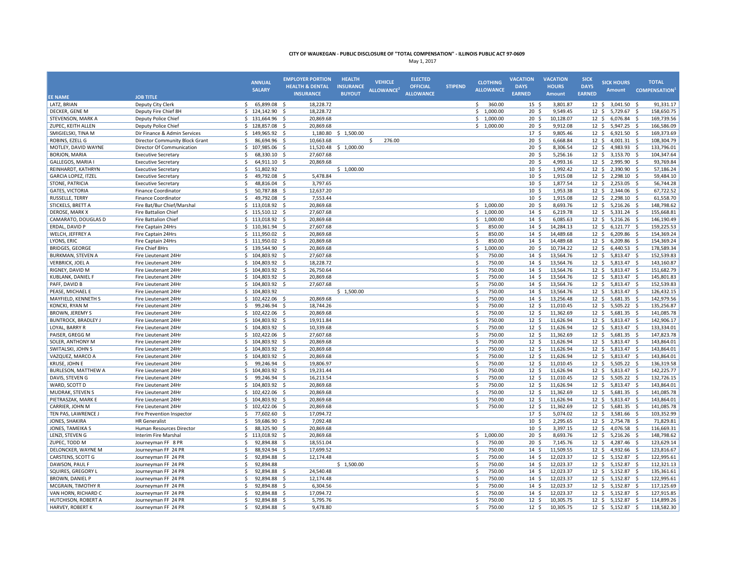|                            |                                       | <b>ANNUAL</b><br><b>SALARY</b> | <b>EMPLOYER PORTION</b><br><b>HEALTH &amp; DENTAL</b><br><b>INSURANCE</b> | <b>HEALTH</b><br><b>INSURANCE</b><br><b>BUYOUT</b> | <b>VEHICLE</b><br>ALLOWANCE <sup>2</sup> | <b>ELECTED</b><br><b>OFFICIAL</b><br><b>ALLOWANCE</b> | <b>STIPEND</b> | <b>CLOTHING</b><br><b>ALLOWANCE</b> | <b>VACATION</b><br><b>DAYS</b><br><b>EARNED</b> | <b>VACATION</b><br><b>HOURS</b><br><b>Amount</b> | <b>SICK</b><br><b>DAYS</b><br><b>EARNED</b> | <b>SICK HOURS</b><br><b>Amount</b> | <b>TOTAL</b><br><b>COMPENSATION</b> |
|----------------------------|---------------------------------------|--------------------------------|---------------------------------------------------------------------------|----------------------------------------------------|------------------------------------------|-------------------------------------------------------|----------------|-------------------------------------|-------------------------------------------------|--------------------------------------------------|---------------------------------------------|------------------------------------|-------------------------------------|
| <b>EE NAME</b>             | <b>JOB TITLE</b>                      |                                |                                                                           |                                                    |                                          |                                                       |                |                                     |                                                 |                                                  |                                             |                                    |                                     |
| LATZ, BRIAN                | Deputy City Clerk                     | 65,899.08 \$<br>\$             | 18,228.72                                                                 |                                                    |                                          |                                                       |                | 360.00<br>\$                        | $15 \; \S$                                      | 3,801.87                                         |                                             | 12 \$ 3,041.50 \$                  | 91,331.17                           |
| DECKER, GENE M             | Deputy Fire Chief 8H                  | $$124,142.90$ \$               | 18,228.72                                                                 |                                                    |                                          |                                                       |                | \$1,000.00                          | 20 <sup>5</sup>                                 | 9,549.45                                         |                                             | 12 \$ 5,729.67                     | -\$<br>158,650.75                   |
| STEVENSON, MARK A          | Deputy Police Chief                   | \$131,664.96                   | 20,869.68                                                                 |                                                    |                                          |                                                       |                | \$1,000.00                          | 20 <sup>5</sup>                                 | 10,128.07                                        |                                             | 12 \$ 6,076.84 \$                  | 169,739.56                          |
| ZUPEC, KEITH ALLEN         | Deputy Police Chief                   | \$128,857.08                   | 20,869.68<br>- \$                                                         |                                                    |                                          |                                                       |                | \$1,000.00                          | 20 <sub>5</sub>                                 | 9,912.08                                         | 12 <sup>5</sup>                             | 5,947.25 \$                        | 166,586.09                          |
| SMIGIELSKI, TINA M         | Dir Finance & Admin Services          | \$149,965.92\$                 | 1,180.80                                                                  | \$1,500.00                                         |                                          |                                                       |                |                                     | 17 <sup>5</sup>                                 | 9,805.46                                         |                                             | 12 \$ 6,921.50 \$                  | 169,373.69                          |
| ROBINS, EZELL G            | <b>Director Community Block Grant</b> | \$<br>86,694.96 \$             | 10,663.68                                                                 |                                                    | \$<br>276.00                             |                                                       |                |                                     | 20 <sub>5</sub>                                 | 6,668.84                                         | $12 \cdot 5$                                | 4,001.31 \$                        | 108,304.79                          |
| MOTLEY, DAVID WAYNE        | Director Of Communication             | \$<br>107,985.06               | - \$<br>11,520.48                                                         | \$1,000.00                                         |                                          |                                                       |                |                                     | 20 <sup>5</sup>                                 | 8,306.54                                         | $12 \cdot 5$                                | 4,983.93                           | 133,796.01<br>- \$                  |
| BORJON, MARIA              | <b>Executive Secretary</b>            | 68,330.10<br>Ŝ.                | 27,607.68<br>- S                                                          |                                                    |                                          |                                                       |                |                                     | $20 \frac{2}{3}$                                | 5,256.16                                         | $12 \div$                                   | 3,153.70 \$                        | 104,347.64                          |
| GALLEGOS, MARIA            | <b>Executive Secretary</b>            | \$<br>64,911.10                | -Ś<br>20,869.68                                                           |                                                    |                                          |                                                       |                |                                     | 20 <sup>5</sup>                                 | 4,993.16                                         | 12 <sup>5</sup>                             | 2,995.90                           | 93,769.84<br>- Ś                    |
| REINHARDT, KATHRYN         | <b>Executive Secretary</b>            | \$<br>51,802.92                |                                                                           | \$1,000.00                                         |                                          |                                                       |                |                                     | 10 <sup>5</sup>                                 | 1,992.42                                         | $12 \div$                                   | 2,390.90                           | 57,186.24<br>-\$                    |
| GARCIA LOPEZ, ITZEL        | Executive Secretary                   | \$<br>49,792.08                | 5,478.84<br>-\$                                                           |                                                    |                                          |                                                       |                |                                     | 10 <sup>5</sup>                                 | 1,915.08                                         | $12 \div$                                   | 2,298.10                           | 59,484.10<br>-\$                    |
| STONE, PATRICIA            | <b>Executive Secretary</b>            | 48,816.04 \$<br>\$             | 3,797.65                                                                  |                                                    |                                          |                                                       |                |                                     | 10 <sup>5</sup>                                 | 1,877.54                                         |                                             | 12 \$ 2,253.05 \$                  | 56,744.28                           |
| GATES, VICTORIA            | <b>Finance Coordinator</b>            | Ś.<br>50,787.88 \$             | 12,637.20                                                                 |                                                    |                                          |                                                       |                |                                     | 10 <sup>5</sup>                                 | 1,953.38                                         |                                             | 12 \$ 2,344.06 \$                  | 67,722.52                           |
| RUSSELLE, TERRY            | <b>Finance Coordinator</b>            | \$<br>49,792.08 \$             | 7,553.44                                                                  |                                                    |                                          |                                                       |                |                                     | 10 <sup>5</sup>                                 | 1,915.08                                         |                                             | 12 \$ 2,298.10 \$                  | 61,558.70                           |
| STICKELS, BRETT A          | Fire Bat/Bur Chief/Marshal            | \$113,018.92\$                 | 20,869.68                                                                 |                                                    |                                          |                                                       |                | \$1,000.00                          | 20 <sup>5</sup>                                 | 8,693.76                                         | $12 \cdot 5$                                | 5,216.26                           | -\$<br>148,798.62                   |
| DEROSE, MARK X             | <b>Fire Battalion Chief</b>           | \$115,510.12\$                 | 27,607.68                                                                 |                                                    |                                          |                                                       |                | \$1,000.00                          | 14S                                             | 6,219.78                                         |                                             | 12 \$ 5,331.24 \$                  | 155,668.81                          |
| CAMARATO, DOUGLAS D        | <b>Fire Battalion Chief</b>           | \$113,018.92\$                 | 20,869.68                                                                 |                                                    |                                          |                                                       |                | \$1,000.00                          | 14 <sub>5</sub>                                 | 6,085.63                                         | $12 \cdot 5$                                | $5,216.26$ \$                      | 146,190.49                          |
| ERDAL, DAVID P             | Fire Captain 24Hrs                    | \$110,361.94                   | - \$<br>27,607.68                                                         |                                                    |                                          |                                                       |                | 850.00<br>Š.                        | 14 <sub>5</sub>                                 | 14,284.13                                        | $12 \cdot 5$                                | $6,121.77$ \$                      | 159,225.53                          |
| WELCH, JEFFREY A           | Fire Captain 24Hrs                    | \$11,950.02                    | 20,869.68<br>- Ś                                                          |                                                    |                                          |                                                       |                | Ś.<br>850.00                        | 14S                                             | 14,489.68                                        | $12 \div$                                   | $6,209.86$ \$                      | 154,369.24                          |
| LYONS, ERIC                | Fire Captain 24Hrs                    | \$<br>111,950.02               | 20,869.68<br>-\$                                                          |                                                    |                                          |                                                       |                | 850.00<br>Ś                         | 14S                                             | 14,489.68                                        | 12 <sup>5</sup>                             | 6,209.86                           | 154,369.24<br>- Ś                   |
| <b>BRIDGES, GEORGE</b>     | Fire Chief 8Hrs                       | $$139,544.90$ \$               | 20,869.68                                                                 |                                                    |                                          |                                                       |                | \$1,000.00                          | 20 <sup>5</sup>                                 | 10,734.22                                        | $12 \div$                                   | $6,440.53$ \$                      | 178,589.34                          |
| <b>BURKMAN, STEVEN A</b>   | Fire Lieutenant 24Hr                  | \$104,803.92\$                 | 27,607.68                                                                 |                                                    |                                          |                                                       |                | \$<br>750.00                        | $14 \text{ }$                                   | 13,564.76                                        | $12 \div$                                   | 5,813.47 \$                        | 152,539.83                          |
| <b>VERBRICK, JOEL A</b>    | Fire Lieutenant 24Hr                  | \$104,803.92\$                 | 18,228.72                                                                 |                                                    |                                          |                                                       |                | \$<br>750.00                        | $14 \quad$ \$                                   | 13,564.76                                        |                                             | 12 \$ 5,813.47 \$                  | 143,160.87                          |
| RIGNEY, DAVID M            | Fire Lieutenant 24Hr                  | \$104,803.92\$                 | 26,750.64                                                                 |                                                    |                                          |                                                       |                | \$<br>750.00                        | 14S                                             | 13,564.76                                        | $12 \cdot 5$                                | 5,813.47                           | -\$<br>151,682.79                   |
| KUBLANK, DANIEL F          | Fire Lieutenant 24Hr                  | \$104,803.92\$                 | 20,869.68                                                                 |                                                    |                                          |                                                       |                | \$<br>750.00                        | 14 <sub>5</sub>                                 | 13,564.76                                        | $12 \div$                                   | 5,813.47 \$                        | 145,801.83                          |
| PAFF, DAVID B              | Fire Lieutenant 24Hr                  | \$104,803.92                   | 27,607.68<br>- S                                                          |                                                    |                                          |                                                       |                | \$<br>750.00                        | 14 <sub>5</sub>                                 | 13,564.76                                        | $12 \cdot 5$                                | 5,813.47 \$                        | 152,539.83                          |
| PEASE, MICHAEL E           | Fire Lieutenant 24Hr                  | \$104,803.92                   |                                                                           | \$1,500.00                                         |                                          |                                                       |                | \$<br>750.00                        | 14 <sub>5</sub>                                 | 13,564.76                                        |                                             | 12 \$ 5,813.47 \$                  | 126,432.15                          |
| MAYFIELD, KENNETH S        | Fire Lieutenant 24Hr                  | $$102,422.06$ \$               | 20,869.68                                                                 |                                                    |                                          |                                                       |                | Ŝ.<br>750.00                        | 14 <sub>5</sub>                                 | 13,256.48                                        |                                             | 12 \$ 5,681.35 \$                  | 142,979.56                          |
| <b>KONCKI, RYAN M</b>      | Fire Lieutenant 24Hr                  | Ŝ.<br>99,246.94                | -\$<br>18,744.26                                                          |                                                    |                                          |                                                       |                | Ś<br>750.00                         | 12 <sup>5</sup>                                 | 11,010.45                                        |                                             | 12 \$ 5,505.22                     | 135,256.87<br>- \$                  |
| <b>BROWN, JEREMY S</b>     | Fire Lieutenant 24Hr                  | \$102,422.06                   | 20,869.68<br>- Ś                                                          |                                                    |                                          |                                                       |                | 750.00<br>.S                        | 12 <sup>5</sup>                                 | 11,362.69                                        | 12 <sup>5</sup>                             | $5,681.35$ \$                      | 141,085.78                          |
| <b>BUNTROCK, BRADLEY J</b> | Fire Lieutenant 24Hr                  | \$104,803.92                   | 19,911.84<br>-\$                                                          |                                                    |                                          |                                                       |                | \$<br>750.00                        | $12 \;$ \$                                      | 11,626.94                                        | $12 \div$                                   | 5,813.47                           | 142,906.17<br>-\$                   |
| LOYAL, BARRY R             | Fire Lieutenant 24Hr                  | \$104,803.92\$                 | 10,339.68                                                                 |                                                    |                                          |                                                       |                | \$<br>750.00                        | 12 <sup>5</sup>                                 | 11,626.94                                        | $12 \div$                                   | 5,813.47                           | - \$<br>133,334.01                  |
| PAISER, GREGG M            | Fire Lieutenant 24Hr                  | \$102,422.06                   | 27,607.68<br>-\$                                                          |                                                    |                                          |                                                       |                | \$<br>750.00                        | $12 \; \text{S}$                                | 11,362.69                                        | $12 \div$                                   | 5,681.35                           | 147,823.78<br>-\$                   |
| SOLER, ANTHONY M           | Fire Lieutenant 24Hr                  | \$104,803.92\$                 | 20,869.68                                                                 |                                                    |                                          |                                                       |                | Ś<br>750.00                         | 12 <sup>5</sup>                                 | 11,626.94                                        |                                             | 12 \$ 5,813.47 \$                  | 143,864.01                          |
| SWITALSKI, JOHN S          | Fire Lieutenant 24Hr                  | \$104,803.92\$                 |                                                                           |                                                    |                                          |                                                       |                | Ŝ.<br>750.00                        | 12 <sup>5</sup>                                 | 11,626.94                                        | 12 <sup>5</sup>                             | 5,813.47 \$                        |                                     |
| VAZQUEZ, MARCO A           | Fire Lieutenant 24Hr                  | \$104,803.92\$                 | 20,869.68<br>20,869.68                                                    |                                                    |                                          |                                                       |                | \$<br>750.00                        | 12 <sup>5</sup>                                 | 11,626.94                                        | 12 <sup>5</sup>                             | 5,813.47 \$                        | 143,864.01<br>143,864.01            |
| KRUSE, JOHN E              | Fire Lieutenant 24Hr                  | \$<br>99,246.94 \$             | 19,806.97                                                                 |                                                    |                                          |                                                       |                | \$<br>750.00                        | 12 <sup>5</sup>                                 | 11,010.45                                        | $12 \cdot 5$                                | 5,505.22                           | - \$<br>136,319.58                  |
| <b>BURLESON, MATTHEW A</b> | Fire Lieutenant 24Hr                  |                                | 19,231.44                                                                 |                                                    |                                          |                                                       |                | \$<br>750.00                        | 12 <sup>5</sup>                                 | 11,626.94                                        |                                             |                                    | 142,225.77                          |
|                            |                                       | \$104,803.92\$                 |                                                                           |                                                    |                                          |                                                       |                | 750.00<br>Ŝ.                        |                                                 |                                                  |                                             | 12 \$ 5,813.47 \$                  |                                     |
| DAVIS, STEVEN G            | Fire Lieutenant 24Hr                  | \$<br>99,246.94 \$<br>Ś.       | 16,213.54                                                                 |                                                    |                                          |                                                       |                | 750.00<br><b>S</b>                  | 12 <sup>5</sup><br>12 <sup>5</sup>              | 11,010.45                                        | $12 \cdot 5$                                | 5,505.22 \$                        | 132,726.15                          |
| WARD, SCOTT D              | Fire Lieutenant 24Hr                  | 104,803.92                     | - Ś<br>20,869.68                                                          |                                                    |                                          |                                                       |                | Ŝ.                                  |                                                 | 11,626.94                                        | $12 \div$                                   | 5,813.47                           | 143,864.01<br>- Ś                   |
| <b>MUDRAK, STEVEN S</b>    | Fire Lieutenant 24Hr                  | $$102,422.06$ \$               | 20,869.68                                                                 |                                                    |                                          |                                                       |                | 750.00                              | 12 <sup>5</sup>                                 | 11,362.69                                        |                                             | 12 \$ 5,681.35                     | 141,085.78<br>- S                   |
| PIETRASZAK, MARK E         | Fire Lieutenant 24Hr                  | \$<br>104,803.92               | 20,869.68<br>-\$                                                          |                                                    |                                          |                                                       |                | \$<br>750.00                        | $12 \;$ \$                                      | 11,626.94                                        | $12 \div$                                   | 5,813.47                           | 143,864.01<br>-S                    |
| CARRIER, JOHN M            | Fire Lieutenant 24Hr                  | $$102,422.06$ \$               | 20,869.68                                                                 |                                                    |                                          |                                                       |                | \$<br>750.00                        | 12 <sup>5</sup>                                 | 11,362.69                                        | $12 \div$                                   | $5,681.35$ \$                      | 141,085.78                          |
| TEN PAS, LAWRENCE J        | Fire Prevention Inspector             | \$<br>77,602.60                | -\$<br>17,094.72                                                          |                                                    |                                          |                                                       |                |                                     | 17 <sup>5</sup>                                 | 5,074.02                                         | $12 \div$                                   | 3,581.66 \$                        | 103,352.99                          |
| JONES, SHAKIRA             | <b>HR</b> Generalist                  | \$<br>59,686.90 \$             | 7,092.48                                                                  |                                                    |                                          |                                                       |                |                                     | 10 <sup>5</sup>                                 | 2,295.65                                         |                                             | 12 \$ 2,754.78 \$                  | 71,829.81                           |
| JONES, TAMEIKA S           | Human Resources Director              | Ŝ.<br>88,325.90 \$             | 20,869.68                                                                 |                                                    |                                          |                                                       |                |                                     | 10 <sup>5</sup>                                 | 3,397.15                                         |                                             | 12 \$ 4,076.58                     | 116,669.31<br>- S                   |
| LENZI, STEVEN G            | <b>Interim Fire Marshal</b>           | \$113,018.92                   | 20.869.68<br>- Ś                                                          |                                                    |                                          |                                                       |                | 5 1.000.00                          | 20 <sub>5</sub>                                 | 8,693.76                                         | 12 <sup>5</sup>                             | $5,216.26$ \$                      | 148,798.62                          |
| ZUPEC, TODD M              | Journeyman FF 8 PR                    | \$<br>92,894.88                | 18,551.04<br>-\$                                                          |                                                    |                                          |                                                       |                | \$<br>750.00                        | 20 <sup>5</sup>                                 | 7,145.76                                         | 12 <sup>5</sup>                             | 4,287.46 \$                        | 123,629.14                          |
| DELONCKER, WAYNE M         | Journeyman FF 24 PR                   | Ś.<br>88,924.94                | 17,699.52<br>- \$                                                         |                                                    |                                          |                                                       |                | \$<br>750.00                        | 14 <sup>5</sup>                                 | 11,509.55                                        | $12 \cdot 5$                                | 4,932.66 \$                        | 123,816.67                          |
| CARSTENS, SCOTT G          | Journeyman FF 24 PR                   | \$<br>92,894.88                | Ŝ.<br>12,174.48                                                           |                                                    |                                          |                                                       |                | Ŝ.<br>750.00                        | 14S                                             | 12,023.37                                        |                                             | 12 \$ 5,152.87                     | -\$<br>122,995.61                   |
| DAWSON, PAUL F             | Journeyman FF 24 PR                   | Ś<br>92,894.88                 |                                                                           | \$1,500.00                                         |                                          |                                                       |                | Ś<br>750.00                         | $14 \quad$ \$                                   | 12,023.37                                        |                                             | 12 \$ 5,152.87                     | 112,321.13<br>-\$                   |
| <b>SQUIRES, GREGORY L</b>  | Journeyman FF 24 PR                   | 92,894.88<br>\$                | 24,540.48<br>-S                                                           |                                                    |                                          |                                                       |                | Ŝ.<br>750.00                        | 14 <sub>5</sub>                                 | 12,023.37                                        |                                             | 12 \$ 5,152.87 \$                  | 135,361.61                          |
| BROWN, DANIEL P            | Journeyman FF 24 PR                   | Ś<br>92,894.88                 | 12,174.48<br>-Ś                                                           |                                                    |                                          |                                                       |                | Ś<br>750.00                         | $14 \;$ \$                                      | 12,023.37                                        | $12 \div$                                   | 5,152.87                           | 122,995.61<br>-\$                   |
| MCGRAIN, TIMOTHY R         | Journeyman FF 24 PR                   | \$<br>92,894.88                | - \$<br>6,304.56                                                          |                                                    |                                          |                                                       |                | \$<br>750.00                        | 14S                                             | 12,023.37                                        |                                             | 12 \$ 5,152.87                     | -\$<br>117,125.69                   |
| VAN HORN, RICHARD C        | Journeyman FF 24 PR                   | 92,894.88<br>Ś                 | 17,094.72<br>-\$                                                          |                                                    |                                          |                                                       |                | Ś<br>750.00                         | 14S                                             | 12,023.37                                        |                                             | 12 \$ 5,152.87                     | 127,915.85<br>-\$                   |
| HUTCHISON, ROBERT A        | Journeyman FF 24 PR                   | 92,894.88 \$<br>\$             | 5,795.76                                                                  |                                                    |                                          |                                                       |                | Ś<br>750.00                         | 12 <sup>5</sup>                                 | 10,305.75                                        |                                             | 12 \$ 5,152.87 \$                  | 114,899.26                          |
| HARVEY, ROBERT K           | Journeyman FF 24 PR                   | 92.894.88 \$<br>Ŝ.             | 9.478.80                                                                  |                                                    |                                          |                                                       |                | 750.00<br>Ŝ.                        | 12 <sup>5</sup>                                 | 10,305.75                                        |                                             | 12 \$ 5,152.87 \$                  | 118,582.30                          |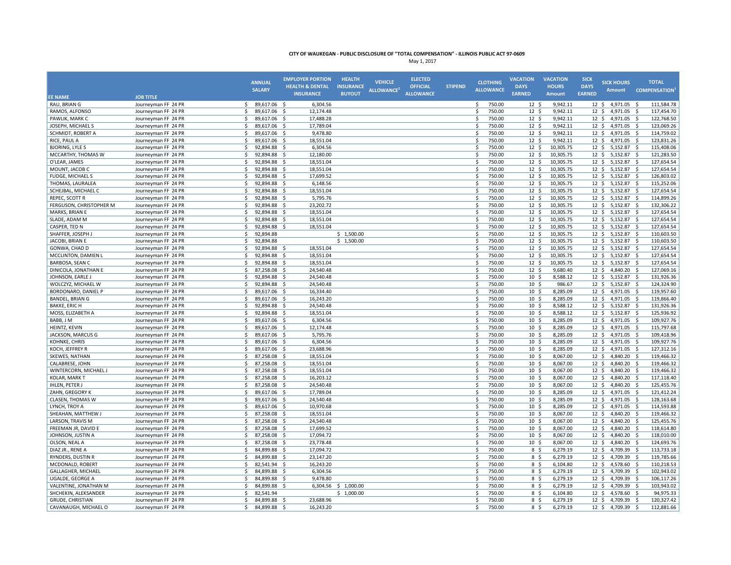| <b>INSURANCE</b><br><b>BUYOUT</b><br><b>ALLOWANCE</b><br><b>EARNED</b><br><b>EARNED</b><br><b>Amount</b><br><b>EE NAME</b><br><b>JOB TITLE</b><br>RAU, BRIAN G<br>Journeyman FF 24 PR<br>\$<br>89,617.06 \$<br>6,304.56<br>\$<br>750.00<br>9,942.11<br>12 \$ 4,971.05 \$<br>111,584.78<br>$12 \,$ \$<br>\$<br>750.00<br>12 <sup>5</sup><br>9,942.11<br>RAMOS, ALFONSO<br>Journeyman FF 24 PR<br>Ś.<br>89,617.06<br>- \$<br>12,174.48<br>12 <sup>5</sup><br>4,971.05<br>117,454.70<br>- S<br>17,488.28<br>750.00<br>12 <sup>5</sup><br>9,942.11<br>12 <sup>5</sup><br>4,971.05 \$<br>122,768.50<br>PAWLIK, MARK C<br>Journeyman FF 24 PR<br>\$<br>89,617.06 \$<br>Ś.<br>$\mathsf{s}$<br>89,617.06<br>Š.<br>750.00<br>12 <sup>5</sup><br>9.942.11<br>4,971.05 \$<br>123,069.26<br>JOSEPH, MICHAEL S<br>Journeyman FF 24 PR<br>- Ś<br>17,789.04<br>$12 \cdot 5$<br>\$<br>9,478.80<br>\$<br>750.00<br>$12 \div$<br>9,942.11<br>$12 \div$<br>4,971.05 \$<br>114,759.02<br>SCHMIDT, ROBERT A<br>Journeyman FF 24 PR<br>89,617.06 \$<br>\$<br>18,551.04<br>750.00<br>9,942.11<br>4,971.05<br>123,831.26<br>RICE, PAUL A<br>Journeyman FF 24 PR<br>89,617.06 \$<br>\$<br>$12 \; \text{S}$<br>$12 \div$<br>-\$<br><b>BJORING, LYLE S</b><br>92,894.88 \$<br>6,304.56<br>Ś<br>750.00<br>12 <sup>5</sup><br>10,305.75<br>$5,152.87$ \$<br>115,408.06<br>Journeyman FF 24 PR<br>\$<br>$12 \div$<br>MCCARTHY, THOMAS W<br>Journeyman FF 24 PR<br>\$<br>92,894.88<br>12,180.00<br>Ś<br>750.00<br>12 <sup>5</sup><br>10,305.75<br>$12 \div$<br>$5,152.87$ \$<br>121,283.50<br>- \$<br>O'LEAR, JAMES<br>Journeyman FF 24 PR<br>Ś.<br>92,894.88<br>- Ś<br>18,551.04<br>\$<br>750.00<br>$12 \div$<br>10,305.75<br>12 \$ 5,152.87 \$<br>127,654.54<br>MOUNT, JACOB C<br>92,894.88<br>18,551.04<br>\$<br>750.00<br>$12 \cdot 5$<br>10,305.75<br>$12 \cdot 5$<br>5,152.87<br>127,654.54<br>Journeyman FF 24 PR<br>\$<br>- \$<br>- \$<br>Ś<br><b>FUDGE, MICHAEL S</b><br>Journeyman FF 24 PR<br>Ś.<br>92,894.88<br>17,699.52<br>750.00<br>$12 \cdot 5$<br>10,305.75<br>$12 \cdot 5$<br>$5,152.87$ \$<br>126,803.02<br>- \$<br>750.00<br>12 <sup>5</sup><br>115,252.06<br>THOMAS, LAURALEA<br>Journeyman FF 24 PR<br>\$<br>92,894.88 \$<br>6,148.56<br>Ś.<br>10,305.75<br>$12 \cdot 5$<br>$5,152.87$ \$<br>$\mathsf{s}$<br>SCHEJBAL, MICHAEL C<br>92,894.88<br>18,551.04<br>Š.<br>750.00<br>12 <sup>5</sup><br>12 \$ 5,152.87 \$<br>127,654.54<br>Journeyman FF 24 PR<br>- S<br>10,305.75<br>\$<br>5,795.76<br>Ś.<br>750.00<br>12 <sup>5</sup><br>10,305.75<br>12 \$ 5,152.87 \$<br>114,899.26<br>REPEC, SCOTT R<br>Journeyman FF 24 PR<br>92,894.88 \$<br>\$<br>Ś<br>132,306.22<br>FERGUSON, CHRISTOPHER M<br>Journeyman FF 24 PR<br>92,894.88<br>23,202.72<br>750.00<br>12 <sup>5</sup><br>10,305.75<br>12 <sup>5</sup><br>5,152.87<br>-Ś<br>- S<br>750.00<br>127,654.54<br>MARKS, BRIAN E<br>Journeyman FF 24 PR<br>\$<br>92,894.88 \$<br>18,551.04<br>Ś.<br>$12 \div$<br>10,305.75<br>$12 \div$<br>$5,152.87$ \$<br>SLADE, ADAM M<br>\$<br>92,894.88 \$<br>18,551.04<br>Ś<br>750.00<br>12 <sup>5</sup><br>10,305.75<br>$12 \div$<br>$5,152.87$ \$<br>127,654.54<br>Journeyman FF 24 PR<br>CASPER, TED N<br>Journeyman FF 24 PR<br>\$<br>92,894.88 \$<br>18,551.04<br>Š.<br>750.00<br>12 <sup>5</sup><br>10,305.75<br>12 \$ 5,152.87 \$<br>127,654.54<br>SHAFFER, JOSEPH J<br>Journeyman FF 24 PR<br>\$<br>92,894.88<br>\$1,500.00<br>Ś.<br>750.00<br>12 <sup>5</sup><br>10,305.75<br>12 \$ 5,152.87 \$<br>110,603.50<br>\$1,500.00<br>750.00<br>110,603.50<br>JACOBI, BRIAN E<br>Journeyman FF 24 PR<br>\$<br>92,894.88<br>Ś.<br>12 <sup>5</sup><br>10,305.75<br>12 \$ 5,152.87 \$<br>GONWA, CHAD D<br>Journeyman FF 24 PR<br>\$<br>92,894.88<br>18,551.04<br>\$<br>750.00<br>$12 \cdot 5$<br>10,305.75<br>12 \$ 5,152.87 \$<br>127,654.54<br>- S<br>Ś.<br>Ś.<br>750.00<br>127,654.54<br>MCCLINTON, DAMIEN L<br>Journeyman FF 24 PR<br>92,894.88<br>-Ś<br>18,551.04<br>$12 \cdot 5$<br>10,305.75<br>$12 \cdot 5$<br>$5,152.87$ \$<br>\$<br>18,551.04<br>Ś<br>750.00<br>12 <sup>5</sup><br>12 \$ 5,152.87 \$<br>127,654.54<br>BARBOSA, SEAN C<br>Journeyman FF 24 PR<br>92,894.88 \$<br>10,305.75<br>750.00<br>Journeyman FF 24 PR<br>Ś.<br>87,258.08<br>24,540.48<br>Ś<br>12 <sup>5</sup><br>9,680.40<br>$12 \cdot 5$<br>4,840.20<br>127,069.16<br>DINICOLA, JONATHAN E<br>-\$<br>- S<br>750.00<br>8,588.12<br>131,926.36<br>JOHNSON, EARLE J<br>Journeyman FF 24 PR<br>92,894.88 \$<br>24,540.48<br>Ś<br>10 <sup>5</sup><br>12 \$ 5,152.87 \$<br>Ŝ.<br>\$<br>92,894.88 \$<br>Ś<br>750.00<br>$10 \frac{2}{3}$<br>986.67<br>12 \$ 5,152.87 \$<br>124,324.90<br>WOLCZYZ, MICHAEL W<br>Journeyman FF 24 PR<br>24,540.48<br>BORDONARO, DANIEL P<br>Journeyman FF 24 PR<br>\$<br>89,617.06 \$<br>16,334.40<br>Ś.<br>750.00<br>$10 \; \text{S}$<br>8,285.09<br>$12 \div$<br>4,971.05 \$<br>119,957.60<br>750.00<br>BANDEL, BRIAN G<br>Journeyman FF 24 PR<br>\$<br>89,617.06 \$<br>16,243.20<br>Ś.<br>10 <sup>5</sup><br>8,285.09<br>$12 \div$<br>4,971.05 \$<br>119,866.40<br>750.00<br>131,926.36<br><b>BAKKE, ERIC H</b><br>Journeyman FF 24 PR<br>Ś.<br>92,894.88 \$<br>24,540.48<br>\$<br>10 <sup>5</sup><br>8,588.12<br>12 \$ 5,152.87 \$<br>92,894.88 \$<br>750.00<br>8,588.12<br>5,152.87 \$<br>125,936.92<br>MOSS, ELIZABETH A<br>Journeyman FF 24 PR<br>Ś.<br>18,551.04<br>Ŝ.<br>10 <sup>5</sup><br>$12 \cdot 5$<br>\$<br>Ś.<br>750.00<br>4,971.05 \$<br>BABB, J M<br>Journeyman FF 24 PR<br>89,617.06 \$<br>6,304.56<br>10 <sup>5</sup><br>8,285.09<br>$12 \cdot 5$<br>109,927.76<br>12,174.48<br>Ś.<br>750.00<br>8,285.09<br>$12 \div$<br>4,971.05 \$<br>115,797.68<br>HEINTZ, KEVIN<br>Journeyman FF 24 PR<br>\$<br>89,617.06 \$<br>10 <sup>5</sup><br>Ś<br>750.00<br>JACKSON, MARCUS G<br>Journeyman FF 24 PR<br>Ś<br>89,617.06<br>5,795.76<br>10 <sup>5</sup><br>8,285.09<br>12 <sup>5</sup><br>4,971.05<br>109,418.96<br>- \$<br>- \$<br>Ś<br>750.00<br>8,285.09<br>4,971.05 \$<br>109,927.76<br>KOHNKE, CHRIS<br>Journeyman FF 24 PR<br>\$<br>89,617.06 \$<br>6,304.56<br>10 <sup>5</sup><br>$12 \cdot 5$<br>$\mathsf{\hat{S}}$<br>89,617.06<br>23,688.96<br>Ś.<br>750.00<br>10 <sup>5</sup><br>8,285.09<br>12 <sup>5</sup><br>4,971.05<br>127,312.16<br>KOCH, JEFFREY R<br>Journeyman FF 24 PR<br>- \$<br>- S<br>\$<br>18,551.04<br>Ś.<br>750.00<br>$10 \;$ \$<br>8,067.00<br>$12 \div$<br>4,840.20 \$<br>119,466.32<br>SKEWES, NATHAN<br>Journeyman FF 24 PR<br>87,258.08 \$<br>CALABRESE, JOHN<br>Journeyman FF 24 PR<br>\$<br>87,258.08<br>- \$<br>18,551.04<br>Ś.<br>750.00<br>10 <sup>5</sup><br>8,067.00<br>$12 \div$<br>4,840.20 \$<br>119,466.32<br>750.00<br>119,466.32<br>WINTERCORN, MICHAEL J<br>Journeyman FF 24 PR<br>\$<br>87,258.08<br>- \$<br>18,551.04<br>Ś.<br>10 <sup>5</sup><br>8,067.00<br>12 <sup>5</sup><br>4,840.20 \$<br><b>KOLAR, MARK T</b><br>87.258.08<br>Ŝ.<br>750.00<br>$10 \frac{2}{3}$<br>8,067.00<br>12 <sup>5</sup><br>4,840.20 \$<br>117,118.40<br>Journeyman FF 24 PR<br>Ś.<br>- Ś<br>16,203.12<br><b>IHLEN, PETER J</b><br>Journeyman FF 24 PR<br>Š.<br>87.258.08<br>24.540.48<br>Š.<br>750.00<br>10 <sup>5</sup><br>8,067.00<br>4.840.20 \$<br>125,455.76<br>- S<br>12S<br>750.00<br>ZAHN, GREGORY K<br>Journeyman FF 24 PR<br>\$<br>89,617.06 \$<br>17,789.04<br>Ŝ.<br>10 <sup>5</sup><br>8,285.09<br>$12 \div$<br>$4,971.05$ \$<br>121,412.24<br>CLASEN, THOMAS W<br>Ś.<br>89,617.06<br>24,540.48<br>Ś<br>750.00<br>10 <sup>5</sup><br>8,285.09<br>4,971.05<br>128,163.68<br>Journeyman FF 24 PR<br>- \$<br>$12 \cdot 5$<br>- S<br>10,970.68<br>Ś<br>750.00<br>8,285.09<br>4,971.05 \$<br>114,593.88<br>LYNCH, TROY A<br>Journeyman FF 24 PR<br>\$<br>89,617.06 \$<br>10 <sup>5</sup><br>12 <sup>5</sup><br>\$<br>Ś<br>87,258.08<br>18,551.04<br>750.00<br>10 <sup>5</sup><br>8,067.00<br>12 <sup>5</sup><br>4,840.20<br>119,466.32<br>SHEAHAN, MATTHEW J<br>Journeyman FF 24 PR<br>- \$<br>- S<br>\$<br>LARSON, TRAVIS M<br>\$<br>87,258.08 \$<br>24,540.48<br>750.00<br>$10 \;$ \$<br>8,067.00<br>$12 \div$<br>4,840.20 \$<br>125,455.76<br>Journeyman FF 24 PR<br>FREEMAN JR, DAVID E<br>Journeyman FF 24 PR<br>\$<br>87,258.08<br>17,699.52<br>Ś.<br>750.00<br>$10 \;$ \$<br>8,067.00<br>$12 \div$<br>4,840.20 \$<br>118,614.80<br>- \$<br>750.00<br>JOHNSON, JUSTIN A<br>Journeyman FF 24 PR<br>\$<br>87,258.08<br>- \$<br>17,094.72<br>Ś.<br>10 <sup>5</sup><br>8,067.00<br>$12 \cdot 5$<br>4,840.20 \$<br>118,010.00<br>87,258.08<br>23,778.48<br>Ŝ.<br>750.00<br>10 <sup>5</sup><br>8,067.00<br>12 <sup>5</sup><br>4,840.20 \$<br>124,693.76<br>OLSON, NEAL A<br>Journeyman FF 24 PR<br>\$<br>- Ś<br>DIAZ JR., RENE A<br>Journeyman FF 24 PR<br>Ś.<br>84,899.88<br>17,094.72<br>Ŝ.<br>750.00<br>8 \$<br>6,279.19<br>4,709.39 \$<br>113,733.18<br>- S<br>12 <sup>5</sup><br>RYNDERS, DUSTIN R<br>Journeyman FF 24 PR<br>\$<br>84,899.88<br>23,147.20<br>750.00<br>6,279.19<br>12 <sup>5</sup><br>4,709.39<br>119,785.66<br>- \$<br>Ŝ.<br>8\$<br>- S<br>Ś<br>Ś.<br>750.00<br>8 \$<br>6,104.80<br>4,578.60<br>110,218.53<br>MCDONALD, ROBERT<br>Journeyman FF 24 PR<br>82,541.94<br>- \$<br>16,243.20<br>$12 \cdot 5$<br>- \$<br>Ś<br>750.00<br>102,943.02<br><b>GALLAGHER, MICHAEL</b><br>Journeyman FF 24 PR<br>84,899.88 \$<br>6,304.56<br>8 \$<br>6,279.19<br>$12 \cdot 5$<br>4,709.39 \$<br>Ŝ.<br>$\mathsf{\hat{S}}$<br>84,899.88<br>9,478.80<br>Ś.<br>750.00<br>8 \$<br>6,279.19<br>4,709.39<br>106,117.26<br>UGALDE, GEORGE A<br>Journeyman FF 24 PR<br>- \$<br>$12 \cdot 5$<br>- S<br>\$<br>84,899.88 \$<br>6,304.56 \$ 1,000.00<br>\$<br>750.00<br>8\$<br>6,279.19<br>$12 \div$<br>4,709.39<br>-\$<br>103,943.02<br>VALENTINE, JONATHAN M<br>Journeyman FF 24 PR<br>\$<br>\$1,000.00<br>Ś<br>750.00<br>8 <sup>5</sup><br>6,104.80<br>94,975.33<br>SHCHEKIN, ALEKSANDER<br>Journeyman FF 24 PR<br>82,541.94<br>$12 \div$<br>4,578.60<br>- S<br><b>GRUDE, CHRISTIAN</b><br>84,899.88 \$<br>23,688.96<br>Ś<br>750.00<br>8 <sup>5</sup><br>6,279.19<br>12 \$ 4,709.39 \$<br>120,327.42<br>Journeyman FF 24 PR<br>\$<br>CAVANAUGH, MICHAEL O<br>750.00<br>6,279.19<br>12 \$ 4,709.39 \$<br>112,881.66<br>Journeyman FF 24 PR<br>Ś.<br>84.899.88 S<br>16.243.20<br>Ŝ.<br>8 \$ |  | <b>ANNUAL</b> | <b>EMPLOYER PORTION</b><br><b>HEALTH &amp; DENTAL</b> | <b>HEALTH</b><br><b>INSURANCE</b> | <b>VEHICLE</b>         | <b>ELECTED</b><br><b>OFFICIAL</b> | <b>STIPEND</b> | <b>CLOTHING</b>  | <b>VACATION</b><br><b>DAYS</b> | <b>VACATION</b><br><b>HOURS</b> | <b>SICK</b><br><b>DAYS</b> | <b>SICK HOURS</b> | <b>TOTAL</b>        |
|--------------------------------------------------------------------------------------------------------------------------------------------------------------------------------------------------------------------------------------------------------------------------------------------------------------------------------------------------------------------------------------------------------------------------------------------------------------------------------------------------------------------------------------------------------------------------------------------------------------------------------------------------------------------------------------------------------------------------------------------------------------------------------------------------------------------------------------------------------------------------------------------------------------------------------------------------------------------------------------------------------------------------------------------------------------------------------------------------------------------------------------------------------------------------------------------------------------------------------------------------------------------------------------------------------------------------------------------------------------------------------------------------------------------------------------------------------------------------------------------------------------------------------------------------------------------------------------------------------------------------------------------------------------------------------------------------------------------------------------------------------------------------------------------------------------------------------------------------------------------------------------------------------------------------------------------------------------------------------------------------------------------------------------------------------------------------------------------------------------------------------------------------------------------------------------------------------------------------------------------------------------------------------------------------------------------------------------------------------------------------------------------------------------------------------------------------------------------------------------------------------------------------------------------------------------------------------------------------------------------------------------------------------------------------------------------------------------------------------------------------------------------------------------------------------------------------------------------------------------------------------------------------------------------------------------------------------------------------------------------------------------------------------------------------------------------------------------------------------------------------------------------------------------------------------------------------------------------------------------------------------------------------------------------------------------------------------------------------------------------------------------------------------------------------------------------------------------------------------------------------------------------------------------------------------------------------------------------------------------------------------------------------------------------------------------------------------------------------------------------------------------------------------------------------------------------------------------------------------------------------------------------------------------------------------------------------------------------------------------------------------------------------------------------------------------------------------------------------------------------------------------------------------------------------------------------------------------------------------------------------------------------------------------------------------------------------------------------------------------------------------------------------------------------------------------------------------------------------------------------------------------------------------------------------------------------------------------------------------------------------------------------------------------------------------------------------------------------------------------------------------------------------------------------------------------------------------------------------------------------------------------------------------------------------------------------------------------------------------------------------------------------------------------------------------------------------------------------------------------------------------------------------------------------------------------------------------------------------------------------------------------------------------------------------------------------------------------------------------------------------------------------------------------------------------------------------------------------------------------------------------------------------------------------------------------------------------------------------------------------------------------------------------------------------------------------------------------------------------------------------------------------------------------------------------------------------------------------------------------------------------------------------------------------------------------------------------------------------------------------------------------------------------------------------------------------------------------------------------------------------------------------------------------------------------------------------------------------------------------------------------------------------------------------------------------------------------------------------------------------------------------------------------------------------------------------------------------------------------------------------------------------------------------------------------------------------------------------------------------------------------------------------------------------------------------------------------------------------------------------------------------------------------------------------------------------------------------------------------------------------------------------------------------------------------------------------------------------------------------------------------------------------------------------------------------------------------------------------------------------------------------------------------------------------------------------------------------------------------------------------------------------------------------------------------------------------------------------------------------------------------------------------------------------------------------------------------------------------------------------------------------------------------------------------------------------------------------------------------------------------------------------------------------------------------------------------------------------------------------------------------------------------------------------------------------------------------------------------------------------------------------------------------------------------------------------------------------------------------------------------------------------------------------------------------------------------------------------------------------------------------------------------------------------------------------------------------------------------------------------------------------------------------------------------------------------------------------------------------------------------------------------------------------------------------------------------------------------------------------------------------------------------------------------------------------------------------------------------------------------------------------------------------------------------------------------------------------------------------------------------------------------------------------------------------------------------------------------------------------------------------------------------------------------------------------------------------------------------------------------------------------------------------------------------------------------------------------------------------------------------------------------------------------------------------------------------------------------------------------------------------------------------------------------------------------------------------------------------------------------------------------------------------------------------------------------------------------------------------------------------------------------------------------------------------------------------------------------------------------------------------------------------------------------------------------------------------------------------------------------------------------------------------------------------------------------------------------------------------------------------------------------------------------------------------------------------------------------------------------------------------------------------------------------------------------------------------------------------------------------------------------------------------------------------------------------------------------------------|--|---------------|-------------------------------------------------------|-----------------------------------|------------------------|-----------------------------------|----------------|------------------|--------------------------------|---------------------------------|----------------------------|-------------------|---------------------|
|                                                                                                                                                                                                                                                                                                                                                                                                                                                                                                                                                                                                                                                                                                                                                                                                                                                                                                                                                                                                                                                                                                                                                                                                                                                                                                                                                                                                                                                                                                                                                                                                                                                                                                                                                                                                                                                                                                                                                                                                                                                                                                                                                                                                                                                                                                                                                                                                                                                                                                                                                                                                                                                                                                                                                                                                                                                                                                                                                                                                                                                                                                                                                                                                                                                                                                                                                                                                                                                                                                                                                                                                                                                                                                                                                                                                                                                                                                                                                                                                                                                                                                                                                                                                                                                                                                                                                                                                                                                                                                                                                                                                                                                                                                                                                                                                                                                                                                                                                                                                                                                                                                                                                                                                                                                                                                                                                                                                                                                                                                                                                                                                                                                                                                                                                                                                                                                                                                                                                                                                                                                                                                                                                                                                                                                                                                                                                                                                                                                                                                                                                                                                                                                                                                                                                                                                                                                                                                                                                                                                                                                                                                                                                                                                                                                                                                                                                                                                                                                                                                                                                                                                                                                                                                                                                                                                                                                                                                                                                                                                                                                                                                                                                                                                                                                                                                                                                                                                                                                                                                                                                                                                                                                                                                                                                                                                                                                                                                                                                                                                                                                                                                                                                                                                                                                                                                                                                                                                                                                                                                                                                                                                                                                                                                                                                                                                                                                                                                                                                                                                                                                                                                                                                                                                                          |  | <b>SALARY</b> |                                                       |                                   | ALLOWANCE <sup>2</sup> |                                   |                | <b>ALLOWANCE</b> |                                |                                 |                            | <b>Amount</b>     | <b>COMPENSATION</b> |
|                                                                                                                                                                                                                                                                                                                                                                                                                                                                                                                                                                                                                                                                                                                                                                                                                                                                                                                                                                                                                                                                                                                                                                                                                                                                                                                                                                                                                                                                                                                                                                                                                                                                                                                                                                                                                                                                                                                                                                                                                                                                                                                                                                                                                                                                                                                                                                                                                                                                                                                                                                                                                                                                                                                                                                                                                                                                                                                                                                                                                                                                                                                                                                                                                                                                                                                                                                                                                                                                                                                                                                                                                                                                                                                                                                                                                                                                                                                                                                                                                                                                                                                                                                                                                                                                                                                                                                                                                                                                                                                                                                                                                                                                                                                                                                                                                                                                                                                                                                                                                                                                                                                                                                                                                                                                                                                                                                                                                                                                                                                                                                                                                                                                                                                                                                                                                                                                                                                                                                                                                                                                                                                                                                                                                                                                                                                                                                                                                                                                                                                                                                                                                                                                                                                                                                                                                                                                                                                                                                                                                                                                                                                                                                                                                                                                                                                                                                                                                                                                                                                                                                                                                                                                                                                                                                                                                                                                                                                                                                                                                                                                                                                                                                                                                                                                                                                                                                                                                                                                                                                                                                                                                                                                                                                                                                                                                                                                                                                                                                                                                                                                                                                                                                                                                                                                                                                                                                                                                                                                                                                                                                                                                                                                                                                                                                                                                                                                                                                                                                                                                                                                                                                                                                                                                          |  |               |                                                       |                                   |                        |                                   |                |                  |                                |                                 |                            |                   |                     |
|                                                                                                                                                                                                                                                                                                                                                                                                                                                                                                                                                                                                                                                                                                                                                                                                                                                                                                                                                                                                                                                                                                                                                                                                                                                                                                                                                                                                                                                                                                                                                                                                                                                                                                                                                                                                                                                                                                                                                                                                                                                                                                                                                                                                                                                                                                                                                                                                                                                                                                                                                                                                                                                                                                                                                                                                                                                                                                                                                                                                                                                                                                                                                                                                                                                                                                                                                                                                                                                                                                                                                                                                                                                                                                                                                                                                                                                                                                                                                                                                                                                                                                                                                                                                                                                                                                                                                                                                                                                                                                                                                                                                                                                                                                                                                                                                                                                                                                                                                                                                                                                                                                                                                                                                                                                                                                                                                                                                                                                                                                                                                                                                                                                                                                                                                                                                                                                                                                                                                                                                                                                                                                                                                                                                                                                                                                                                                                                                                                                                                                                                                                                                                                                                                                                                                                                                                                                                                                                                                                                                                                                                                                                                                                                                                                                                                                                                                                                                                                                                                                                                                                                                                                                                                                                                                                                                                                                                                                                                                                                                                                                                                                                                                                                                                                                                                                                                                                                                                                                                                                                                                                                                                                                                                                                                                                                                                                                                                                                                                                                                                                                                                                                                                                                                                                                                                                                                                                                                                                                                                                                                                                                                                                                                                                                                                                                                                                                                                                                                                                                                                                                                                                                                                                                                                          |  |               |                                                       |                                   |                        |                                   |                |                  |                                |                                 |                            |                   |                     |
|                                                                                                                                                                                                                                                                                                                                                                                                                                                                                                                                                                                                                                                                                                                                                                                                                                                                                                                                                                                                                                                                                                                                                                                                                                                                                                                                                                                                                                                                                                                                                                                                                                                                                                                                                                                                                                                                                                                                                                                                                                                                                                                                                                                                                                                                                                                                                                                                                                                                                                                                                                                                                                                                                                                                                                                                                                                                                                                                                                                                                                                                                                                                                                                                                                                                                                                                                                                                                                                                                                                                                                                                                                                                                                                                                                                                                                                                                                                                                                                                                                                                                                                                                                                                                                                                                                                                                                                                                                                                                                                                                                                                                                                                                                                                                                                                                                                                                                                                                                                                                                                                                                                                                                                                                                                                                                                                                                                                                                                                                                                                                                                                                                                                                                                                                                                                                                                                                                                                                                                                                                                                                                                                                                                                                                                                                                                                                                                                                                                                                                                                                                                                                                                                                                                                                                                                                                                                                                                                                                                                                                                                                                                                                                                                                                                                                                                                                                                                                                                                                                                                                                                                                                                                                                                                                                                                                                                                                                                                                                                                                                                                                                                                                                                                                                                                                                                                                                                                                                                                                                                                                                                                                                                                                                                                                                                                                                                                                                                                                                                                                                                                                                                                                                                                                                                                                                                                                                                                                                                                                                                                                                                                                                                                                                                                                                                                                                                                                                                                                                                                                                                                                                                                                                                                                          |  |               |                                                       |                                   |                        |                                   |                |                  |                                |                                 |                            |                   |                     |
|                                                                                                                                                                                                                                                                                                                                                                                                                                                                                                                                                                                                                                                                                                                                                                                                                                                                                                                                                                                                                                                                                                                                                                                                                                                                                                                                                                                                                                                                                                                                                                                                                                                                                                                                                                                                                                                                                                                                                                                                                                                                                                                                                                                                                                                                                                                                                                                                                                                                                                                                                                                                                                                                                                                                                                                                                                                                                                                                                                                                                                                                                                                                                                                                                                                                                                                                                                                                                                                                                                                                                                                                                                                                                                                                                                                                                                                                                                                                                                                                                                                                                                                                                                                                                                                                                                                                                                                                                                                                                                                                                                                                                                                                                                                                                                                                                                                                                                                                                                                                                                                                                                                                                                                                                                                                                                                                                                                                                                                                                                                                                                                                                                                                                                                                                                                                                                                                                                                                                                                                                                                                                                                                                                                                                                                                                                                                                                                                                                                                                                                                                                                                                                                                                                                                                                                                                                                                                                                                                                                                                                                                                                                                                                                                                                                                                                                                                                                                                                                                                                                                                                                                                                                                                                                                                                                                                                                                                                                                                                                                                                                                                                                                                                                                                                                                                                                                                                                                                                                                                                                                                                                                                                                                                                                                                                                                                                                                                                                                                                                                                                                                                                                                                                                                                                                                                                                                                                                                                                                                                                                                                                                                                                                                                                                                                                                                                                                                                                                                                                                                                                                                                                                                                                                                                          |  |               |                                                       |                                   |                        |                                   |                |                  |                                |                                 |                            |                   |                     |
|                                                                                                                                                                                                                                                                                                                                                                                                                                                                                                                                                                                                                                                                                                                                                                                                                                                                                                                                                                                                                                                                                                                                                                                                                                                                                                                                                                                                                                                                                                                                                                                                                                                                                                                                                                                                                                                                                                                                                                                                                                                                                                                                                                                                                                                                                                                                                                                                                                                                                                                                                                                                                                                                                                                                                                                                                                                                                                                                                                                                                                                                                                                                                                                                                                                                                                                                                                                                                                                                                                                                                                                                                                                                                                                                                                                                                                                                                                                                                                                                                                                                                                                                                                                                                                                                                                                                                                                                                                                                                                                                                                                                                                                                                                                                                                                                                                                                                                                                                                                                                                                                                                                                                                                                                                                                                                                                                                                                                                                                                                                                                                                                                                                                                                                                                                                                                                                                                                                                                                                                                                                                                                                                                                                                                                                                                                                                                                                                                                                                                                                                                                                                                                                                                                                                                                                                                                                                                                                                                                                                                                                                                                                                                                                                                                                                                                                                                                                                                                                                                                                                                                                                                                                                                                                                                                                                                                                                                                                                                                                                                                                                                                                                                                                                                                                                                                                                                                                                                                                                                                                                                                                                                                                                                                                                                                                                                                                                                                                                                                                                                                                                                                                                                                                                                                                                                                                                                                                                                                                                                                                                                                                                                                                                                                                                                                                                                                                                                                                                                                                                                                                                                                                                                                                                                          |  |               |                                                       |                                   |                        |                                   |                |                  |                                |                                 |                            |                   |                     |
|                                                                                                                                                                                                                                                                                                                                                                                                                                                                                                                                                                                                                                                                                                                                                                                                                                                                                                                                                                                                                                                                                                                                                                                                                                                                                                                                                                                                                                                                                                                                                                                                                                                                                                                                                                                                                                                                                                                                                                                                                                                                                                                                                                                                                                                                                                                                                                                                                                                                                                                                                                                                                                                                                                                                                                                                                                                                                                                                                                                                                                                                                                                                                                                                                                                                                                                                                                                                                                                                                                                                                                                                                                                                                                                                                                                                                                                                                                                                                                                                                                                                                                                                                                                                                                                                                                                                                                                                                                                                                                                                                                                                                                                                                                                                                                                                                                                                                                                                                                                                                                                                                                                                                                                                                                                                                                                                                                                                                                                                                                                                                                                                                                                                                                                                                                                                                                                                                                                                                                                                                                                                                                                                                                                                                                                                                                                                                                                                                                                                                                                                                                                                                                                                                                                                                                                                                                                                                                                                                                                                                                                                                                                                                                                                                                                                                                                                                                                                                                                                                                                                                                                                                                                                                                                                                                                                                                                                                                                                                                                                                                                                                                                                                                                                                                                                                                                                                                                                                                                                                                                                                                                                                                                                                                                                                                                                                                                                                                                                                                                                                                                                                                                                                                                                                                                                                                                                                                                                                                                                                                                                                                                                                                                                                                                                                                                                                                                                                                                                                                                                                                                                                                                                                                                                                          |  |               |                                                       |                                   |                        |                                   |                |                  |                                |                                 |                            |                   |                     |
|                                                                                                                                                                                                                                                                                                                                                                                                                                                                                                                                                                                                                                                                                                                                                                                                                                                                                                                                                                                                                                                                                                                                                                                                                                                                                                                                                                                                                                                                                                                                                                                                                                                                                                                                                                                                                                                                                                                                                                                                                                                                                                                                                                                                                                                                                                                                                                                                                                                                                                                                                                                                                                                                                                                                                                                                                                                                                                                                                                                                                                                                                                                                                                                                                                                                                                                                                                                                                                                                                                                                                                                                                                                                                                                                                                                                                                                                                                                                                                                                                                                                                                                                                                                                                                                                                                                                                                                                                                                                                                                                                                                                                                                                                                                                                                                                                                                                                                                                                                                                                                                                                                                                                                                                                                                                                                                                                                                                                                                                                                                                                                                                                                                                                                                                                                                                                                                                                                                                                                                                                                                                                                                                                                                                                                                                                                                                                                                                                                                                                                                                                                                                                                                                                                                                                                                                                                                                                                                                                                                                                                                                                                                                                                                                                                                                                                                                                                                                                                                                                                                                                                                                                                                                                                                                                                                                                                                                                                                                                                                                                                                                                                                                                                                                                                                                                                                                                                                                                                                                                                                                                                                                                                                                                                                                                                                                                                                                                                                                                                                                                                                                                                                                                                                                                                                                                                                                                                                                                                                                                                                                                                                                                                                                                                                                                                                                                                                                                                                                                                                                                                                                                                                                                                                                                          |  |               |                                                       |                                   |                        |                                   |                |                  |                                |                                 |                            |                   |                     |
|                                                                                                                                                                                                                                                                                                                                                                                                                                                                                                                                                                                                                                                                                                                                                                                                                                                                                                                                                                                                                                                                                                                                                                                                                                                                                                                                                                                                                                                                                                                                                                                                                                                                                                                                                                                                                                                                                                                                                                                                                                                                                                                                                                                                                                                                                                                                                                                                                                                                                                                                                                                                                                                                                                                                                                                                                                                                                                                                                                                                                                                                                                                                                                                                                                                                                                                                                                                                                                                                                                                                                                                                                                                                                                                                                                                                                                                                                                                                                                                                                                                                                                                                                                                                                                                                                                                                                                                                                                                                                                                                                                                                                                                                                                                                                                                                                                                                                                                                                                                                                                                                                                                                                                                                                                                                                                                                                                                                                                                                                                                                                                                                                                                                                                                                                                                                                                                                                                                                                                                                                                                                                                                                                                                                                                                                                                                                                                                                                                                                                                                                                                                                                                                                                                                                                                                                                                                                                                                                                                                                                                                                                                                                                                                                                                                                                                                                                                                                                                                                                                                                                                                                                                                                                                                                                                                                                                                                                                                                                                                                                                                                                                                                                                                                                                                                                                                                                                                                                                                                                                                                                                                                                                                                                                                                                                                                                                                                                                                                                                                                                                                                                                                                                                                                                                                                                                                                                                                                                                                                                                                                                                                                                                                                                                                                                                                                                                                                                                                                                                                                                                                                                                                                                                                                                          |  |               |                                                       |                                   |                        |                                   |                |                  |                                |                                 |                            |                   |                     |
|                                                                                                                                                                                                                                                                                                                                                                                                                                                                                                                                                                                                                                                                                                                                                                                                                                                                                                                                                                                                                                                                                                                                                                                                                                                                                                                                                                                                                                                                                                                                                                                                                                                                                                                                                                                                                                                                                                                                                                                                                                                                                                                                                                                                                                                                                                                                                                                                                                                                                                                                                                                                                                                                                                                                                                                                                                                                                                                                                                                                                                                                                                                                                                                                                                                                                                                                                                                                                                                                                                                                                                                                                                                                                                                                                                                                                                                                                                                                                                                                                                                                                                                                                                                                                                                                                                                                                                                                                                                                                                                                                                                                                                                                                                                                                                                                                                                                                                                                                                                                                                                                                                                                                                                                                                                                                                                                                                                                                                                                                                                                                                                                                                                                                                                                                                                                                                                                                                                                                                                                                                                                                                                                                                                                                                                                                                                                                                                                                                                                                                                                                                                                                                                                                                                                                                                                                                                                                                                                                                                                                                                                                                                                                                                                                                                                                                                                                                                                                                                                                                                                                                                                                                                                                                                                                                                                                                                                                                                                                                                                                                                                                                                                                                                                                                                                                                                                                                                                                                                                                                                                                                                                                                                                                                                                                                                                                                                                                                                                                                                                                                                                                                                                                                                                                                                                                                                                                                                                                                                                                                                                                                                                                                                                                                                                                                                                                                                                                                                                                                                                                                                                                                                                                                                                                          |  |               |                                                       |                                   |                        |                                   |                |                  |                                |                                 |                            |                   |                     |
|                                                                                                                                                                                                                                                                                                                                                                                                                                                                                                                                                                                                                                                                                                                                                                                                                                                                                                                                                                                                                                                                                                                                                                                                                                                                                                                                                                                                                                                                                                                                                                                                                                                                                                                                                                                                                                                                                                                                                                                                                                                                                                                                                                                                                                                                                                                                                                                                                                                                                                                                                                                                                                                                                                                                                                                                                                                                                                                                                                                                                                                                                                                                                                                                                                                                                                                                                                                                                                                                                                                                                                                                                                                                                                                                                                                                                                                                                                                                                                                                                                                                                                                                                                                                                                                                                                                                                                                                                                                                                                                                                                                                                                                                                                                                                                                                                                                                                                                                                                                                                                                                                                                                                                                                                                                                                                                                                                                                                                                                                                                                                                                                                                                                                                                                                                                                                                                                                                                                                                                                                                                                                                                                                                                                                                                                                                                                                                                                                                                                                                                                                                                                                                                                                                                                                                                                                                                                                                                                                                                                                                                                                                                                                                                                                                                                                                                                                                                                                                                                                                                                                                                                                                                                                                                                                                                                                                                                                                                                                                                                                                                                                                                                                                                                                                                                                                                                                                                                                                                                                                                                                                                                                                                                                                                                                                                                                                                                                                                                                                                                                                                                                                                                                                                                                                                                                                                                                                                                                                                                                                                                                                                                                                                                                                                                                                                                                                                                                                                                                                                                                                                                                                                                                                                                                          |  |               |                                                       |                                   |                        |                                   |                |                  |                                |                                 |                            |                   |                     |
|                                                                                                                                                                                                                                                                                                                                                                                                                                                                                                                                                                                                                                                                                                                                                                                                                                                                                                                                                                                                                                                                                                                                                                                                                                                                                                                                                                                                                                                                                                                                                                                                                                                                                                                                                                                                                                                                                                                                                                                                                                                                                                                                                                                                                                                                                                                                                                                                                                                                                                                                                                                                                                                                                                                                                                                                                                                                                                                                                                                                                                                                                                                                                                                                                                                                                                                                                                                                                                                                                                                                                                                                                                                                                                                                                                                                                                                                                                                                                                                                                                                                                                                                                                                                                                                                                                                                                                                                                                                                                                                                                                                                                                                                                                                                                                                                                                                                                                                                                                                                                                                                                                                                                                                                                                                                                                                                                                                                                                                                                                                                                                                                                                                                                                                                                                                                                                                                                                                                                                                                                                                                                                                                                                                                                                                                                                                                                                                                                                                                                                                                                                                                                                                                                                                                                                                                                                                                                                                                                                                                                                                                                                                                                                                                                                                                                                                                                                                                                                                                                                                                                                                                                                                                                                                                                                                                                                                                                                                                                                                                                                                                                                                                                                                                                                                                                                                                                                                                                                                                                                                                                                                                                                                                                                                                                                                                                                                                                                                                                                                                                                                                                                                                                                                                                                                                                                                                                                                                                                                                                                                                                                                                                                                                                                                                                                                                                                                                                                                                                                                                                                                                                                                                                                                                                          |  |               |                                                       |                                   |                        |                                   |                |                  |                                |                                 |                            |                   |                     |
|                                                                                                                                                                                                                                                                                                                                                                                                                                                                                                                                                                                                                                                                                                                                                                                                                                                                                                                                                                                                                                                                                                                                                                                                                                                                                                                                                                                                                                                                                                                                                                                                                                                                                                                                                                                                                                                                                                                                                                                                                                                                                                                                                                                                                                                                                                                                                                                                                                                                                                                                                                                                                                                                                                                                                                                                                                                                                                                                                                                                                                                                                                                                                                                                                                                                                                                                                                                                                                                                                                                                                                                                                                                                                                                                                                                                                                                                                                                                                                                                                                                                                                                                                                                                                                                                                                                                                                                                                                                                                                                                                                                                                                                                                                                                                                                                                                                                                                                                                                                                                                                                                                                                                                                                                                                                                                                                                                                                                                                                                                                                                                                                                                                                                                                                                                                                                                                                                                                                                                                                                                                                                                                                                                                                                                                                                                                                                                                                                                                                                                                                                                                                                                                                                                                                                                                                                                                                                                                                                                                                                                                                                                                                                                                                                                                                                                                                                                                                                                                                                                                                                                                                                                                                                                                                                                                                                                                                                                                                                                                                                                                                                                                                                                                                                                                                                                                                                                                                                                                                                                                                                                                                                                                                                                                                                                                                                                                                                                                                                                                                                                                                                                                                                                                                                                                                                                                                                                                                                                                                                                                                                                                                                                                                                                                                                                                                                                                                                                                                                                                                                                                                                                                                                                                                                          |  |               |                                                       |                                   |                        |                                   |                |                  |                                |                                 |                            |                   |                     |
|                                                                                                                                                                                                                                                                                                                                                                                                                                                                                                                                                                                                                                                                                                                                                                                                                                                                                                                                                                                                                                                                                                                                                                                                                                                                                                                                                                                                                                                                                                                                                                                                                                                                                                                                                                                                                                                                                                                                                                                                                                                                                                                                                                                                                                                                                                                                                                                                                                                                                                                                                                                                                                                                                                                                                                                                                                                                                                                                                                                                                                                                                                                                                                                                                                                                                                                                                                                                                                                                                                                                                                                                                                                                                                                                                                                                                                                                                                                                                                                                                                                                                                                                                                                                                                                                                                                                                                                                                                                                                                                                                                                                                                                                                                                                                                                                                                                                                                                                                                                                                                                                                                                                                                                                                                                                                                                                                                                                                                                                                                                                                                                                                                                                                                                                                                                                                                                                                                                                                                                                                                                                                                                                                                                                                                                                                                                                                                                                                                                                                                                                                                                                                                                                                                                                                                                                                                                                                                                                                                                                                                                                                                                                                                                                                                                                                                                                                                                                                                                                                                                                                                                                                                                                                                                                                                                                                                                                                                                                                                                                                                                                                                                                                                                                                                                                                                                                                                                                                                                                                                                                                                                                                                                                                                                                                                                                                                                                                                                                                                                                                                                                                                                                                                                                                                                                                                                                                                                                                                                                                                                                                                                                                                                                                                                                                                                                                                                                                                                                                                                                                                                                                                                                                                                                                          |  |               |                                                       |                                   |                        |                                   |                |                  |                                |                                 |                            |                   |                     |
|                                                                                                                                                                                                                                                                                                                                                                                                                                                                                                                                                                                                                                                                                                                                                                                                                                                                                                                                                                                                                                                                                                                                                                                                                                                                                                                                                                                                                                                                                                                                                                                                                                                                                                                                                                                                                                                                                                                                                                                                                                                                                                                                                                                                                                                                                                                                                                                                                                                                                                                                                                                                                                                                                                                                                                                                                                                                                                                                                                                                                                                                                                                                                                                                                                                                                                                                                                                                                                                                                                                                                                                                                                                                                                                                                                                                                                                                                                                                                                                                                                                                                                                                                                                                                                                                                                                                                                                                                                                                                                                                                                                                                                                                                                                                                                                                                                                                                                                                                                                                                                                                                                                                                                                                                                                                                                                                                                                                                                                                                                                                                                                                                                                                                                                                                                                                                                                                                                                                                                                                                                                                                                                                                                                                                                                                                                                                                                                                                                                                                                                                                                                                                                                                                                                                                                                                                                                                                                                                                                                                                                                                                                                                                                                                                                                                                                                                                                                                                                                                                                                                                                                                                                                                                                                                                                                                                                                                                                                                                                                                                                                                                                                                                                                                                                                                                                                                                                                                                                                                                                                                                                                                                                                                                                                                                                                                                                                                                                                                                                                                                                                                                                                                                                                                                                                                                                                                                                                                                                                                                                                                                                                                                                                                                                                                                                                                                                                                                                                                                                                                                                                                                                                                                                                                                          |  |               |                                                       |                                   |                        |                                   |                |                  |                                |                                 |                            |                   |                     |
|                                                                                                                                                                                                                                                                                                                                                                                                                                                                                                                                                                                                                                                                                                                                                                                                                                                                                                                                                                                                                                                                                                                                                                                                                                                                                                                                                                                                                                                                                                                                                                                                                                                                                                                                                                                                                                                                                                                                                                                                                                                                                                                                                                                                                                                                                                                                                                                                                                                                                                                                                                                                                                                                                                                                                                                                                                                                                                                                                                                                                                                                                                                                                                                                                                                                                                                                                                                                                                                                                                                                                                                                                                                                                                                                                                                                                                                                                                                                                                                                                                                                                                                                                                                                                                                                                                                                                                                                                                                                                                                                                                                                                                                                                                                                                                                                                                                                                                                                                                                                                                                                                                                                                                                                                                                                                                                                                                                                                                                                                                                                                                                                                                                                                                                                                                                                                                                                                                                                                                                                                                                                                                                                                                                                                                                                                                                                                                                                                                                                                                                                                                                                                                                                                                                                                                                                                                                                                                                                                                                                                                                                                                                                                                                                                                                                                                                                                                                                                                                                                                                                                                                                                                                                                                                                                                                                                                                                                                                                                                                                                                                                                                                                                                                                                                                                                                                                                                                                                                                                                                                                                                                                                                                                                                                                                                                                                                                                                                                                                                                                                                                                                                                                                                                                                                                                                                                                                                                                                                                                                                                                                                                                                                                                                                                                                                                                                                                                                                                                                                                                                                                                                                                                                                                                                          |  |               |                                                       |                                   |                        |                                   |                |                  |                                |                                 |                            |                   |                     |
|                                                                                                                                                                                                                                                                                                                                                                                                                                                                                                                                                                                                                                                                                                                                                                                                                                                                                                                                                                                                                                                                                                                                                                                                                                                                                                                                                                                                                                                                                                                                                                                                                                                                                                                                                                                                                                                                                                                                                                                                                                                                                                                                                                                                                                                                                                                                                                                                                                                                                                                                                                                                                                                                                                                                                                                                                                                                                                                                                                                                                                                                                                                                                                                                                                                                                                                                                                                                                                                                                                                                                                                                                                                                                                                                                                                                                                                                                                                                                                                                                                                                                                                                                                                                                                                                                                                                                                                                                                                                                                                                                                                                                                                                                                                                                                                                                                                                                                                                                                                                                                                                                                                                                                                                                                                                                                                                                                                                                                                                                                                                                                                                                                                                                                                                                                                                                                                                                                                                                                                                                                                                                                                                                                                                                                                                                                                                                                                                                                                                                                                                                                                                                                                                                                                                                                                                                                                                                                                                                                                                                                                                                                                                                                                                                                                                                                                                                                                                                                                                                                                                                                                                                                                                                                                                                                                                                                                                                                                                                                                                                                                                                                                                                                                                                                                                                                                                                                                                                                                                                                                                                                                                                                                                                                                                                                                                                                                                                                                                                                                                                                                                                                                                                                                                                                                                                                                                                                                                                                                                                                                                                                                                                                                                                                                                                                                                                                                                                                                                                                                                                                                                                                                                                                                                                          |  |               |                                                       |                                   |                        |                                   |                |                  |                                |                                 |                            |                   |                     |
|                                                                                                                                                                                                                                                                                                                                                                                                                                                                                                                                                                                                                                                                                                                                                                                                                                                                                                                                                                                                                                                                                                                                                                                                                                                                                                                                                                                                                                                                                                                                                                                                                                                                                                                                                                                                                                                                                                                                                                                                                                                                                                                                                                                                                                                                                                                                                                                                                                                                                                                                                                                                                                                                                                                                                                                                                                                                                                                                                                                                                                                                                                                                                                                                                                                                                                                                                                                                                                                                                                                                                                                                                                                                                                                                                                                                                                                                                                                                                                                                                                                                                                                                                                                                                                                                                                                                                                                                                                                                                                                                                                                                                                                                                                                                                                                                                                                                                                                                                                                                                                                                                                                                                                                                                                                                                                                                                                                                                                                                                                                                                                                                                                                                                                                                                                                                                                                                                                                                                                                                                                                                                                                                                                                                                                                                                                                                                                                                                                                                                                                                                                                                                                                                                                                                                                                                                                                                                                                                                                                                                                                                                                                                                                                                                                                                                                                                                                                                                                                                                                                                                                                                                                                                                                                                                                                                                                                                                                                                                                                                                                                                                                                                                                                                                                                                                                                                                                                                                                                                                                                                                                                                                                                                                                                                                                                                                                                                                                                                                                                                                                                                                                                                                                                                                                                                                                                                                                                                                                                                                                                                                                                                                                                                                                                                                                                                                                                                                                                                                                                                                                                                                                                                                                                                                          |  |               |                                                       |                                   |                        |                                   |                |                  |                                |                                 |                            |                   |                     |
|                                                                                                                                                                                                                                                                                                                                                                                                                                                                                                                                                                                                                                                                                                                                                                                                                                                                                                                                                                                                                                                                                                                                                                                                                                                                                                                                                                                                                                                                                                                                                                                                                                                                                                                                                                                                                                                                                                                                                                                                                                                                                                                                                                                                                                                                                                                                                                                                                                                                                                                                                                                                                                                                                                                                                                                                                                                                                                                                                                                                                                                                                                                                                                                                                                                                                                                                                                                                                                                                                                                                                                                                                                                                                                                                                                                                                                                                                                                                                                                                                                                                                                                                                                                                                                                                                                                                                                                                                                                                                                                                                                                                                                                                                                                                                                                                                                                                                                                                                                                                                                                                                                                                                                                                                                                                                                                                                                                                                                                                                                                                                                                                                                                                                                                                                                                                                                                                                                                                                                                                                                                                                                                                                                                                                                                                                                                                                                                                                                                                                                                                                                                                                                                                                                                                                                                                                                                                                                                                                                                                                                                                                                                                                                                                                                                                                                                                                                                                                                                                                                                                                                                                                                                                                                                                                                                                                                                                                                                                                                                                                                                                                                                                                                                                                                                                                                                                                                                                                                                                                                                                                                                                                                                                                                                                                                                                                                                                                                                                                                                                                                                                                                                                                                                                                                                                                                                                                                                                                                                                                                                                                                                                                                                                                                                                                                                                                                                                                                                                                                                                                                                                                                                                                                                                                          |  |               |                                                       |                                   |                        |                                   |                |                  |                                |                                 |                            |                   |                     |
|                                                                                                                                                                                                                                                                                                                                                                                                                                                                                                                                                                                                                                                                                                                                                                                                                                                                                                                                                                                                                                                                                                                                                                                                                                                                                                                                                                                                                                                                                                                                                                                                                                                                                                                                                                                                                                                                                                                                                                                                                                                                                                                                                                                                                                                                                                                                                                                                                                                                                                                                                                                                                                                                                                                                                                                                                                                                                                                                                                                                                                                                                                                                                                                                                                                                                                                                                                                                                                                                                                                                                                                                                                                                                                                                                                                                                                                                                                                                                                                                                                                                                                                                                                                                                                                                                                                                                                                                                                                                                                                                                                                                                                                                                                                                                                                                                                                                                                                                                                                                                                                                                                                                                                                                                                                                                                                                                                                                                                                                                                                                                                                                                                                                                                                                                                                                                                                                                                                                                                                                                                                                                                                                                                                                                                                                                                                                                                                                                                                                                                                                                                                                                                                                                                                                                                                                                                                                                                                                                                                                                                                                                                                                                                                                                                                                                                                                                                                                                                                                                                                                                                                                                                                                                                                                                                                                                                                                                                                                                                                                                                                                                                                                                                                                                                                                                                                                                                                                                                                                                                                                                                                                                                                                                                                                                                                                                                                                                                                                                                                                                                                                                                                                                                                                                                                                                                                                                                                                                                                                                                                                                                                                                                                                                                                                                                                                                                                                                                                                                                                                                                                                                                                                                                                                                          |  |               |                                                       |                                   |                        |                                   |                |                  |                                |                                 |                            |                   |                     |
|                                                                                                                                                                                                                                                                                                                                                                                                                                                                                                                                                                                                                                                                                                                                                                                                                                                                                                                                                                                                                                                                                                                                                                                                                                                                                                                                                                                                                                                                                                                                                                                                                                                                                                                                                                                                                                                                                                                                                                                                                                                                                                                                                                                                                                                                                                                                                                                                                                                                                                                                                                                                                                                                                                                                                                                                                                                                                                                                                                                                                                                                                                                                                                                                                                                                                                                                                                                                                                                                                                                                                                                                                                                                                                                                                                                                                                                                                                                                                                                                                                                                                                                                                                                                                                                                                                                                                                                                                                                                                                                                                                                                                                                                                                                                                                                                                                                                                                                                                                                                                                                                                                                                                                                                                                                                                                                                                                                                                                                                                                                                                                                                                                                                                                                                                                                                                                                                                                                                                                                                                                                                                                                                                                                                                                                                                                                                                                                                                                                                                                                                                                                                                                                                                                                                                                                                                                                                                                                                                                                                                                                                                                                                                                                                                                                                                                                                                                                                                                                                                                                                                                                                                                                                                                                                                                                                                                                                                                                                                                                                                                                                                                                                                                                                                                                                                                                                                                                                                                                                                                                                                                                                                                                                                                                                                                                                                                                                                                                                                                                                                                                                                                                                                                                                                                                                                                                                                                                                                                                                                                                                                                                                                                                                                                                                                                                                                                                                                                                                                                                                                                                                                                                                                                                                                          |  |               |                                                       |                                   |                        |                                   |                |                  |                                |                                 |                            |                   |                     |
|                                                                                                                                                                                                                                                                                                                                                                                                                                                                                                                                                                                                                                                                                                                                                                                                                                                                                                                                                                                                                                                                                                                                                                                                                                                                                                                                                                                                                                                                                                                                                                                                                                                                                                                                                                                                                                                                                                                                                                                                                                                                                                                                                                                                                                                                                                                                                                                                                                                                                                                                                                                                                                                                                                                                                                                                                                                                                                                                                                                                                                                                                                                                                                                                                                                                                                                                                                                                                                                                                                                                                                                                                                                                                                                                                                                                                                                                                                                                                                                                                                                                                                                                                                                                                                                                                                                                                                                                                                                                                                                                                                                                                                                                                                                                                                                                                                                                                                                                                                                                                                                                                                                                                                                                                                                                                                                                                                                                                                                                                                                                                                                                                                                                                                                                                                                                                                                                                                                                                                                                                                                                                                                                                                                                                                                                                                                                                                                                                                                                                                                                                                                                                                                                                                                                                                                                                                                                                                                                                                                                                                                                                                                                                                                                                                                                                                                                                                                                                                                                                                                                                                                                                                                                                                                                                                                                                                                                                                                                                                                                                                                                                                                                                                                                                                                                                                                                                                                                                                                                                                                                                                                                                                                                                                                                                                                                                                                                                                                                                                                                                                                                                                                                                                                                                                                                                                                                                                                                                                                                                                                                                                                                                                                                                                                                                                                                                                                                                                                                                                                                                                                                                                                                                                                                                          |  |               |                                                       |                                   |                        |                                   |                |                  |                                |                                 |                            |                   |                     |
|                                                                                                                                                                                                                                                                                                                                                                                                                                                                                                                                                                                                                                                                                                                                                                                                                                                                                                                                                                                                                                                                                                                                                                                                                                                                                                                                                                                                                                                                                                                                                                                                                                                                                                                                                                                                                                                                                                                                                                                                                                                                                                                                                                                                                                                                                                                                                                                                                                                                                                                                                                                                                                                                                                                                                                                                                                                                                                                                                                                                                                                                                                                                                                                                                                                                                                                                                                                                                                                                                                                                                                                                                                                                                                                                                                                                                                                                                                                                                                                                                                                                                                                                                                                                                                                                                                                                                                                                                                                                                                                                                                                                                                                                                                                                                                                                                                                                                                                                                                                                                                                                                                                                                                                                                                                                                                                                                                                                                                                                                                                                                                                                                                                                                                                                                                                                                                                                                                                                                                                                                                                                                                                                                                                                                                                                                                                                                                                                                                                                                                                                                                                                                                                                                                                                                                                                                                                                                                                                                                                                                                                                                                                                                                                                                                                                                                                                                                                                                                                                                                                                                                                                                                                                                                                                                                                                                                                                                                                                                                                                                                                                                                                                                                                                                                                                                                                                                                                                                                                                                                                                                                                                                                                                                                                                                                                                                                                                                                                                                                                                                                                                                                                                                                                                                                                                                                                                                                                                                                                                                                                                                                                                                                                                                                                                                                                                                                                                                                                                                                                                                                                                                                                                                                                                                          |  |               |                                                       |                                   |                        |                                   |                |                  |                                |                                 |                            |                   |                     |
|                                                                                                                                                                                                                                                                                                                                                                                                                                                                                                                                                                                                                                                                                                                                                                                                                                                                                                                                                                                                                                                                                                                                                                                                                                                                                                                                                                                                                                                                                                                                                                                                                                                                                                                                                                                                                                                                                                                                                                                                                                                                                                                                                                                                                                                                                                                                                                                                                                                                                                                                                                                                                                                                                                                                                                                                                                                                                                                                                                                                                                                                                                                                                                                                                                                                                                                                                                                                                                                                                                                                                                                                                                                                                                                                                                                                                                                                                                                                                                                                                                                                                                                                                                                                                                                                                                                                                                                                                                                                                                                                                                                                                                                                                                                                                                                                                                                                                                                                                                                                                                                                                                                                                                                                                                                                                                                                                                                                                                                                                                                                                                                                                                                                                                                                                                                                                                                                                                                                                                                                                                                                                                                                                                                                                                                                                                                                                                                                                                                                                                                                                                                                                                                                                                                                                                                                                                                                                                                                                                                                                                                                                                                                                                                                                                                                                                                                                                                                                                                                                                                                                                                                                                                                                                                                                                                                                                                                                                                                                                                                                                                                                                                                                                                                                                                                                                                                                                                                                                                                                                                                                                                                                                                                                                                                                                                                                                                                                                                                                                                                                                                                                                                                                                                                                                                                                                                                                                                                                                                                                                                                                                                                                                                                                                                                                                                                                                                                                                                                                                                                                                                                                                                                                                                                                          |  |               |                                                       |                                   |                        |                                   |                |                  |                                |                                 |                            |                   |                     |
|                                                                                                                                                                                                                                                                                                                                                                                                                                                                                                                                                                                                                                                                                                                                                                                                                                                                                                                                                                                                                                                                                                                                                                                                                                                                                                                                                                                                                                                                                                                                                                                                                                                                                                                                                                                                                                                                                                                                                                                                                                                                                                                                                                                                                                                                                                                                                                                                                                                                                                                                                                                                                                                                                                                                                                                                                                                                                                                                                                                                                                                                                                                                                                                                                                                                                                                                                                                                                                                                                                                                                                                                                                                                                                                                                                                                                                                                                                                                                                                                                                                                                                                                                                                                                                                                                                                                                                                                                                                                                                                                                                                                                                                                                                                                                                                                                                                                                                                                                                                                                                                                                                                                                                                                                                                                                                                                                                                                                                                                                                                                                                                                                                                                                                                                                                                                                                                                                                                                                                                                                                                                                                                                                                                                                                                                                                                                                                                                                                                                                                                                                                                                                                                                                                                                                                                                                                                                                                                                                                                                                                                                                                                                                                                                                                                                                                                                                                                                                                                                                                                                                                                                                                                                                                                                                                                                                                                                                                                                                                                                                                                                                                                                                                                                                                                                                                                                                                                                                                                                                                                                                                                                                                                                                                                                                                                                                                                                                                                                                                                                                                                                                                                                                                                                                                                                                                                                                                                                                                                                                                                                                                                                                                                                                                                                                                                                                                                                                                                                                                                                                                                                                                                                                                                                                          |  |               |                                                       |                                   |                        |                                   |                |                  |                                |                                 |                            |                   |                     |
|                                                                                                                                                                                                                                                                                                                                                                                                                                                                                                                                                                                                                                                                                                                                                                                                                                                                                                                                                                                                                                                                                                                                                                                                                                                                                                                                                                                                                                                                                                                                                                                                                                                                                                                                                                                                                                                                                                                                                                                                                                                                                                                                                                                                                                                                                                                                                                                                                                                                                                                                                                                                                                                                                                                                                                                                                                                                                                                                                                                                                                                                                                                                                                                                                                                                                                                                                                                                                                                                                                                                                                                                                                                                                                                                                                                                                                                                                                                                                                                                                                                                                                                                                                                                                                                                                                                                                                                                                                                                                                                                                                                                                                                                                                                                                                                                                                                                                                                                                                                                                                                                                                                                                                                                                                                                                                                                                                                                                                                                                                                                                                                                                                                                                                                                                                                                                                                                                                                                                                                                                                                                                                                                                                                                                                                                                                                                                                                                                                                                                                                                                                                                                                                                                                                                                                                                                                                                                                                                                                                                                                                                                                                                                                                                                                                                                                                                                                                                                                                                                                                                                                                                                                                                                                                                                                                                                                                                                                                                                                                                                                                                                                                                                                                                                                                                                                                                                                                                                                                                                                                                                                                                                                                                                                                                                                                                                                                                                                                                                                                                                                                                                                                                                                                                                                                                                                                                                                                                                                                                                                                                                                                                                                                                                                                                                                                                                                                                                                                                                                                                                                                                                                                                                                                                                          |  |               |                                                       |                                   |                        |                                   |                |                  |                                |                                 |                            |                   |                     |
|                                                                                                                                                                                                                                                                                                                                                                                                                                                                                                                                                                                                                                                                                                                                                                                                                                                                                                                                                                                                                                                                                                                                                                                                                                                                                                                                                                                                                                                                                                                                                                                                                                                                                                                                                                                                                                                                                                                                                                                                                                                                                                                                                                                                                                                                                                                                                                                                                                                                                                                                                                                                                                                                                                                                                                                                                                                                                                                                                                                                                                                                                                                                                                                                                                                                                                                                                                                                                                                                                                                                                                                                                                                                                                                                                                                                                                                                                                                                                                                                                                                                                                                                                                                                                                                                                                                                                                                                                                                                                                                                                                                                                                                                                                                                                                                                                                                                                                                                                                                                                                                                                                                                                                                                                                                                                                                                                                                                                                                                                                                                                                                                                                                                                                                                                                                                                                                                                                                                                                                                                                                                                                                                                                                                                                                                                                                                                                                                                                                                                                                                                                                                                                                                                                                                                                                                                                                                                                                                                                                                                                                                                                                                                                                                                                                                                                                                                                                                                                                                                                                                                                                                                                                                                                                                                                                                                                                                                                                                                                                                                                                                                                                                                                                                                                                                                                                                                                                                                                                                                                                                                                                                                                                                                                                                                                                                                                                                                                                                                                                                                                                                                                                                                                                                                                                                                                                                                                                                                                                                                                                                                                                                                                                                                                                                                                                                                                                                                                                                                                                                                                                                                                                                                                                                                          |  |               |                                                       |                                   |                        |                                   |                |                  |                                |                                 |                            |                   |                     |
|                                                                                                                                                                                                                                                                                                                                                                                                                                                                                                                                                                                                                                                                                                                                                                                                                                                                                                                                                                                                                                                                                                                                                                                                                                                                                                                                                                                                                                                                                                                                                                                                                                                                                                                                                                                                                                                                                                                                                                                                                                                                                                                                                                                                                                                                                                                                                                                                                                                                                                                                                                                                                                                                                                                                                                                                                                                                                                                                                                                                                                                                                                                                                                                                                                                                                                                                                                                                                                                                                                                                                                                                                                                                                                                                                                                                                                                                                                                                                                                                                                                                                                                                                                                                                                                                                                                                                                                                                                                                                                                                                                                                                                                                                                                                                                                                                                                                                                                                                                                                                                                                                                                                                                                                                                                                                                                                                                                                                                                                                                                                                                                                                                                                                                                                                                                                                                                                                                                                                                                                                                                                                                                                                                                                                                                                                                                                                                                                                                                                                                                                                                                                                                                                                                                                                                                                                                                                                                                                                                                                                                                                                                                                                                                                                                                                                                                                                                                                                                                                                                                                                                                                                                                                                                                                                                                                                                                                                                                                                                                                                                                                                                                                                                                                                                                                                                                                                                                                                                                                                                                                                                                                                                                                                                                                                                                                                                                                                                                                                                                                                                                                                                                                                                                                                                                                                                                                                                                                                                                                                                                                                                                                                                                                                                                                                                                                                                                                                                                                                                                                                                                                                                                                                                                                                          |  |               |                                                       |                                   |                        |                                   |                |                  |                                |                                 |                            |                   |                     |
|                                                                                                                                                                                                                                                                                                                                                                                                                                                                                                                                                                                                                                                                                                                                                                                                                                                                                                                                                                                                                                                                                                                                                                                                                                                                                                                                                                                                                                                                                                                                                                                                                                                                                                                                                                                                                                                                                                                                                                                                                                                                                                                                                                                                                                                                                                                                                                                                                                                                                                                                                                                                                                                                                                                                                                                                                                                                                                                                                                                                                                                                                                                                                                                                                                                                                                                                                                                                                                                                                                                                                                                                                                                                                                                                                                                                                                                                                                                                                                                                                                                                                                                                                                                                                                                                                                                                                                                                                                                                                                                                                                                                                                                                                                                                                                                                                                                                                                                                                                                                                                                                                                                                                                                                                                                                                                                                                                                                                                                                                                                                                                                                                                                                                                                                                                                                                                                                                                                                                                                                                                                                                                                                                                                                                                                                                                                                                                                                                                                                                                                                                                                                                                                                                                                                                                                                                                                                                                                                                                                                                                                                                                                                                                                                                                                                                                                                                                                                                                                                                                                                                                                                                                                                                                                                                                                                                                                                                                                                                                                                                                                                                                                                                                                                                                                                                                                                                                                                                                                                                                                                                                                                                                                                                                                                                                                                                                                                                                                                                                                                                                                                                                                                                                                                                                                                                                                                                                                                                                                                                                                                                                                                                                                                                                                                                                                                                                                                                                                                                                                                                                                                                                                                                                                                                          |  |               |                                                       |                                   |                        |                                   |                |                  |                                |                                 |                            |                   |                     |
|                                                                                                                                                                                                                                                                                                                                                                                                                                                                                                                                                                                                                                                                                                                                                                                                                                                                                                                                                                                                                                                                                                                                                                                                                                                                                                                                                                                                                                                                                                                                                                                                                                                                                                                                                                                                                                                                                                                                                                                                                                                                                                                                                                                                                                                                                                                                                                                                                                                                                                                                                                                                                                                                                                                                                                                                                                                                                                                                                                                                                                                                                                                                                                                                                                                                                                                                                                                                                                                                                                                                                                                                                                                                                                                                                                                                                                                                                                                                                                                                                                                                                                                                                                                                                                                                                                                                                                                                                                                                                                                                                                                                                                                                                                                                                                                                                                                                                                                                                                                                                                                                                                                                                                                                                                                                                                                                                                                                                                                                                                                                                                                                                                                                                                                                                                                                                                                                                                                                                                                                                                                                                                                                                                                                                                                                                                                                                                                                                                                                                                                                                                                                                                                                                                                                                                                                                                                                                                                                                                                                                                                                                                                                                                                                                                                                                                                                                                                                                                                                                                                                                                                                                                                                                                                                                                                                                                                                                                                                                                                                                                                                                                                                                                                                                                                                                                                                                                                                                                                                                                                                                                                                                                                                                                                                                                                                                                                                                                                                                                                                                                                                                                                                                                                                                                                                                                                                                                                                                                                                                                                                                                                                                                                                                                                                                                                                                                                                                                                                                                                                                                                                                                                                                                                                                          |  |               |                                                       |                                   |                        |                                   |                |                  |                                |                                 |                            |                   |                     |
|                                                                                                                                                                                                                                                                                                                                                                                                                                                                                                                                                                                                                                                                                                                                                                                                                                                                                                                                                                                                                                                                                                                                                                                                                                                                                                                                                                                                                                                                                                                                                                                                                                                                                                                                                                                                                                                                                                                                                                                                                                                                                                                                                                                                                                                                                                                                                                                                                                                                                                                                                                                                                                                                                                                                                                                                                                                                                                                                                                                                                                                                                                                                                                                                                                                                                                                                                                                                                                                                                                                                                                                                                                                                                                                                                                                                                                                                                                                                                                                                                                                                                                                                                                                                                                                                                                                                                                                                                                                                                                                                                                                                                                                                                                                                                                                                                                                                                                                                                                                                                                                                                                                                                                                                                                                                                                                                                                                                                                                                                                                                                                                                                                                                                                                                                                                                                                                                                                                                                                                                                                                                                                                                                                                                                                                                                                                                                                                                                                                                                                                                                                                                                                                                                                                                                                                                                                                                                                                                                                                                                                                                                                                                                                                                                                                                                                                                                                                                                                                                                                                                                                                                                                                                                                                                                                                                                                                                                                                                                                                                                                                                                                                                                                                                                                                                                                                                                                                                                                                                                                                                                                                                                                                                                                                                                                                                                                                                                                                                                                                                                                                                                                                                                                                                                                                                                                                                                                                                                                                                                                                                                                                                                                                                                                                                                                                                                                                                                                                                                                                                                                                                                                                                                                                                                          |  |               |                                                       |                                   |                        |                                   |                |                  |                                |                                 |                            |                   |                     |
|                                                                                                                                                                                                                                                                                                                                                                                                                                                                                                                                                                                                                                                                                                                                                                                                                                                                                                                                                                                                                                                                                                                                                                                                                                                                                                                                                                                                                                                                                                                                                                                                                                                                                                                                                                                                                                                                                                                                                                                                                                                                                                                                                                                                                                                                                                                                                                                                                                                                                                                                                                                                                                                                                                                                                                                                                                                                                                                                                                                                                                                                                                                                                                                                                                                                                                                                                                                                                                                                                                                                                                                                                                                                                                                                                                                                                                                                                                                                                                                                                                                                                                                                                                                                                                                                                                                                                                                                                                                                                                                                                                                                                                                                                                                                                                                                                                                                                                                                                                                                                                                                                                                                                                                                                                                                                                                                                                                                                                                                                                                                                                                                                                                                                                                                                                                                                                                                                                                                                                                                                                                                                                                                                                                                                                                                                                                                                                                                                                                                                                                                                                                                                                                                                                                                                                                                                                                                                                                                                                                                                                                                                                                                                                                                                                                                                                                                                                                                                                                                                                                                                                                                                                                                                                                                                                                                                                                                                                                                                                                                                                                                                                                                                                                                                                                                                                                                                                                                                                                                                                                                                                                                                                                                                                                                                                                                                                                                                                                                                                                                                                                                                                                                                                                                                                                                                                                                                                                                                                                                                                                                                                                                                                                                                                                                                                                                                                                                                                                                                                                                                                                                                                                                                                                                                          |  |               |                                                       |                                   |                        |                                   |                |                  |                                |                                 |                            |                   |                     |
|                                                                                                                                                                                                                                                                                                                                                                                                                                                                                                                                                                                                                                                                                                                                                                                                                                                                                                                                                                                                                                                                                                                                                                                                                                                                                                                                                                                                                                                                                                                                                                                                                                                                                                                                                                                                                                                                                                                                                                                                                                                                                                                                                                                                                                                                                                                                                                                                                                                                                                                                                                                                                                                                                                                                                                                                                                                                                                                                                                                                                                                                                                                                                                                                                                                                                                                                                                                                                                                                                                                                                                                                                                                                                                                                                                                                                                                                                                                                                                                                                                                                                                                                                                                                                                                                                                                                                                                                                                                                                                                                                                                                                                                                                                                                                                                                                                                                                                                                                                                                                                                                                                                                                                                                                                                                                                                                                                                                                                                                                                                                                                                                                                                                                                                                                                                                                                                                                                                                                                                                                                                                                                                                                                                                                                                                                                                                                                                                                                                                                                                                                                                                                                                                                                                                                                                                                                                                                                                                                                                                                                                                                                                                                                                                                                                                                                                                                                                                                                                                                                                                                                                                                                                                                                                                                                                                                                                                                                                                                                                                                                                                                                                                                                                                                                                                                                                                                                                                                                                                                                                                                                                                                                                                                                                                                                                                                                                                                                                                                                                                                                                                                                                                                                                                                                                                                                                                                                                                                                                                                                                                                                                                                                                                                                                                                                                                                                                                                                                                                                                                                                                                                                                                                                                                                          |  |               |                                                       |                                   |                        |                                   |                |                  |                                |                                 |                            |                   |                     |
|                                                                                                                                                                                                                                                                                                                                                                                                                                                                                                                                                                                                                                                                                                                                                                                                                                                                                                                                                                                                                                                                                                                                                                                                                                                                                                                                                                                                                                                                                                                                                                                                                                                                                                                                                                                                                                                                                                                                                                                                                                                                                                                                                                                                                                                                                                                                                                                                                                                                                                                                                                                                                                                                                                                                                                                                                                                                                                                                                                                                                                                                                                                                                                                                                                                                                                                                                                                                                                                                                                                                                                                                                                                                                                                                                                                                                                                                                                                                                                                                                                                                                                                                                                                                                                                                                                                                                                                                                                                                                                                                                                                                                                                                                                                                                                                                                                                                                                                                                                                                                                                                                                                                                                                                                                                                                                                                                                                                                                                                                                                                                                                                                                                                                                                                                                                                                                                                                                                                                                                                                                                                                                                                                                                                                                                                                                                                                                                                                                                                                                                                                                                                                                                                                                                                                                                                                                                                                                                                                                                                                                                                                                                                                                                                                                                                                                                                                                                                                                                                                                                                                                                                                                                                                                                                                                                                                                                                                                                                                                                                                                                                                                                                                                                                                                                                                                                                                                                                                                                                                                                                                                                                                                                                                                                                                                                                                                                                                                                                                                                                                                                                                                                                                                                                                                                                                                                                                                                                                                                                                                                                                                                                                                                                                                                                                                                                                                                                                                                                                                                                                                                                                                                                                                                                                          |  |               |                                                       |                                   |                        |                                   |                |                  |                                |                                 |                            |                   |                     |
|                                                                                                                                                                                                                                                                                                                                                                                                                                                                                                                                                                                                                                                                                                                                                                                                                                                                                                                                                                                                                                                                                                                                                                                                                                                                                                                                                                                                                                                                                                                                                                                                                                                                                                                                                                                                                                                                                                                                                                                                                                                                                                                                                                                                                                                                                                                                                                                                                                                                                                                                                                                                                                                                                                                                                                                                                                                                                                                                                                                                                                                                                                                                                                                                                                                                                                                                                                                                                                                                                                                                                                                                                                                                                                                                                                                                                                                                                                                                                                                                                                                                                                                                                                                                                                                                                                                                                                                                                                                                                                                                                                                                                                                                                                                                                                                                                                                                                                                                                                                                                                                                                                                                                                                                                                                                                                                                                                                                                                                                                                                                                                                                                                                                                                                                                                                                                                                                                                                                                                                                                                                                                                                                                                                                                                                                                                                                                                                                                                                                                                                                                                                                                                                                                                                                                                                                                                                                                                                                                                                                                                                                                                                                                                                                                                                                                                                                                                                                                                                                                                                                                                                                                                                                                                                                                                                                                                                                                                                                                                                                                                                                                                                                                                                                                                                                                                                                                                                                                                                                                                                                                                                                                                                                                                                                                                                                                                                                                                                                                                                                                                                                                                                                                                                                                                                                                                                                                                                                                                                                                                                                                                                                                                                                                                                                                                                                                                                                                                                                                                                                                                                                                                                                                                                                                          |  |               |                                                       |                                   |                        |                                   |                |                  |                                |                                 |                            |                   |                     |
|                                                                                                                                                                                                                                                                                                                                                                                                                                                                                                                                                                                                                                                                                                                                                                                                                                                                                                                                                                                                                                                                                                                                                                                                                                                                                                                                                                                                                                                                                                                                                                                                                                                                                                                                                                                                                                                                                                                                                                                                                                                                                                                                                                                                                                                                                                                                                                                                                                                                                                                                                                                                                                                                                                                                                                                                                                                                                                                                                                                                                                                                                                                                                                                                                                                                                                                                                                                                                                                                                                                                                                                                                                                                                                                                                                                                                                                                                                                                                                                                                                                                                                                                                                                                                                                                                                                                                                                                                                                                                                                                                                                                                                                                                                                                                                                                                                                                                                                                                                                                                                                                                                                                                                                                                                                                                                                                                                                                                                                                                                                                                                                                                                                                                                                                                                                                                                                                                                                                                                                                                                                                                                                                                                                                                                                                                                                                                                                                                                                                                                                                                                                                                                                                                                                                                                                                                                                                                                                                                                                                                                                                                                                                                                                                                                                                                                                                                                                                                                                                                                                                                                                                                                                                                                                                                                                                                                                                                                                                                                                                                                                                                                                                                                                                                                                                                                                                                                                                                                                                                                                                                                                                                                                                                                                                                                                                                                                                                                                                                                                                                                                                                                                                                                                                                                                                                                                                                                                                                                                                                                                                                                                                                                                                                                                                                                                                                                                                                                                                                                                                                                                                                                                                                                                                                          |  |               |                                                       |                                   |                        |                                   |                |                  |                                |                                 |                            |                   |                     |
|                                                                                                                                                                                                                                                                                                                                                                                                                                                                                                                                                                                                                                                                                                                                                                                                                                                                                                                                                                                                                                                                                                                                                                                                                                                                                                                                                                                                                                                                                                                                                                                                                                                                                                                                                                                                                                                                                                                                                                                                                                                                                                                                                                                                                                                                                                                                                                                                                                                                                                                                                                                                                                                                                                                                                                                                                                                                                                                                                                                                                                                                                                                                                                                                                                                                                                                                                                                                                                                                                                                                                                                                                                                                                                                                                                                                                                                                                                                                                                                                                                                                                                                                                                                                                                                                                                                                                                                                                                                                                                                                                                                                                                                                                                                                                                                                                                                                                                                                                                                                                                                                                                                                                                                                                                                                                                                                                                                                                                                                                                                                                                                                                                                                                                                                                                                                                                                                                                                                                                                                                                                                                                                                                                                                                                                                                                                                                                                                                                                                                                                                                                                                                                                                                                                                                                                                                                                                                                                                                                                                                                                                                                                                                                                                                                                                                                                                                                                                                                                                                                                                                                                                                                                                                                                                                                                                                                                                                                                                                                                                                                                                                                                                                                                                                                                                                                                                                                                                                                                                                                                                                                                                                                                                                                                                                                                                                                                                                                                                                                                                                                                                                                                                                                                                                                                                                                                                                                                                                                                                                                                                                                                                                                                                                                                                                                                                                                                                                                                                                                                                                                                                                                                                                                                                                          |  |               |                                                       |                                   |                        |                                   |                |                  |                                |                                 |                            |                   |                     |
|                                                                                                                                                                                                                                                                                                                                                                                                                                                                                                                                                                                                                                                                                                                                                                                                                                                                                                                                                                                                                                                                                                                                                                                                                                                                                                                                                                                                                                                                                                                                                                                                                                                                                                                                                                                                                                                                                                                                                                                                                                                                                                                                                                                                                                                                                                                                                                                                                                                                                                                                                                                                                                                                                                                                                                                                                                                                                                                                                                                                                                                                                                                                                                                                                                                                                                                                                                                                                                                                                                                                                                                                                                                                                                                                                                                                                                                                                                                                                                                                                                                                                                                                                                                                                                                                                                                                                                                                                                                                                                                                                                                                                                                                                                                                                                                                                                                                                                                                                                                                                                                                                                                                                                                                                                                                                                                                                                                                                                                                                                                                                                                                                                                                                                                                                                                                                                                                                                                                                                                                                                                                                                                                                                                                                                                                                                                                                                                                                                                                                                                                                                                                                                                                                                                                                                                                                                                                                                                                                                                                                                                                                                                                                                                                                                                                                                                                                                                                                                                                                                                                                                                                                                                                                                                                                                                                                                                                                                                                                                                                                                                                                                                                                                                                                                                                                                                                                                                                                                                                                                                                                                                                                                                                                                                                                                                                                                                                                                                                                                                                                                                                                                                                                                                                                                                                                                                                                                                                                                                                                                                                                                                                                                                                                                                                                                                                                                                                                                                                                                                                                                                                                                                                                                                                                          |  |               |                                                       |                                   |                        |                                   |                |                  |                                |                                 |                            |                   |                     |
|                                                                                                                                                                                                                                                                                                                                                                                                                                                                                                                                                                                                                                                                                                                                                                                                                                                                                                                                                                                                                                                                                                                                                                                                                                                                                                                                                                                                                                                                                                                                                                                                                                                                                                                                                                                                                                                                                                                                                                                                                                                                                                                                                                                                                                                                                                                                                                                                                                                                                                                                                                                                                                                                                                                                                                                                                                                                                                                                                                                                                                                                                                                                                                                                                                                                                                                                                                                                                                                                                                                                                                                                                                                                                                                                                                                                                                                                                                                                                                                                                                                                                                                                                                                                                                                                                                                                                                                                                                                                                                                                                                                                                                                                                                                                                                                                                                                                                                                                                                                                                                                                                                                                                                                                                                                                                                                                                                                                                                                                                                                                                                                                                                                                                                                                                                                                                                                                                                                                                                                                                                                                                                                                                                                                                                                                                                                                                                                                                                                                                                                                                                                                                                                                                                                                                                                                                                                                                                                                                                                                                                                                                                                                                                                                                                                                                                                                                                                                                                                                                                                                                                                                                                                                                                                                                                                                                                                                                                                                                                                                                                                                                                                                                                                                                                                                                                                                                                                                                                                                                                                                                                                                                                                                                                                                                                                                                                                                                                                                                                                                                                                                                                                                                                                                                                                                                                                                                                                                                                                                                                                                                                                                                                                                                                                                                                                                                                                                                                                                                                                                                                                                                                                                                                                                                          |  |               |                                                       |                                   |                        |                                   |                |                  |                                |                                 |                            |                   |                     |
|                                                                                                                                                                                                                                                                                                                                                                                                                                                                                                                                                                                                                                                                                                                                                                                                                                                                                                                                                                                                                                                                                                                                                                                                                                                                                                                                                                                                                                                                                                                                                                                                                                                                                                                                                                                                                                                                                                                                                                                                                                                                                                                                                                                                                                                                                                                                                                                                                                                                                                                                                                                                                                                                                                                                                                                                                                                                                                                                                                                                                                                                                                                                                                                                                                                                                                                                                                                                                                                                                                                                                                                                                                                                                                                                                                                                                                                                                                                                                                                                                                                                                                                                                                                                                                                                                                                                                                                                                                                                                                                                                                                                                                                                                                                                                                                                                                                                                                                                                                                                                                                                                                                                                                                                                                                                                                                                                                                                                                                                                                                                                                                                                                                                                                                                                                                                                                                                                                                                                                                                                                                                                                                                                                                                                                                                                                                                                                                                                                                                                                                                                                                                                                                                                                                                                                                                                                                                                                                                                                                                                                                                                                                                                                                                                                                                                                                                                                                                                                                                                                                                                                                                                                                                                                                                                                                                                                                                                                                                                                                                                                                                                                                                                                                                                                                                                                                                                                                                                                                                                                                                                                                                                                                                                                                                                                                                                                                                                                                                                                                                                                                                                                                                                                                                                                                                                                                                                                                                                                                                                                                                                                                                                                                                                                                                                                                                                                                                                                                                                                                                                                                                                                                                                                                                                          |  |               |                                                       |                                   |                        |                                   |                |                  |                                |                                 |                            |                   |                     |
|                                                                                                                                                                                                                                                                                                                                                                                                                                                                                                                                                                                                                                                                                                                                                                                                                                                                                                                                                                                                                                                                                                                                                                                                                                                                                                                                                                                                                                                                                                                                                                                                                                                                                                                                                                                                                                                                                                                                                                                                                                                                                                                                                                                                                                                                                                                                                                                                                                                                                                                                                                                                                                                                                                                                                                                                                                                                                                                                                                                                                                                                                                                                                                                                                                                                                                                                                                                                                                                                                                                                                                                                                                                                                                                                                                                                                                                                                                                                                                                                                                                                                                                                                                                                                                                                                                                                                                                                                                                                                                                                                                                                                                                                                                                                                                                                                                                                                                                                                                                                                                                                                                                                                                                                                                                                                                                                                                                                                                                                                                                                                                                                                                                                                                                                                                                                                                                                                                                                                                                                                                                                                                                                                                                                                                                                                                                                                                                                                                                                                                                                                                                                                                                                                                                                                                                                                                                                                                                                                                                                                                                                                                                                                                                                                                                                                                                                                                                                                                                                                                                                                                                                                                                                                                                                                                                                                                                                                                                                                                                                                                                                                                                                                                                                                                                                                                                                                                                                                                                                                                                                                                                                                                                                                                                                                                                                                                                                                                                                                                                                                                                                                                                                                                                                                                                                                                                                                                                                                                                                                                                                                                                                                                                                                                                                                                                                                                                                                                                                                                                                                                                                                                                                                                                                                          |  |               |                                                       |                                   |                        |                                   |                |                  |                                |                                 |                            |                   |                     |
|                                                                                                                                                                                                                                                                                                                                                                                                                                                                                                                                                                                                                                                                                                                                                                                                                                                                                                                                                                                                                                                                                                                                                                                                                                                                                                                                                                                                                                                                                                                                                                                                                                                                                                                                                                                                                                                                                                                                                                                                                                                                                                                                                                                                                                                                                                                                                                                                                                                                                                                                                                                                                                                                                                                                                                                                                                                                                                                                                                                                                                                                                                                                                                                                                                                                                                                                                                                                                                                                                                                                                                                                                                                                                                                                                                                                                                                                                                                                                                                                                                                                                                                                                                                                                                                                                                                                                                                                                                                                                                                                                                                                                                                                                                                                                                                                                                                                                                                                                                                                                                                                                                                                                                                                                                                                                                                                                                                                                                                                                                                                                                                                                                                                                                                                                                                                                                                                                                                                                                                                                                                                                                                                                                                                                                                                                                                                                                                                                                                                                                                                                                                                                                                                                                                                                                                                                                                                                                                                                                                                                                                                                                                                                                                                                                                                                                                                                                                                                                                                                                                                                                                                                                                                                                                                                                                                                                                                                                                                                                                                                                                                                                                                                                                                                                                                                                                                                                                                                                                                                                                                                                                                                                                                                                                                                                                                                                                                                                                                                                                                                                                                                                                                                                                                                                                                                                                                                                                                                                                                                                                                                                                                                                                                                                                                                                                                                                                                                                                                                                                                                                                                                                                                                                                                                          |  |               |                                                       |                                   |                        |                                   |                |                  |                                |                                 |                            |                   |                     |
|                                                                                                                                                                                                                                                                                                                                                                                                                                                                                                                                                                                                                                                                                                                                                                                                                                                                                                                                                                                                                                                                                                                                                                                                                                                                                                                                                                                                                                                                                                                                                                                                                                                                                                                                                                                                                                                                                                                                                                                                                                                                                                                                                                                                                                                                                                                                                                                                                                                                                                                                                                                                                                                                                                                                                                                                                                                                                                                                                                                                                                                                                                                                                                                                                                                                                                                                                                                                                                                                                                                                                                                                                                                                                                                                                                                                                                                                                                                                                                                                                                                                                                                                                                                                                                                                                                                                                                                                                                                                                                                                                                                                                                                                                                                                                                                                                                                                                                                                                                                                                                                                                                                                                                                                                                                                                                                                                                                                                                                                                                                                                                                                                                                                                                                                                                                                                                                                                                                                                                                                                                                                                                                                                                                                                                                                                                                                                                                                                                                                                                                                                                                                                                                                                                                                                                                                                                                                                                                                                                                                                                                                                                                                                                                                                                                                                                                                                                                                                                                                                                                                                                                                                                                                                                                                                                                                                                                                                                                                                                                                                                                                                                                                                                                                                                                                                                                                                                                                                                                                                                                                                                                                                                                                                                                                                                                                                                                                                                                                                                                                                                                                                                                                                                                                                                                                                                                                                                                                                                                                                                                                                                                                                                                                                                                                                                                                                                                                                                                                                                                                                                                                                                                                                                                                                          |  |               |                                                       |                                   |                        |                                   |                |                  |                                |                                 |                            |                   |                     |
|                                                                                                                                                                                                                                                                                                                                                                                                                                                                                                                                                                                                                                                                                                                                                                                                                                                                                                                                                                                                                                                                                                                                                                                                                                                                                                                                                                                                                                                                                                                                                                                                                                                                                                                                                                                                                                                                                                                                                                                                                                                                                                                                                                                                                                                                                                                                                                                                                                                                                                                                                                                                                                                                                                                                                                                                                                                                                                                                                                                                                                                                                                                                                                                                                                                                                                                                                                                                                                                                                                                                                                                                                                                                                                                                                                                                                                                                                                                                                                                                                                                                                                                                                                                                                                                                                                                                                                                                                                                                                                                                                                                                                                                                                                                                                                                                                                                                                                                                                                                                                                                                                                                                                                                                                                                                                                                                                                                                                                                                                                                                                                                                                                                                                                                                                                                                                                                                                                                                                                                                                                                                                                                                                                                                                                                                                                                                                                                                                                                                                                                                                                                                                                                                                                                                                                                                                                                                                                                                                                                                                                                                                                                                                                                                                                                                                                                                                                                                                                                                                                                                                                                                                                                                                                                                                                                                                                                                                                                                                                                                                                                                                                                                                                                                                                                                                                                                                                                                                                                                                                                                                                                                                                                                                                                                                                                                                                                                                                                                                                                                                                                                                                                                                                                                                                                                                                                                                                                                                                                                                                                                                                                                                                                                                                                                                                                                                                                                                                                                                                                                                                                                                                                                                                                                                          |  |               |                                                       |                                   |                        |                                   |                |                  |                                |                                 |                            |                   |                     |
|                                                                                                                                                                                                                                                                                                                                                                                                                                                                                                                                                                                                                                                                                                                                                                                                                                                                                                                                                                                                                                                                                                                                                                                                                                                                                                                                                                                                                                                                                                                                                                                                                                                                                                                                                                                                                                                                                                                                                                                                                                                                                                                                                                                                                                                                                                                                                                                                                                                                                                                                                                                                                                                                                                                                                                                                                                                                                                                                                                                                                                                                                                                                                                                                                                                                                                                                                                                                                                                                                                                                                                                                                                                                                                                                                                                                                                                                                                                                                                                                                                                                                                                                                                                                                                                                                                                                                                                                                                                                                                                                                                                                                                                                                                                                                                                                                                                                                                                                                                                                                                                                                                                                                                                                                                                                                                                                                                                                                                                                                                                                                                                                                                                                                                                                                                                                                                                                                                                                                                                                                                                                                                                                                                                                                                                                                                                                                                                                                                                                                                                                                                                                                                                                                                                                                                                                                                                                                                                                                                                                                                                                                                                                                                                                                                                                                                                                                                                                                                                                                                                                                                                                                                                                                                                                                                                                                                                                                                                                                                                                                                                                                                                                                                                                                                                                                                                                                                                                                                                                                                                                                                                                                                                                                                                                                                                                                                                                                                                                                                                                                                                                                                                                                                                                                                                                                                                                                                                                                                                                                                                                                                                                                                                                                                                                                                                                                                                                                                                                                                                                                                                                                                                                                                                                                          |  |               |                                                       |                                   |                        |                                   |                |                  |                                |                                 |                            |                   |                     |
|                                                                                                                                                                                                                                                                                                                                                                                                                                                                                                                                                                                                                                                                                                                                                                                                                                                                                                                                                                                                                                                                                                                                                                                                                                                                                                                                                                                                                                                                                                                                                                                                                                                                                                                                                                                                                                                                                                                                                                                                                                                                                                                                                                                                                                                                                                                                                                                                                                                                                                                                                                                                                                                                                                                                                                                                                                                                                                                                                                                                                                                                                                                                                                                                                                                                                                                                                                                                                                                                                                                                                                                                                                                                                                                                                                                                                                                                                                                                                                                                                                                                                                                                                                                                                                                                                                                                                                                                                                                                                                                                                                                                                                                                                                                                                                                                                                                                                                                                                                                                                                                                                                                                                                                                                                                                                                                                                                                                                                                                                                                                                                                                                                                                                                                                                                                                                                                                                                                                                                                                                                                                                                                                                                                                                                                                                                                                                                                                                                                                                                                                                                                                                                                                                                                                                                                                                                                                                                                                                                                                                                                                                                                                                                                                                                                                                                                                                                                                                                                                                                                                                                                                                                                                                                                                                                                                                                                                                                                                                                                                                                                                                                                                                                                                                                                                                                                                                                                                                                                                                                                                                                                                                                                                                                                                                                                                                                                                                                                                                                                                                                                                                                                                                                                                                                                                                                                                                                                                                                                                                                                                                                                                                                                                                                                                                                                                                                                                                                                                                                                                                                                                                                                                                                                                                          |  |               |                                                       |                                   |                        |                                   |                |                  |                                |                                 |                            |                   |                     |
|                                                                                                                                                                                                                                                                                                                                                                                                                                                                                                                                                                                                                                                                                                                                                                                                                                                                                                                                                                                                                                                                                                                                                                                                                                                                                                                                                                                                                                                                                                                                                                                                                                                                                                                                                                                                                                                                                                                                                                                                                                                                                                                                                                                                                                                                                                                                                                                                                                                                                                                                                                                                                                                                                                                                                                                                                                                                                                                                                                                                                                                                                                                                                                                                                                                                                                                                                                                                                                                                                                                                                                                                                                                                                                                                                                                                                                                                                                                                                                                                                                                                                                                                                                                                                                                                                                                                                                                                                                                                                                                                                                                                                                                                                                                                                                                                                                                                                                                                                                                                                                                                                                                                                                                                                                                                                                                                                                                                                                                                                                                                                                                                                                                                                                                                                                                                                                                                                                                                                                                                                                                                                                                                                                                                                                                                                                                                                                                                                                                                                                                                                                                                                                                                                                                                                                                                                                                                                                                                                                                                                                                                                                                                                                                                                                                                                                                                                                                                                                                                                                                                                                                                                                                                                                                                                                                                                                                                                                                                                                                                                                                                                                                                                                                                                                                                                                                                                                                                                                                                                                                                                                                                                                                                                                                                                                                                                                                                                                                                                                                                                                                                                                                                                                                                                                                                                                                                                                                                                                                                                                                                                                                                                                                                                                                                                                                                                                                                                                                                                                                                                                                                                                                                                                                                                          |  |               |                                                       |                                   |                        |                                   |                |                  |                                |                                 |                            |                   |                     |
|                                                                                                                                                                                                                                                                                                                                                                                                                                                                                                                                                                                                                                                                                                                                                                                                                                                                                                                                                                                                                                                                                                                                                                                                                                                                                                                                                                                                                                                                                                                                                                                                                                                                                                                                                                                                                                                                                                                                                                                                                                                                                                                                                                                                                                                                                                                                                                                                                                                                                                                                                                                                                                                                                                                                                                                                                                                                                                                                                                                                                                                                                                                                                                                                                                                                                                                                                                                                                                                                                                                                                                                                                                                                                                                                                                                                                                                                                                                                                                                                                                                                                                                                                                                                                                                                                                                                                                                                                                                                                                                                                                                                                                                                                                                                                                                                                                                                                                                                                                                                                                                                                                                                                                                                                                                                                                                                                                                                                                                                                                                                                                                                                                                                                                                                                                                                                                                                                                                                                                                                                                                                                                                                                                                                                                                                                                                                                                                                                                                                                                                                                                                                                                                                                                                                                                                                                                                                                                                                                                                                                                                                                                                                                                                                                                                                                                                                                                                                                                                                                                                                                                                                                                                                                                                                                                                                                                                                                                                                                                                                                                                                                                                                                                                                                                                                                                                                                                                                                                                                                                                                                                                                                                                                                                                                                                                                                                                                                                                                                                                                                                                                                                                                                                                                                                                                                                                                                                                                                                                                                                                                                                                                                                                                                                                                                                                                                                                                                                                                                                                                                                                                                                                                                                                                                          |  |               |                                                       |                                   |                        |                                   |                |                  |                                |                                 |                            |                   |                     |
|                                                                                                                                                                                                                                                                                                                                                                                                                                                                                                                                                                                                                                                                                                                                                                                                                                                                                                                                                                                                                                                                                                                                                                                                                                                                                                                                                                                                                                                                                                                                                                                                                                                                                                                                                                                                                                                                                                                                                                                                                                                                                                                                                                                                                                                                                                                                                                                                                                                                                                                                                                                                                                                                                                                                                                                                                                                                                                                                                                                                                                                                                                                                                                                                                                                                                                                                                                                                                                                                                                                                                                                                                                                                                                                                                                                                                                                                                                                                                                                                                                                                                                                                                                                                                                                                                                                                                                                                                                                                                                                                                                                                                                                                                                                                                                                                                                                                                                                                                                                                                                                                                                                                                                                                                                                                                                                                                                                                                                                                                                                                                                                                                                                                                                                                                                                                                                                                                                                                                                                                                                                                                                                                                                                                                                                                                                                                                                                                                                                                                                                                                                                                                                                                                                                                                                                                                                                                                                                                                                                                                                                                                                                                                                                                                                                                                                                                                                                                                                                                                                                                                                                                                                                                                                                                                                                                                                                                                                                                                                                                                                                                                                                                                                                                                                                                                                                                                                                                                                                                                                                                                                                                                                                                                                                                                                                                                                                                                                                                                                                                                                                                                                                                                                                                                                                                                                                                                                                                                                                                                                                                                                                                                                                                                                                                                                                                                                                                                                                                                                                                                                                                                                                                                                                                                          |  |               |                                                       |                                   |                        |                                   |                |                  |                                |                                 |                            |                   |                     |
|                                                                                                                                                                                                                                                                                                                                                                                                                                                                                                                                                                                                                                                                                                                                                                                                                                                                                                                                                                                                                                                                                                                                                                                                                                                                                                                                                                                                                                                                                                                                                                                                                                                                                                                                                                                                                                                                                                                                                                                                                                                                                                                                                                                                                                                                                                                                                                                                                                                                                                                                                                                                                                                                                                                                                                                                                                                                                                                                                                                                                                                                                                                                                                                                                                                                                                                                                                                                                                                                                                                                                                                                                                                                                                                                                                                                                                                                                                                                                                                                                                                                                                                                                                                                                                                                                                                                                                                                                                                                                                                                                                                                                                                                                                                                                                                                                                                                                                                                                                                                                                                                                                                                                                                                                                                                                                                                                                                                                                                                                                                                                                                                                                                                                                                                                                                                                                                                                                                                                                                                                                                                                                                                                                                                                                                                                                                                                                                                                                                                                                                                                                                                                                                                                                                                                                                                                                                                                                                                                                                                                                                                                                                                                                                                                                                                                                                                                                                                                                                                                                                                                                                                                                                                                                                                                                                                                                                                                                                                                                                                                                                                                                                                                                                                                                                                                                                                                                                                                                                                                                                                                                                                                                                                                                                                                                                                                                                                                                                                                                                                                                                                                                                                                                                                                                                                                                                                                                                                                                                                                                                                                                                                                                                                                                                                                                                                                                                                                                                                                                                                                                                                                                                                                                                                                          |  |               |                                                       |                                   |                        |                                   |                |                  |                                |                                 |                            |                   |                     |
|                                                                                                                                                                                                                                                                                                                                                                                                                                                                                                                                                                                                                                                                                                                                                                                                                                                                                                                                                                                                                                                                                                                                                                                                                                                                                                                                                                                                                                                                                                                                                                                                                                                                                                                                                                                                                                                                                                                                                                                                                                                                                                                                                                                                                                                                                                                                                                                                                                                                                                                                                                                                                                                                                                                                                                                                                                                                                                                                                                                                                                                                                                                                                                                                                                                                                                                                                                                                                                                                                                                                                                                                                                                                                                                                                                                                                                                                                                                                                                                                                                                                                                                                                                                                                                                                                                                                                                                                                                                                                                                                                                                                                                                                                                                                                                                                                                                                                                                                                                                                                                                                                                                                                                                                                                                                                                                                                                                                                                                                                                                                                                                                                                                                                                                                                                                                                                                                                                                                                                                                                                                                                                                                                                                                                                                                                                                                                                                                                                                                                                                                                                                                                                                                                                                                                                                                                                                                                                                                                                                                                                                                                                                                                                                                                                                                                                                                                                                                                                                                                                                                                                                                                                                                                                                                                                                                                                                                                                                                                                                                                                                                                                                                                                                                                                                                                                                                                                                                                                                                                                                                                                                                                                                                                                                                                                                                                                                                                                                                                                                                                                                                                                                                                                                                                                                                                                                                                                                                                                                                                                                                                                                                                                                                                                                                                                                                                                                                                                                                                                                                                                                                                                                                                                                                                          |  |               |                                                       |                                   |                        |                                   |                |                  |                                |                                 |                            |                   |                     |
|                                                                                                                                                                                                                                                                                                                                                                                                                                                                                                                                                                                                                                                                                                                                                                                                                                                                                                                                                                                                                                                                                                                                                                                                                                                                                                                                                                                                                                                                                                                                                                                                                                                                                                                                                                                                                                                                                                                                                                                                                                                                                                                                                                                                                                                                                                                                                                                                                                                                                                                                                                                                                                                                                                                                                                                                                                                                                                                                                                                                                                                                                                                                                                                                                                                                                                                                                                                                                                                                                                                                                                                                                                                                                                                                                                                                                                                                                                                                                                                                                                                                                                                                                                                                                                                                                                                                                                                                                                                                                                                                                                                                                                                                                                                                                                                                                                                                                                                                                                                                                                                                                                                                                                                                                                                                                                                                                                                                                                                                                                                                                                                                                                                                                                                                                                                                                                                                                                                                                                                                                                                                                                                                                                                                                                                                                                                                                                                                                                                                                                                                                                                                                                                                                                                                                                                                                                                                                                                                                                                                                                                                                                                                                                                                                                                                                                                                                                                                                                                                                                                                                                                                                                                                                                                                                                                                                                                                                                                                                                                                                                                                                                                                                                                                                                                                                                                                                                                                                                                                                                                                                                                                                                                                                                                                                                                                                                                                                                                                                                                                                                                                                                                                                                                                                                                                                                                                                                                                                                                                                                                                                                                                                                                                                                                                                                                                                                                                                                                                                                                                                                                                                                                                                                                                                          |  |               |                                                       |                                   |                        |                                   |                |                  |                                |                                 |                            |                   |                     |
|                                                                                                                                                                                                                                                                                                                                                                                                                                                                                                                                                                                                                                                                                                                                                                                                                                                                                                                                                                                                                                                                                                                                                                                                                                                                                                                                                                                                                                                                                                                                                                                                                                                                                                                                                                                                                                                                                                                                                                                                                                                                                                                                                                                                                                                                                                                                                                                                                                                                                                                                                                                                                                                                                                                                                                                                                                                                                                                                                                                                                                                                                                                                                                                                                                                                                                                                                                                                                                                                                                                                                                                                                                                                                                                                                                                                                                                                                                                                                                                                                                                                                                                                                                                                                                                                                                                                                                                                                                                                                                                                                                                                                                                                                                                                                                                                                                                                                                                                                                                                                                                                                                                                                                                                                                                                                                                                                                                                                                                                                                                                                                                                                                                                                                                                                                                                                                                                                                                                                                                                                                                                                                                                                                                                                                                                                                                                                                                                                                                                                                                                                                                                                                                                                                                                                                                                                                                                                                                                                                                                                                                                                                                                                                                                                                                                                                                                                                                                                                                                                                                                                                                                                                                                                                                                                                                                                                                                                                                                                                                                                                                                                                                                                                                                                                                                                                                                                                                                                                                                                                                                                                                                                                                                                                                                                                                                                                                                                                                                                                                                                                                                                                                                                                                                                                                                                                                                                                                                                                                                                                                                                                                                                                                                                                                                                                                                                                                                                                                                                                                                                                                                                                                                                                                                                          |  |               |                                                       |                                   |                        |                                   |                |                  |                                |                                 |                            |                   |                     |
|                                                                                                                                                                                                                                                                                                                                                                                                                                                                                                                                                                                                                                                                                                                                                                                                                                                                                                                                                                                                                                                                                                                                                                                                                                                                                                                                                                                                                                                                                                                                                                                                                                                                                                                                                                                                                                                                                                                                                                                                                                                                                                                                                                                                                                                                                                                                                                                                                                                                                                                                                                                                                                                                                                                                                                                                                                                                                                                                                                                                                                                                                                                                                                                                                                                                                                                                                                                                                                                                                                                                                                                                                                                                                                                                                                                                                                                                                                                                                                                                                                                                                                                                                                                                                                                                                                                                                                                                                                                                                                                                                                                                                                                                                                                                                                                                                                                                                                                                                                                                                                                                                                                                                                                                                                                                                                                                                                                                                                                                                                                                                                                                                                                                                                                                                                                                                                                                                                                                                                                                                                                                                                                                                                                                                                                                                                                                                                                                                                                                                                                                                                                                                                                                                                                                                                                                                                                                                                                                                                                                                                                                                                                                                                                                                                                                                                                                                                                                                                                                                                                                                                                                                                                                                                                                                                                                                                                                                                                                                                                                                                                                                                                                                                                                                                                                                                                                                                                                                                                                                                                                                                                                                                                                                                                                                                                                                                                                                                                                                                                                                                                                                                                                                                                                                                                                                                                                                                                                                                                                                                                                                                                                                                                                                                                                                                                                                                                                                                                                                                                                                                                                                                                                                                                                                          |  |               |                                                       |                                   |                        |                                   |                |                  |                                |                                 |                            |                   |                     |
|                                                                                                                                                                                                                                                                                                                                                                                                                                                                                                                                                                                                                                                                                                                                                                                                                                                                                                                                                                                                                                                                                                                                                                                                                                                                                                                                                                                                                                                                                                                                                                                                                                                                                                                                                                                                                                                                                                                                                                                                                                                                                                                                                                                                                                                                                                                                                                                                                                                                                                                                                                                                                                                                                                                                                                                                                                                                                                                                                                                                                                                                                                                                                                                                                                                                                                                                                                                                                                                                                                                                                                                                                                                                                                                                                                                                                                                                                                                                                                                                                                                                                                                                                                                                                                                                                                                                                                                                                                                                                                                                                                                                                                                                                                                                                                                                                                                                                                                                                                                                                                                                                                                                                                                                                                                                                                                                                                                                                                                                                                                                                                                                                                                                                                                                                                                                                                                                                                                                                                                                                                                                                                                                                                                                                                                                                                                                                                                                                                                                                                                                                                                                                                                                                                                                                                                                                                                                                                                                                                                                                                                                                                                                                                                                                                                                                                                                                                                                                                                                                                                                                                                                                                                                                                                                                                                                                                                                                                                                                                                                                                                                                                                                                                                                                                                                                                                                                                                                                                                                                                                                                                                                                                                                                                                                                                                                                                                                                                                                                                                                                                                                                                                                                                                                                                                                                                                                                                                                                                                                                                                                                                                                                                                                                                                                                                                                                                                                                                                                                                                                                                                                                                                                                                                                                          |  |               |                                                       |                                   |                        |                                   |                |                  |                                |                                 |                            |                   |                     |
|                                                                                                                                                                                                                                                                                                                                                                                                                                                                                                                                                                                                                                                                                                                                                                                                                                                                                                                                                                                                                                                                                                                                                                                                                                                                                                                                                                                                                                                                                                                                                                                                                                                                                                                                                                                                                                                                                                                                                                                                                                                                                                                                                                                                                                                                                                                                                                                                                                                                                                                                                                                                                                                                                                                                                                                                                                                                                                                                                                                                                                                                                                                                                                                                                                                                                                                                                                                                                                                                                                                                                                                                                                                                                                                                                                                                                                                                                                                                                                                                                                                                                                                                                                                                                                                                                                                                                                                                                                                                                                                                                                                                                                                                                                                                                                                                                                                                                                                                                                                                                                                                                                                                                                                                                                                                                                                                                                                                                                                                                                                                                                                                                                                                                                                                                                                                                                                                                                                                                                                                                                                                                                                                                                                                                                                                                                                                                                                                                                                                                                                                                                                                                                                                                                                                                                                                                                                                                                                                                                                                                                                                                                                                                                                                                                                                                                                                                                                                                                                                                                                                                                                                                                                                                                                                                                                                                                                                                                                                                                                                                                                                                                                                                                                                                                                                                                                                                                                                                                                                                                                                                                                                                                                                                                                                                                                                                                                                                                                                                                                                                                                                                                                                                                                                                                                                                                                                                                                                                                                                                                                                                                                                                                                                                                                                                                                                                                                                                                                                                                                                                                                                                                                                                                                                                          |  |               |                                                       |                                   |                        |                                   |                |                  |                                |                                 |                            |                   |                     |
|                                                                                                                                                                                                                                                                                                                                                                                                                                                                                                                                                                                                                                                                                                                                                                                                                                                                                                                                                                                                                                                                                                                                                                                                                                                                                                                                                                                                                                                                                                                                                                                                                                                                                                                                                                                                                                                                                                                                                                                                                                                                                                                                                                                                                                                                                                                                                                                                                                                                                                                                                                                                                                                                                                                                                                                                                                                                                                                                                                                                                                                                                                                                                                                                                                                                                                                                                                                                                                                                                                                                                                                                                                                                                                                                                                                                                                                                                                                                                                                                                                                                                                                                                                                                                                                                                                                                                                                                                                                                                                                                                                                                                                                                                                                                                                                                                                                                                                                                                                                                                                                                                                                                                                                                                                                                                                                                                                                                                                                                                                                                                                                                                                                                                                                                                                                                                                                                                                                                                                                                                                                                                                                                                                                                                                                                                                                                                                                                                                                                                                                                                                                                                                                                                                                                                                                                                                                                                                                                                                                                                                                                                                                                                                                                                                                                                                                                                                                                                                                                                                                                                                                                                                                                                                                                                                                                                                                                                                                                                                                                                                                                                                                                                                                                                                                                                                                                                                                                                                                                                                                                                                                                                                                                                                                                                                                                                                                                                                                                                                                                                                                                                                                                                                                                                                                                                                                                                                                                                                                                                                                                                                                                                                                                                                                                                                                                                                                                                                                                                                                                                                                                                                                                                                                                                          |  |               |                                                       |                                   |                        |                                   |                |                  |                                |                                 |                            |                   |                     |
|                                                                                                                                                                                                                                                                                                                                                                                                                                                                                                                                                                                                                                                                                                                                                                                                                                                                                                                                                                                                                                                                                                                                                                                                                                                                                                                                                                                                                                                                                                                                                                                                                                                                                                                                                                                                                                                                                                                                                                                                                                                                                                                                                                                                                                                                                                                                                                                                                                                                                                                                                                                                                                                                                                                                                                                                                                                                                                                                                                                                                                                                                                                                                                                                                                                                                                                                                                                                                                                                                                                                                                                                                                                                                                                                                                                                                                                                                                                                                                                                                                                                                                                                                                                                                                                                                                                                                                                                                                                                                                                                                                                                                                                                                                                                                                                                                                                                                                                                                                                                                                                                                                                                                                                                                                                                                                                                                                                                                                                                                                                                                                                                                                                                                                                                                                                                                                                                                                                                                                                                                                                                                                                                                                                                                                                                                                                                                                                                                                                                                                                                                                                                                                                                                                                                                                                                                                                                                                                                                                                                                                                                                                                                                                                                                                                                                                                                                                                                                                                                                                                                                                                                                                                                                                                                                                                                                                                                                                                                                                                                                                                                                                                                                                                                                                                                                                                                                                                                                                                                                                                                                                                                                                                                                                                                                                                                                                                                                                                                                                                                                                                                                                                                                                                                                                                                                                                                                                                                                                                                                                                                                                                                                                                                                                                                                                                                                                                                                                                                                                                                                                                                                                                                                                                                                          |  |               |                                                       |                                   |                        |                                   |                |                  |                                |                                 |                            |                   |                     |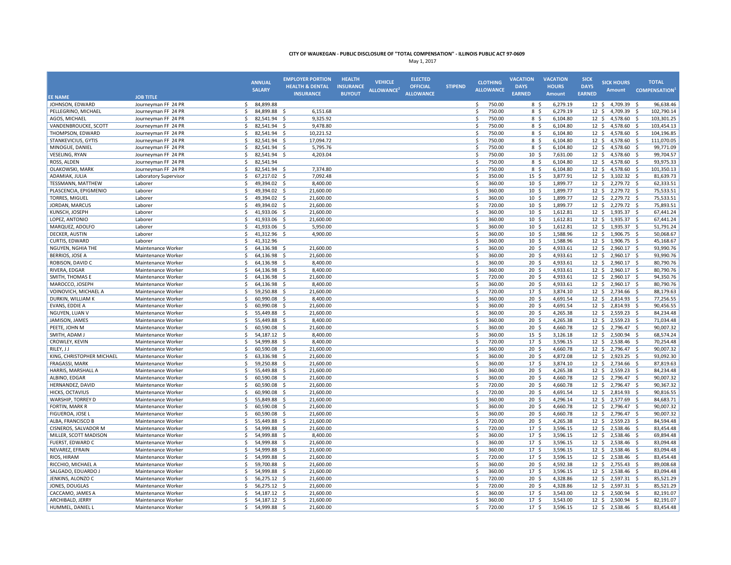|                           |                                          | <b>ANNUAL</b><br><b>SALARY</b>     | <b>EMPLOYER PORTION</b><br><b>HEALTH &amp; DENTAL</b> | <b>HEALTH</b><br><b>INSURANCE</b> | <b>VEHICLE</b><br>ALLOWANCE <sup>2</sup> | <b>ELECTED</b><br><b>OFFICIAL</b> | <b>STIPEND</b> |                    | <b>CLOTHING</b><br><b>ALLOWANCE</b> | <b>VACATION</b><br><b>DAYS</b>     | <b>VACATION</b><br><b>HOURS</b> | <b>SICK</b><br><b>DAYS</b> | <b>SICK HOURS</b><br><b>Amount</b>      |            | <b>TOTAL</b><br><b>COMPENSATION</b> |
|---------------------------|------------------------------------------|------------------------------------|-------------------------------------------------------|-----------------------------------|------------------------------------------|-----------------------------------|----------------|--------------------|-------------------------------------|------------------------------------|---------------------------------|----------------------------|-----------------------------------------|------------|-------------------------------------|
| <b>EE NAME</b>            | <b>JOB TITLE</b>                         |                                    | <b>INSURANCE</b>                                      | <b>BUYOUT</b>                     |                                          | <b>ALLOWANCE</b>                  |                |                    |                                     | <b>EARNED</b>                      | Amount                          | <b>EARNED</b>              |                                         |            |                                     |
| JOHNSON, EDWARD           | Journeyman FF 24 PR                      | 84,899.88<br>\$                    |                                                       |                                   |                                          |                                   |                | \$.                | 750.00                              | 8\$                                | 6,279.19                        |                            | 12 \$ 4,709.39                          | - Ś        | 96,638.46                           |
| PELLEGRINO, MICHAEL       | Journeyman FF 24 PR                      | \$<br>84,899.88                    | - \$<br>6,151.68                                      |                                   |                                          |                                   |                | \$                 | 750.00                              | 8\$                                | 6,279.19                        |                            | $12 \div$<br>4,709.39                   | -S         | 102,790.14                          |
| AGOS, MICHAEL             | Journeyman FF 24 PR                      | \$<br>82,541.94 \$                 | 9,325.92                                              |                                   |                                          |                                   |                | \$                 | 750.00                              | 8\$                                | 6,104.80                        |                            | $12 \div$<br>4,578.60 \$                |            | 103,301.25                          |
| VANDENBROUCKE, SCOTT      | Journeyman FF 24 PR                      | \$<br>82,541.94                    | 9,478.80<br>- \$                                      |                                   |                                          |                                   |                | Ś                  | 750.00                              | 8 \$                               | 6,104.80                        | $12 \div$                  | 4,578.60                                | - Ś        | 103,454.13                          |
| THOMPSON, EDWARD          | Journeyman FF 24 PR                      | \$<br>82,541.94                    | - Ś<br>10,221.52                                      |                                   |                                          |                                   |                | \$                 | 750.00                              | 8 \$                               | 6,104.80                        |                            | 12 <sup>5</sup><br>4,578.60 \$          |            | 104,196.85                          |
| STANKEVICIUS, GYTIS       | Journeyman FF 24 PR                      | 82.541.94<br>Ŝ.                    | 17,094.72<br>- Ś                                      |                                   |                                          |                                   |                | Ŝ.                 | 750.00                              | 8\$                                | 6,104.80                        | 12 <sup>5</sup>            | 4,578.60                                | - Ś        | 111,070.05                          |
| MINOGUE, DANIEL           | Journeyman FF 24 PR                      | Š.<br>82,541.94                    | 5,795.76<br>- \$                                      |                                   |                                          |                                   |                | \$                 | 750.00                              | 8 \$                               | 6,104.80                        |                            | 4,578.60 \$<br>$12 \cdot 5$             |            | 99,771.09                           |
| VESELING, RYAN            | Journeyman FF 24 PR                      | \$<br>82,541.94                    | - \$<br>4,203.04                                      |                                   |                                          |                                   |                | \$                 | 750.00                              | 10 <sup>5</sup>                    | 7,631.00                        |                            | 12 <sup>5</sup><br>4,578.60             | - \$       | 99,704.57                           |
| ROSS, ALDEN               | Journeyman FF 24 PR                      | Ś<br>82,541.94                     |                                                       |                                   |                                          |                                   |                | Ś                  | 750.00                              | 8 \$                               | 6,104.80                        | 12 <sup>5</sup>            | 4,578.60                                | -S         | 93,975.33                           |
| OLAKOWSKI, MARK           | Journeyman FF 24 PR                      | 82,541.94 \$<br>\$.                | 7,374.80                                              |                                   |                                          |                                   |                | Ś                  | 750.00                              | 8\$                                | 6,104.80                        |                            | $12 \cdot 5$<br>4,578.60 \$             |            | 101,350.13                          |
| ADAMIAK, JULIA            | Laboratory Supervisor                    | Ś<br>67,217.02                     | 7,092.48<br>- \$                                      |                                   |                                          |                                   |                | Ś                  | 350.00                              | 15 <sup>5</sup>                    | 3,877.91                        | $12 \cdot 5$               | 3,102.32                                | - \$       | 81,639.73                           |
| TESSMANN, MATTHEW         | Laborer                                  | 49,394.02 \$<br>Ŝ.                 | 8,400.00                                              |                                   |                                          |                                   |                | Ś.                 | 360.00                              | $10 \;$ \$                         | 1,899.77                        |                            | $12 \div$<br>2,279.72 \$                |            | 62,333.51                           |
| PLASCENCIA, EPIGMENIO     | Laborer                                  | \$<br>49,394.02 \$                 | 21,600.00                                             |                                   |                                          |                                   |                | \$                 | 360.00                              | $10 \;$ \$                         | 1,899.77                        |                            | 12 \$ 2,279.72 \$                       |            | 75,533.51                           |
| <b>TORRES, MIGUEL</b>     | Laborer                                  | Ś.<br>49,394.02 \$                 | 21,600.00                                             |                                   |                                          |                                   |                | \$                 | 360.00                              | 10 <sup>5</sup>                    | 1,899.77                        |                            | $12 \cdot 5$<br>2,279.72 \$             |            | 75,533.51                           |
| JORDAN, MARCUS            | Laborer                                  | $\mathsf{s}$<br>49,394.02          | 21,600.00<br>- Ś                                      |                                   |                                          |                                   |                | Ś                  | 720.00                              | 10 <sup>5</sup>                    | 1,899.77                        |                            | 12 <sup>5</sup><br>2,279.72             | -\$        | 75,893.51                           |
| KUNSCH, JOSEPH            | Laborer                                  | Ŝ.<br>41,933.06                    | 21,600.00<br>- Ś                                      |                                   |                                          |                                   |                | \$                 | 360.00                              | 10 <sup>5</sup>                    | 1,612.81                        |                            | 12 \$ 1,935.37 \$                       |            | 67,441.24                           |
| LOPEZ, ANTONIO            | Laborer                                  | 41.933.06 \$<br>Ŝ.                 | 21,600.00                                             |                                   |                                          |                                   |                | Ŝ.                 | 360.00                              | 10 <sup>5</sup>                    | 1,612.81                        |                            | 12 <sup>5</sup><br>1,935.37             | - \$       | 67,441.24                           |
| MARQUEZ, ADOLFO           | Laborer                                  | Ś.<br>41,933.06 \$                 | 5,950.00                                              |                                   |                                          |                                   |                | \$                 | 360.00                              | 10 <sup>5</sup>                    | 1,612.81                        |                            | 12 \$ 1,935.37 \$                       |            | 51,791.24                           |
| DECKER, AUSTIN            | Laborer                                  | \$<br>41,312.96 \$                 | 4,900.00                                              |                                   |                                          |                                   |                | \$                 | 360.00                              | 10 <sup>5</sup>                    | 1,588.96                        |                            | $12 \cdot 5$<br>1,906.75 \$             |            | 50,068.67                           |
| CURTIS, EDWARD            | Laborer                                  | \$.<br>41,312.96                   |                                                       |                                   |                                          |                                   |                | $\mathsf{\hat{S}}$ | 360.00                              | 10 <sup>5</sup>                    | 1,588.96                        | 12 <sup>5</sup>            | 1,906.75                                | -S         | 45,168.67                           |
| NGUYEN, NGHIA THE         | Maintenance Worker                       | 64,136.98<br>S                     | 21,600.00<br>-S                                       |                                   |                                          |                                   |                | Ŝ                  | 360.00                              | 20 <sup>5</sup>                    | 4,933.61                        |                            | 2,960.17<br>$12 \cdot 5$                | - S        | 93,990.76                           |
| <b>BERRIOS, JOSE A</b>    | Maintenance Worker                       | Ś.<br>64,136.98                    | 21,600.00<br>-S                                       |                                   |                                          |                                   |                | Ś.                 | 360.00                              | 20 <sub>5</sub>                    | 4,933.61                        |                            | 12 <sup>5</sup><br>2,960.17             | - \$       | 93,990.76                           |
| ROBISON, DAVID C          | Maintenance Worker                       | \$<br>64,136.98 \$                 | 8,400.00                                              |                                   |                                          |                                   |                | \$                 | 360.00                              | $20 \frac{2}{3}$                   | 4,933.61                        |                            | $12 \div$<br>2,960.17                   | -\$        | 80,790.76                           |
| RIVERA, EDGAR             | Maintenance Worker                       | \$<br>64,136.98                    | 8,400.00<br>- \$                                      |                                   |                                          |                                   |                | \$                 | 360.00                              | $20 \frac{2}{3}$                   | 4,933.61                        |                            | $12 \div$<br>2,960.17                   | -\$        | 80,790.76                           |
| SMITH, THOMAS E           | Maintenance Worker                       | 64,136.98 \$<br>\$                 | 21,600.00                                             |                                   |                                          |                                   |                | Ś                  | 720.00                              | 20 <sub>5</sub>                    | 4,933.61                        |                            | $12 \quad$<br>2,960.17 \$               |            | 94,350.76                           |
| MAROCCO, JOSEPH           | Maintenance Worker                       | 64,136.98 \$<br>Ś.                 | 8,400.00                                              |                                   |                                          |                                   |                | Ŝ.                 | 360.00                              | 20 <sup>5</sup>                    | 4,933.61                        |                            | 12 \$ 2,960.17 \$                       |            | 80,790.76                           |
| VOINOVICH, MICHAEL A      | Maintenance Worker                       | Ś.<br>59,250.88                    | 21,600.00<br>- Ś                                      |                                   |                                          |                                   |                | Ŝ.                 | 720.00                              | 17 <sub>5</sub>                    | 3,874.10                        |                            | 12 <sup>5</sup><br>2,734.66 \$          |            | 88,179.63                           |
| DURKIN, WILLIAM K         | Maintenance Worker                       | \$<br>60,990.08                    | 8,400.00<br>- \$                                      |                                   |                                          |                                   |                | \$                 | 360.00                              | 20 <sub>5</sub>                    | 4,691.54                        |                            | $12 \cdot 5$<br>2,814.93                | - S        | 77,256.55                           |
| EVANS, EDDIE A            | Maintenance Worker                       | Ś.<br>60,990.08                    | 21,600.00<br>- \$                                     |                                   |                                          |                                   |                | \$                 | 360.00                              | 20 <sub>5</sub>                    | 4,691.54                        |                            | $12 \cdot 5$<br>2,814.93                | - S        | 90,456.55                           |
| NGUYEN, LUAN V            | Maintenance Worker                       | Ś.<br>55,449.88                    | - Ś<br>21,600.00                                      |                                   |                                          |                                   |                | Š.                 | 360.00                              | 20 <sub>5</sub>                    | 4,265.38                        |                            | 12 <sup>5</sup><br>2,559.23             | - S        | 84,234.48                           |
| JAMISON, JAMES            | Maintenance Worker                       | \$<br>55,449.88                    | - \$<br>8,400.00                                      |                                   |                                          |                                   |                | Ś                  | 360.00                              | 20 <sub>5</sub>                    | 4,265.38                        |                            | 12 <sup>5</sup><br>2,559.23             | -\$        | 71,034.48                           |
| PEETE, JOHN M             | Maintenance Worker                       | 60,590.08 \$<br>Ŝ.                 | 21,600.00                                             |                                   |                                          |                                   |                | Ś.                 | 360.00                              | 20 <sub>5</sub>                    | 4,660.78                        |                            | 12 <sup>5</sup><br>2,796.47             | - S        | 90,007.32                           |
| SMITH, ADAM J             | Maintenance Worker                       | \$<br>54,187.12                    | 8,400.00<br>-\$                                       |                                   |                                          |                                   |                | \$                 | 360.00                              | $15 \; \S$                         | 3,126.18                        | $12 \div$                  | 2,500.94                                | -S         | 68,574.24                           |
| CROWLEY, KEVIN            |                                          | \$<br>54,999.88 \$                 | 8,400.00                                              |                                   |                                          |                                   |                | \$                 | 720.00                              | 17 <sup>5</sup>                    | 3,596.15                        |                            | $12 \div$<br>2,538.46                   | - Ś        | 70,254.48                           |
| RILEY, J J                | Maintenance Worker<br>Maintenance Worker | \$<br>60,590.08                    | 21,600.00<br>- \$                                     |                                   |                                          |                                   |                | Ś                  | 360.00                              | $20 \frac{2}{3}$                   | 4,660.78                        |                            | $12 \div$<br>2,796.47                   | -\$        | 90,007.32                           |
| KING, CHRISTOPHER MICHAEL | Maintenance Worker                       | \$<br>63,336.98                    | - Ś<br>21,600.00                                      |                                   |                                          |                                   |                | \$                 | 360.00                              | 20 <sup>5</sup>                    | 4,872.08                        |                            | 12 \$ 2,923.25 \$                       |            | 93,092.30                           |
| <b>FRAGASSI, MARK</b>     | Maintenance Worker                       | 59,250.88<br>Ŝ.                    | 21,600.00<br>- Ś                                      |                                   |                                          |                                   |                | Ŝ.                 | 360.00                              | 17 <sup>5</sup>                    | 3,874.10                        |                            | 12 <sup>5</sup><br>2,734.66             | - S        | 87,819.63                           |
| HARRIS, MARSHALL A        | Maintenance Worker                       | Ś.<br>55,449.88                    | 21,600.00<br>- \$                                     |                                   |                                          |                                   |                | \$                 | 360.00                              | 20 <sub>5</sub>                    | 4,265.38                        |                            | $12 \cdot 5$<br>2,559.23                | - S        | 84,234.48                           |
| ALBINO, EDGAR             | Maintenance Worker                       | Ś.<br>60,590.08 \$                 | 21,600.00                                             |                                   |                                          |                                   |                | \$                 | 360.00                              | 20 <sub>5</sub>                    | 4,660.78                        |                            | 12 <sup>5</sup><br>2,796.47             | - \$       | 90,007.32                           |
| HERNANDEZ, DAVID          | Maintenance Worker                       | Ś<br>60,590.08                     | Ŝ.<br>21,600.00                                       |                                   |                                          |                                   |                | Ś                  | 720.00                              | 20 <sub>5</sub>                    | 4,660.78                        |                            | 12 <sup>5</sup><br>2,796.47             | -S         | 90,367.32                           |
| HICKS, OCTAVIUS           | Maintenance Worker                       | \$.<br>60,990.08 \$                | 21,600.00                                             |                                   |                                          |                                   |                | Ś                  | 720.00                              | 20 <sub>5</sub>                    | 4,691.54                        |                            | $12 \cdot 5$<br>2,814.93 \$             |            | 90,816.55                           |
| WARSHIP, TORREY D         | Maintenance Worker                       | Ś<br>55,849.88                     | 21,600.00<br>- \$                                     |                                   |                                          |                                   |                | Ś                  | 360.00                              | 20 <sup>5</sup>                    | 4,296.14                        | $12 \cdot 5$               | 2,577.69                                | - Ś        | 84,683.71                           |
| FORTIN, MARK R            | Maintenance Worker                       | 60,590.08 \$<br>Ŝ.                 | 21,600.00                                             |                                   |                                          |                                   |                | Ś                  | 360.00                              | $20 \frac{2}{3}$                   | 4,660.78                        |                            | $12 \div$<br>2,796.47                   | - S        | 90,007.32                           |
| FIGUEROA, JOSE I          |                                          | \$<br>60,590.08                    | -\$<br>21,600.00                                      |                                   |                                          |                                   |                | \$                 | 360.00                              | $20 \frac{2}{3}$                   | 4,660.78                        |                            | $12 \div$<br>2,796.47                   |            | 90,007.32                           |
| ALBA, FRANCISCO B         | Maintenance Worker                       | \$                                 |                                                       |                                   |                                          |                                   |                | \$                 | 720.00                              | 20 <sub>5</sub>                    |                                 |                            |                                         | -\$        | 84,594.48                           |
| CISNEROS, SALVADOR M      | Maintenance Worker<br>Maintenance Worker | 55,449.88 \$<br>Ś.<br>54,999.88 \$ | 21,600.00<br>21,600.00                                |                                   |                                          |                                   |                | Ŝ.                 | 720.00                              | 17 <sub>5</sub>                    | 4,265.38<br>3,596.15            |                            | $12 \div$<br>2,559.23<br>12 \$ 2,538.46 | -\$<br>-\$ | 83,454.48                           |
| MILLER, SCOTT MADISON     | Maintenance Worker                       | 54,999.88<br>Ŝ.                    | 8,400.00<br>- Ś                                       |                                   |                                          |                                   |                | \$                 | 360.00                              | 17 <sup>5</sup>                    | 3,596.15                        |                            | 12 \$ 2,538.46 \$                       |            | 69,894.48                           |
| <b>FUERST, EDWARD C</b>   |                                          | 54.999.88<br>Ŝ.                    |                                                       |                                   |                                          |                                   |                | Ŝ.                 | 360.00                              |                                    |                                 |                            | 12 <sup>5</sup>                         |            | 83.094.48                           |
| NEVAREZ, EFRAIN           | Maintenance Worker<br>Maintenance Worker | Ś.<br>54,999.88 \$                 | 21,600.00<br>- Ś<br>21,600.00                         |                                   |                                          |                                   |                | \$                 | 360.00                              | 17 <sub>5</sub><br>17 <sub>5</sub> | 3,596.15<br>3,596.15            |                            | 2,538.46<br>$12 \cdot 5$                | - S        | 83,094.48                           |
| RIOS, HIRAM               | Maintenance Worker                       | Ś.<br>54,999.88                    | 21,600.00<br>- S                                      |                                   |                                          |                                   |                | Ś                  | 720.00                              | 17 <sub>5</sub>                    | 3,596.15                        |                            | 2,538.46 \$<br>$12 \cdot 5$<br>2,538.46 |            | 83,454.48                           |
| RICCHIO, MICHAEL A        | Maintenance Worker                       | Ś.<br>59,700.88                    | 21,600.00<br>- \$                                     |                                   |                                          |                                   |                | Ś                  | 360.00                              | 20 <sub>5</sub>                    | 4,592.38                        |                            | 12 <sup>5</sup><br>2,755.43             | - S<br>- Ś | 89,008.68                           |
|                           |                                          |                                    | 21,600.00                                             |                                   |                                          |                                   |                | Ś                  | 360.00                              |                                    |                                 |                            |                                         |            | 83,094.48                           |
| SALGADO, EDUARDO J        | Maintenance Worker                       | 54,999.88 \$<br>S                  |                                                       |                                   |                                          |                                   |                |                    |                                     | 17 <sup>5</sup>                    | 3,596.15                        |                            | $12 \cdot 5$<br>2,538.46 \$             |            |                                     |
| JENKINS, ALONZO C         | Maintenance Worker                       | Ś.<br>56,275.12 \$                 | 21,600.00                                             |                                   |                                          |                                   |                | Ś.                 | 720.00                              | 20 <sub>5</sub>                    | 4,328.86                        |                            | 12 <sup>5</sup><br>2,597.31             | - \$       | 85,521.29                           |
| JONES, DOUGLAS            | Maintenance Worker                       | \$<br>56,275.12 \$                 | 21,600.00                                             |                                   |                                          |                                   |                | \$                 | 720.00                              | $20 \frac{2}{3}$                   | 4,328.86                        |                            | $12 \div$<br>2,597.31                   | -\$        | 85,521.29                           |
| CACCAMO, JAMES A          | Maintenance Worker                       | Ś.<br>54,187.12 \$                 | 21,600.00                                             |                                   |                                          |                                   |                | Ś                  | 360.00                              | 17 <sub>5</sub>                    | 3,543.00                        |                            | $12 \div$<br>2,500.94                   | -S         | 82,191.07                           |
| ARCHIBALD, JERRY          | Maintenance Worker                       | 54,187.12 \$<br>Ś.                 | 21,600.00                                             |                                   |                                          |                                   |                | Ś.                 | 360.00                              | 17 <sub>5</sub>                    | 3,543.00                        |                            | 12 \$ 2,500.94 \$                       |            | 82,191.07                           |
| HUMMEL, DANIEL I          | Maintenance Worker                       | Ś.<br>54.999.88 \$                 | 21.600.00                                             |                                   |                                          |                                   |                | Ŝ.                 | 720.00                              | 17 <sub>5</sub>                    | 3.596.15                        |                            | 12 \$ 2,538.46 \$                       |            | 83.454.48                           |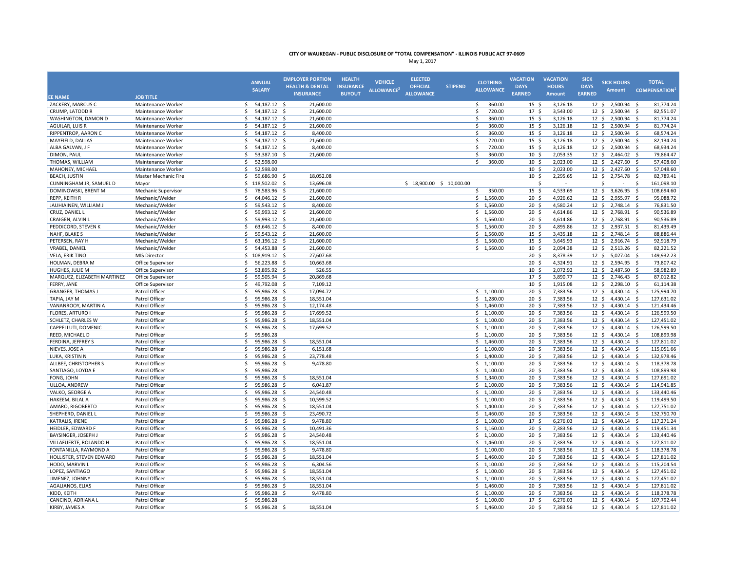|                                   |                                  | <b>ANNUAL</b><br><b>SALARY</b>        | <b>EMPLOYER PORTION</b><br><b>HEALTH &amp; DENTAL</b> | <b>HEALTH</b><br><b>INSURANCE</b> | <b>VEHICLE</b><br>ALLOWANCE <sup>2</sup> | <b>ELECTED</b><br><b>OFFICIAL</b> | <b>STIPEND</b> | <b>CLOTHING</b><br><b>ALLOWANCE</b> | <b>VACATION</b><br><b>DAYS</b>      | <b>VACATION</b><br><b>HOURS</b> | <b>SICK</b><br><b>DAYS</b>   | <b>SICK HOURS</b><br><b>Amount</b> | <b>TOTAL</b><br><b>COMPENSATION</b>    |
|-----------------------------------|----------------------------------|---------------------------------------|-------------------------------------------------------|-----------------------------------|------------------------------------------|-----------------------------------|----------------|-------------------------------------|-------------------------------------|---------------------------------|------------------------------|------------------------------------|----------------------------------------|
| <b>EE NAME</b>                    | <b>JOB TITLE</b>                 |                                       | <b>INSURANCE</b>                                      | <b>BUYOUT</b>                     |                                          | <b>ALLOWANCE</b>                  |                |                                     | <b>EARNED</b>                       | <b>Amount</b>                   | <b>EARNED</b>                |                                    |                                        |
| ZACKERY, MARCUS C                 | Maintenance Worker               | 54,187.12 \$<br>\$                    | 21,600.00                                             |                                   |                                          |                                   |                | 360.00<br>\$.                       | 15 <sup>5</sup>                     | 3,126.18                        |                              | 12 \$ 2,500.94                     | 81,774.24<br>- S                       |
| CRUMP, LATODD R                   | Maintenance Worker               | Ś.<br>54,187.12 \$                    | 21,600.00                                             |                                   |                                          |                                   |                | Ś.<br>720.00                        | 17 <sup>5</sup>                     | 3,543.00                        | 12 <sup>5</sup>              | 2,500.94                           | 82,551.07<br>-S                        |
| WASHINGTON, DAMON D               | Maintenance Worker               | \$<br>54,187.12 \$                    | 21,600.00                                             |                                   |                                          |                                   |                | \$<br>360.00                        | $15 \frac{2}{3}$                    | 3,126.18                        | $12 \div$                    | 2,500.94 \$                        | 81,774.24                              |
| AGUILAR, LUIS R                   | Maintenance Worker               | \$<br>54,187.12 \$                    | 21,600.00                                             |                                   |                                          |                                   |                | Ś<br>360.00                         | $15 \; \S$                          | 3,126.18                        | $12 \div$                    | 2,500.94                           | 81,774.24<br>-S                        |
| RIPPENTROP, AARON C               | Maintenance Worker               | \$<br>54,187.12 \$                    | 8,400.00                                              |                                   |                                          |                                   |                | Ś.<br>360.00                        | $15 \; \S$                          | 3,126.18                        |                              | 12 \$ 2,500.94 \$                  | 68,574.24                              |
| MAYFIELD, DALLAS                  | Maintenance Worker               | \$<br>54,187.12 \$                    | 21,600.00                                             |                                   |                                          |                                   |                | 720.00<br>Ś.                        | 15 <sup>5</sup>                     | 3,126.18                        |                              | 12 \$ 2,500.94                     | 82,134.24<br>S,                        |
| ALBA GALVAN. J F                  | Maintenance Worker               | 54,187.12 \$<br>\$                    | 8,400.00                                              |                                   |                                          |                                   |                | \$<br>720.00                        | 15 <sup>5</sup>                     | 3,126.18                        |                              | 12 \$ 2,500.94 \$                  | 68,934.24                              |
| DIMON, PAUL                       | Maintenance Worker               | Ś.<br>53.387.10 \$                    | 21.600.00                                             |                                   |                                          |                                   |                | Ŝ.<br>360.00                        | 10 <sup>5</sup>                     | 2,053.35                        | $12 \cdot 5$                 | 2,464.02                           | 79,864.47<br>- S                       |
| THOMAS, WILLIAM                   | Maintenance Worker               | Ś.<br>52,598.00                       |                                                       |                                   |                                          |                                   |                | Š.<br>360.00                        | 10 <sup>5</sup>                     | 2,023.00                        | $12 \cdot 5$                 | 2,427.60                           | 57,408.60<br>- \$                      |
| MAHONEY, MICHAEL                  | Maintenance Worker               | \$<br>52,598.00                       |                                                       |                                   |                                          |                                   |                |                                     | 10 <sup>5</sup>                     | 2,023.00                        |                              | $12 \div 2,427.60 \div$            | 57,048.60                              |
| <b>BEACH, JUSTIN</b>              | Master Mechanic Fire             | Ś.<br>59,686.90                       | 18,052.08<br>-S                                       |                                   |                                          |                                   |                |                                     | 10 <sup>5</sup>                     | 2,295.65                        | 12 <sup>5</sup>              | 2,754.78                           | 82,789.41<br>- \$                      |
| CUNNINGHAM JR, SAMUEL D           | Mayor                            | \$<br>118,502.02                      | - Ś<br>13,696.08                                      |                                   |                                          | $$18,900.00$$ \$ 10,000.00        |                |                                     | Ś                                   | $\sim$                          |                              | Ś                                  | 161,098.10<br>-Ś                       |
| DOMINOWSKI, BRENT M               | Mechanic Supervisor              | \$<br>78,583.96 \$                    | 21,600.00                                             |                                   |                                          |                                   |                | \$<br>350.00                        | 15 <sup>5</sup>                     | 4,533.69                        | $12 \quad$                   | 3,626.95                           | - \$<br>108,694.60                     |
| REPP, KEITH R                     | Mechanic/Welder                  | \$<br>64,046.12 \$                    | 21,600.00                                             |                                   |                                          |                                   |                | \$1,560.00                          | 20 <sub>5</sub>                     | 4,926.62                        | $12 \cdot 5$                 | 2,955.97                           | -\$<br>95,088.72                       |
| JAUHIAINEN, WILLIAM J             | Mechanic/Welder                  | \$<br>59,543.12                       | 8,400.00<br>- \$                                      |                                   |                                          |                                   |                | \$1,560.00                          | $20 \frac{2}{3}$                    | 4,580.24                        | $12 \div$                    | 2,748.14                           | 76,831.50<br>-S                        |
| CRUZ, DANIEL L                    | Mechanic/Welder                  | \$<br>59,993.12 \$                    | 21,600.00                                             |                                   |                                          |                                   |                | \$1,560.00                          | $20 \frac{2}{3}$                    | 4,614.86                        |                              | 12 \$ 2,768.91 \$                  | 90,536.89                              |
| CRAIGEN, ALVIN I                  | Mechanic/Welder                  | \$<br>59,993.12 \$                    | 21,600.00                                             |                                   |                                          |                                   |                | \$1,560.00                          | 20 <sup>5</sup>                     | 4,614.86                        |                              | 12 \$ 2,768.91 \$                  | 90,536.89                              |
| PEDDICORD, STEVEN K               | Mechanic/Welder                  | \$<br>63,646.12 \$                    | 8,400.00                                              |                                   |                                          |                                   |                | \$1,560.00                          | 20 <sup>5</sup>                     | 4,895.86                        |                              | 12 \$ 2,937.51 \$                  | 81,439.49                              |
| NAHF, BLAKE S                     | Mechanic/Welder                  | 59,543.12 \$<br>\$                    | 21,600.00                                             |                                   |                                          |                                   |                | \$1,560.00                          | 15 <sup>5</sup>                     | 3,435.18                        |                              | 12 \$ 2,748.14 \$                  | 88,886.44                              |
| PETERSEN. RAY H                   | Mechanic/Welder                  | 63.196.12 \$<br>Ŝ.                    | 21,600.00                                             |                                   |                                          |                                   |                | \$1,560.00                          | 15 <sup>5</sup>                     | 3,645.93                        | 12 <sup>5</sup>              | 2,916.74 \$                        | 92,918.79                              |
| VRABEL, DANIEL                    | Mechanic/Welder                  | Ŝ.<br>54,453.88 \$                    | 21,600.00                                             |                                   |                                          |                                   |                | \$1,560.00                          | 10 <sup>5</sup>                     | 2,094.38                        |                              | $12 \div 2,513.26 \div$            | 82,221.52                              |
| VELA, ERIK TINO                   | <b>MIS Director</b>              | \$<br>108,919.12 \$                   | 27,607.68                                             |                                   |                                          |                                   |                |                                     | 20 <sub>5</sub>                     | 8,378.39                        | $12 \div$                    | 5,027.04 \$                        | 149,932.23                             |
| HOLMAN, DEBRA M                   | Office Supervisor                | \$<br>56,223.88 \$                    | 10,663.68                                             |                                   |                                          |                                   |                |                                     | 20 <sub>5</sub>                     | 4,324.91                        | $12 \cdot 5$                 | 2,594.95 \$                        | 73,807.42                              |
| HUGHES, JULIE M                   | Office Supervisor                | \$<br>53,895.92                       | - \$<br>526.55                                        |                                   |                                          |                                   |                |                                     | 10 <sup>5</sup>                     | 2,072.92                        | $12 \cdot 5$                 | 2,487.50                           | 58,982.89<br>- Ś                       |
| MARQUEZ, ELIZABETH MARTINEZ       | Office Supervisor                | 59,505.94 \$<br>S                     | 20,869.68                                             |                                   |                                          |                                   |                |                                     | 17 <sub>5</sub>                     | 3,890.77                        | $12 \cdot 5$                 | 2,746.43 \$                        | 87,012.82                              |
| <b>FERRY, JANE</b>                | Office Supervisor                | Ś.<br>49,792.08 \$                    | 7,109.12                                              |                                   |                                          |                                   |                |                                     | $10 \;$ \$                          | 1,915.08                        |                              | 12 \$ 2,298.10 \$                  | 61,114.38                              |
| <b>GRANGER, THOMAS J</b>          | Patrol Officer                   | Ś.<br>95,986.28 \$                    | 17,094.72                                             |                                   |                                          |                                   |                | \$1,100.00                          | 20 <sub>5</sub>                     | 7,383.56                        |                              | 12 \$ 4,430.14 \$                  | 125,994.70                             |
| TAPIA, JAY M                      | Patrol Officer                   | \$<br>95,986.28 \$                    | 18,551.04                                             |                                   |                                          |                                   |                | \$1,280.00                          | 20 <sub>5</sub>                     | 7,383.56                        | $12 \div$                    | 4,430.14 \$                        | 127,631.02                             |
| VANANROOY, MARTIN A               | Patrol Officer                   | \$<br>95,986.28 \$                    | 12,174.48                                             |                                   |                                          |                                   |                | \$1,460.00                          | 20 <sub>5</sub>                     | 7,383.56                        | $12 \div$                    | 4,430.14 \$                        | 121,434.46                             |
| <b>FLORES, ARTURO I</b>           | Patrol Officer                   | 95,986.28 \$<br>Ś.                    | 17,699.52                                             |                                   |                                          |                                   |                | \$1,100.00                          | 20 <sup>5</sup>                     | 7,383.56                        | 12 <sup>5</sup>              | 4,430.14 \$                        | 126,599.50                             |
| SCHLETZ, CHARLES W                | Patrol Officer                   | \$<br>95,986.28 \$                    | 18,551.04                                             |                                   |                                          |                                   |                | \$1,100.00                          | 20 <sub>5</sub>                     | 7,383.56                        | 12 <sup>5</sup>              | 4,430.14 \$                        | 127,451.02                             |
| CAPPELLUTI, DOMENIC               | Patrol Officer                   | \$<br>95,986.28 \$                    | 17,699.52                                             |                                   |                                          |                                   |                | \$1,100.00                          | 20 <sub>5</sub>                     | 7,383.56                        | $12 \cdot 5$                 | $4,430.14$ \$                      | 126,599.50                             |
| REED, MICHAEL D                   | Patrol Officer                   | Ś<br>95,986.28                        |                                                       |                                   |                                          |                                   |                | \$1,100.00                          | 20 <sub>5</sub>                     | 7,383.56                        | $12 \cdot 5$                 | 4,430.14                           | 108,899.98<br>- S                      |
| FERDINA, JEFFREY S                | Patrol Officer                   | 95,986.28<br>Ŝ.                       | -S                                                    |                                   |                                          |                                   |                | \$1,460.00                          | $20 \frac{2}{3}$                    | 7,383.56                        | $12 \div$                    | 4,430.14 \$                        | 127,811.02                             |
|                                   |                                  | \$<br>95,986.28                       | 18,551.04<br>-S                                       |                                   |                                          |                                   |                |                                     | 20 <sub>5</sub>                     | 7,383.56                        | 12 <sup>5</sup>              | 4,430.14                           | 115,051.66<br>- \$                     |
| NIEVES, JOSE A<br>LUKA, KRISTIN N | Patrol Officer<br>Patrol Officer | \$<br>95,986.28 \$                    | 6,151.68<br>23,778.48                                 |                                   |                                          |                                   |                | \$1,100.00<br>\$1,400.00            | $20 \frac{2}{3}$                    | 7,383.56                        | $12 \div$                    | 4,430.14                           | - \$<br>132,978.46                     |
| ALLBEE, CHRISTOPHER S             | Patrol Officer                   | \$<br>95,986.28                       | 9,478.80<br>- \$                                      |                                   |                                          |                                   |                | \$1,100.00                          | $20 \frac{2}{3}$                    | 7,383.56                        | $12 \div$                    | $4,430.14$ \$                      | 118,378.78                             |
| SANTIAGO, LOYDA E                 | Patrol Officer                   | \$<br>95,986.28                       |                                                       |                                   |                                          |                                   |                | \$1,100.00                          | 20 <sub>5</sub>                     | 7,383.56                        | 12 <sup>5</sup>              | 4,430.14 \$                        | 108,899.98                             |
| FONG, JOHN                        | Patrol Officer                   | Ś.<br>95,986.28                       | 18,551.04<br>- \$                                     |                                   |                                          |                                   |                | \$1,340.00                          | 20 <sup>5</sup>                     | 7,383.56                        | 12 <sup>5</sup>              | 4,430.14 \$                        | 127,691.02                             |
|                                   |                                  |                                       |                                                       |                                   |                                          |                                   |                |                                     |                                     |                                 |                              |                                    |                                        |
| ULLOA, ANDREW<br>VALKO, GEORGE A  | Patrol Officer<br>Patrol Officer | \$<br>95,986.28<br>95,986.28 \$<br>Ŝ. | - \$<br>6,041.87<br>24,540.48                         |                                   |                                          |                                   |                | \$1,100.00<br>\$1,100.00            | $20 \frac{2}{3}$<br>20 <sub>5</sub> | 7,383.56<br>7,383.56            | $12 \div$<br>12 <sup>5</sup> | 4,430.14 \$<br>4,430.14            | 114,941.85<br>133,440.46<br>- S        |
| HAKEEM, BILAL A                   | Patrol Officer                   | Ś.<br>95,986.28                       | - \$<br>10,599.52                                     |                                   |                                          |                                   |                | \$1,100.00                          | 20 <sub>5</sub>                     | 7,383.56                        | 12 <sup>5</sup>              | 4,430.14 \$                        | 119,499.50                             |
| AMARO, RIGOBERTO                  | Patrol Officer                   | Ś.<br>95,986.28 \$                    | 18,551.04                                             |                                   |                                          |                                   |                | \$1,400.00                          | 20 <sup>5</sup>                     | 7,383.56                        | 12 <sup>5</sup>              | 4,430.14 \$                        | 127,751.02                             |
|                                   |                                  | \$<br>95,986.28 \$                    |                                                       |                                   |                                          |                                   |                |                                     | 20 <sub>5</sub>                     | 7,383.56                        | $12 \div$                    | 4,430.14 \$                        | 132,750.70                             |
| SHEPHERD, DANIEL L                | Patrol Officer                   | Ŝ.                                    | 23,490.72                                             |                                   |                                          |                                   |                | \$1,460.00                          | 17 <sub>5</sub>                     |                                 | 12 <sup>5</sup>              |                                    |                                        |
| KATRALIS, IRENE                   | Patrol Officer                   | 95,986.28<br>Ś<br>95,986.28           | - Ś<br>9,478.80<br>-\$<br>10,491.36                   |                                   |                                          |                                   |                | \$1,100.00<br>\$1,160.00            | $20 \frac{2}{3}$                    | 6,276.03<br>7,383.56            | $12 \; \text{S}$             | 4,430.14<br>4,430.14               | 117,271.24<br>- S<br>-\$<br>119,451.34 |
| HEIDLER, EDWARD F                 | Patrol Officer                   |                                       |                                                       |                                   |                                          |                                   |                |                                     |                                     |                                 |                              |                                    |                                        |
| BAYSINGER, JOSEPH J               | Patrol Officer                   | \$<br>95,986.28 \$                    | 24,540.48                                             |                                   |                                          |                                   |                | \$1,100.00                          | $20 \frac{2}{3}$                    | 7,383.56                        | $12 \div$                    | 4,430.14 \$                        | 133,440.46                             |
| VILLAFUERTE, ROLANDO H            | Patrol Officer                   | \$<br>95,986.28 \$                    | 18,551.04                                             |                                   |                                          |                                   |                | \$1,460.00                          | $20 \frac{2}{3}$                    | 7,383.56                        | $12 \div$                    | 4,430.14 \$                        | 127,811.02                             |
| FONTANILLA, RAYMOND A             | Patrol Officer                   | \$<br>95,986.28 \$                    | 9,478.80                                              |                                   |                                          |                                   |                | \$1,100.00                          | 20 <sub>5</sub>                     | 7,383.56                        | 12 <sup>5</sup>              | 4,430.14                           | - Ś<br>118,378.78                      |
| HOLLISTER, STEVEN EDWARD          | Patrol Officer                   | \$<br>95,986.28 \$                    | 18,551.04                                             |                                   |                                          |                                   |                | \$1,460.00                          | 20 <sub>5</sub>                     | 7,383.56                        | 12 <sup>5</sup>              | 4,430.14                           | - Ś<br>127,811.02                      |
| HODO, MARVIN L                    | Patrol Officer                   | 95,986.28 \$<br>Ŝ.                    | 6,304.56                                              |                                   |                                          |                                   |                | \$1,100.00                          | 20 <sup>5</sup>                     | 7,383.56                        | 12S                          | 4,430.14 \$                        | 115,204.54                             |
| LOPEZ, SANTIAGO                   | Patrol Officer                   | Š.<br>95,986.28 \$                    | 18,551.04                                             |                                   |                                          |                                   |                | \$1,100.00                          | $20 \div$                           | 7,383.56                        | $12 \div$                    | 4,430.14 \$                        | 127,451.02                             |
| JIMENEZ, JOHNNY                   | Patrol Officer                   | \$<br>95,986.28                       | 18,551.04<br>- \$                                     |                                   |                                          |                                   |                | \$1,100.00                          | 20 <sub>5</sub>                     | 7,383.56                        | 12 <sup>5</sup>              | 4,430.14                           | S,<br>127,451.02                       |
| AGALIANOS, ELIAS                  | Patrol Officer                   | \$<br>95,986.28 \$                    | 18,551.04                                             |                                   |                                          |                                   |                | \$1,460.00                          | 20 <sub>5</sub>                     | 7,383.56                        | 12 <sup>5</sup>              | 4,430.14                           | -\$<br>127,811.02                      |
| KIDD, KEITH                       | Patrol Officer                   | Ś<br>95,986.28                        | -\$<br>9,478.80                                       |                                   |                                          |                                   |                | \$1,100.00                          | 20 <sub>5</sub>                     | 7,383.56                        | $12 \cdot 5$                 | 4,430.14                           | 118,378.78<br>- \$                     |
| CANCINO, ADRIANA L                | Patrol Officer                   | Ś.<br>95,986.28                       |                                                       |                                   |                                          |                                   |                | \$1,100.00                          | 17 <sup>5</sup>                     | 6,276.03                        |                              | 12 \$ 4,430.14 \$                  | 107,792.44                             |
| KIRBY, JAMES A                    | Patrol Officer                   | Ś.<br>95,986.28                       | 18,551.04<br>- Ś                                      |                                   |                                          |                                   |                | \$1,460.00                          | 20 <sub>5</sub>                     | 7,383.56                        |                              | 12 \$ 4,430.14                     | 127,811.02<br>- S                      |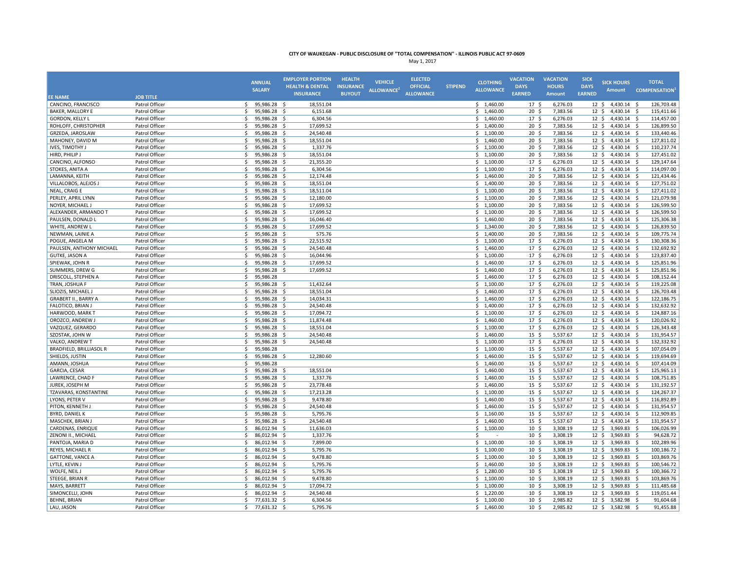|                                       |                                  |                    | <b>EMPLOYER PORTION</b>      |                        | <b>HEALTH</b>    |                        | <b>ELECTED</b>   |                |                          | <b>VACATION</b>                    | <b>VACATION</b>      | <b>SICK</b>     |                                     |                                  |
|---------------------------------------|----------------------------------|--------------------|------------------------------|------------------------|------------------|------------------------|------------------|----------------|--------------------------|------------------------------------|----------------------|-----------------|-------------------------------------|----------------------------------|
|                                       |                                  | <b>ANNUAL</b>      | <b>HEALTH &amp; DENTAL</b>   |                        | <b>INSURANCE</b> | <b>VEHICLE</b>         | <b>OFFICIAL</b>  | <b>STIPEND</b> | <b>CLOTHING</b>          | <b>DAYS</b>                        | <b>HOURS</b>         | <b>DAYS</b>     | <b>SICK HOURS</b>                   | <b>TOTAL</b>                     |
|                                       |                                  | <b>SALARY</b>      | <b>INSURANCE</b>             |                        | <b>BUYOUT</b>    | ALLOWANCE <sup>2</sup> | <b>ALLOWANCE</b> |                | <b>ALLOWANCE</b>         | <b>EARNED</b>                      | <b>Amount</b>        | <b>EARNED</b>   | <b>Amount</b>                       | <b>COMPENSATION</b>              |
| <b>EE NAME</b>                        | <b>JOB TITLE</b>                 |                    |                              |                        |                  |                        |                  |                |                          |                                    |                      |                 |                                     |                                  |
| CANCINO, FRANCISCO                    | Patrol Officer                   | 95,986.28 \$<br>S. |                              | 18,551.04              |                  |                        |                  |                | \$1,460.00               | 17 <sub>5</sub>                    | 6,276.03             |                 | 12 \$ 4,430.14 \$                   | 126,703.48                       |
| <b>BAKER, MALLORY E</b>               | Patrol Officer                   | Ś.                 | 95,986.28 \$                 | 6,151.68               |                  |                        |                  |                | \$1,460.00               | 20 <sup>5</sup>                    | 7,383.56             |                 | $12 \div 4,430.14 \div$             | 115,411.66                       |
| GORDON, KELLY L                       | Patrol Officer                   | Ŝ.                 | 95,986.28 \$                 | 6,304.56               |                  |                        |                  |                | \$1,460.00               | 17 <sub>5</sub>                    | 6,276.03             |                 | 12 \$ 4,430.14 \$                   | 114,457.00                       |
| ROHLOFF, CHRISTOPHER                  | Patrol Officer                   | \$<br>95,986.28    | -Ś                           | 17,699.52              |                  |                        |                  |                | \$1,400.00               | 20 <sub>5</sub>                    | 7,383.56             | $12 \cdot 5$    | 4,430.14 \$                         | 126,899.50                       |
| GRZEDA, JAROSLAW                      | Patrol Officer                   | \$                 | 95,986.28 \$                 | 24,540.48              |                  |                        |                  |                | \$1,100.00               | 20 <sub>5</sub>                    | 7,383.56             |                 | 12 \$ 4,430.14 \$                   | 133,440.46                       |
| MAHONEY, DAVID M                      | Patrol Officer                   | Š.                 | 95,986.28 \$                 | 18,551.04              |                  |                        |                  |                | \$1,460.00               | 20 <sub>5</sub>                    | 7,383.56             |                 | $12 \div 4,430.14 \div$             | 127,811.02                       |
| IVES, TIMOTHY J                       | Patrol Officer                   | \$.                | 95,986.28 \$                 | 1,337.76               |                  |                        |                  |                | \$1,100.00               | $20 \frac{1}{2}$                   | 7,383.56             |                 | $12 \div 4,430.14 \div$             | 110,237.74                       |
| HIRD, PHILIP J                        | Patrol Officer                   | Ś.                 | 95,986.28 \$                 | 18,551.04              |                  |                        |                  |                | \$1,100.00               | 20 <sub>5</sub>                    | 7,383.56             |                 | $12 \div 4,430.14 \div$             | 127,451.02                       |
| CANCINO, ALFONSO                      | Patrol Officer                   | \$                 | 95,986.28 \$                 | 21,355.20              |                  |                        |                  |                | \$1,100.00               | 17 <sup>5</sup>                    | 6,276.03             | $12 \cdot 5$    | 4,430.14 \$                         | 129,147.64                       |
| STOKES, ANITA A                       | Patrol Officer                   | Ś.                 | 95,986.28 \$                 | 6,304.56               |                  |                        |                  |                | \$1,100.00               | 17 <sup>5</sup>                    | 6,276.03             | $12 \cdot 5$    | 4,430.14 \$                         | 114,097.00                       |
| LAMANNA, KEITH                        | Patrol Officer                   | Ŝ.                 | 95,986.28 \$                 | 12,174.48              |                  |                        |                  |                | \$1,460.00               | 20 <sup>5</sup>                    | 7,383.56             |                 | 12 \$ 4,430.14 \$                   | 121,434.46                       |
| VILLALOBOS, ALEJOS J                  | Patrol Officer                   | Ŝ.                 | 95,986.28 \$                 | 18,551.04              |                  |                        |                  |                | \$1,400.00               | $20 \;$ \$                         | 7,383.56             |                 | $12 \div 4,430.14 \div$             | 127,751.02                       |
| NEAL, CRAIG E                         | Patrol Officer                   | \$                 | 95,986.28 \$                 | 18,511.04              |                  |                        |                  |                | \$1,100.00               | 20 <sup>5</sup>                    | 7,383.56             |                 | $12 \div 4,430.14 \div$             | 127,411.02                       |
| PERLEY, APRIL LYNN                    | Patrol Officer                   | Ś.                 | 95,986.28 \$                 | 12,180.00              |                  |                        |                  |                | \$1,100.00               | 20 <sub>5</sub>                    | 7,383.56             |                 | $12 \div 4,430.14 \div$             | 121,079.98                       |
| NOYER, MICHAEL J                      | Patrol Officer                   | \$<br>95,986.28    | -Ś                           | 17,699.52              |                  |                        |                  |                | \$1,100.00               | 20 <sub>5</sub>                    | 7,383.56             | 12 <sup>5</sup> | 4,430.14 \$                         | 126,599.50                       |
| ALEXANDER, ARMANDO T                  | Patrol Officer                   | Ŝ.                 | 95,986.28 \$                 | 17,699.52              |                  |                        |                  |                | \$1,100.00               | 20 <sub>5</sub>                    | 7,383.56             |                 | $12 \div 4,430.14 \div$             | 126,599.50                       |
| PAULSEN, DONALD L                     | Patrol Officer                   | Š.                 | 95,986.28 \$                 | 16,046.40              |                  |                        |                  |                | \$1,460.00               | $20 \;$ \$                         | 7,383.56             |                 | 12 \$ 4,430.14 \$                   | 125,306.38                       |
| WHITE, ANDREW L                       | Patrol Officer                   | Ś.                 | 95,986.28 \$                 | 17,699.52              |                  |                        |                  |                | \$1,340.00               | 20 <sub>5</sub>                    | 7,383.56             |                 | $12 \div 4,430.14 \div$             | 126,839.50                       |
| NEWMAN, LAINIE A                      | Patrol Officer                   | Š.                 | 95,986.28 \$                 | 575.76                 |                  |                        |                  |                | \$1,400.00               | 20 <sup>5</sup>                    | 7,383.56             |                 | 12 \$ 4,430.14 \$                   | 109,775.74                       |
| POGUE. ANGELA M                       | Patrol Officer                   | Ś.                 | 95,986.28 \$                 | 22,515.92              |                  |                        |                  |                | \$1,100.00               | 17 <sub>5</sub>                    | 6,276.03             | $12 \cdot 5$    | 4,430.14 \$                         | 130,308.36                       |
| PAULSEN, ANTHONY MICHAEL              | Patrol Officer                   | Ŝ.                 | 95,986.28 \$                 | 24,540.48              |                  |                        |                  |                | \$1,460.00               | 17 <sub>5</sub>                    | 6,276.03             | $12 \cdot 5$    | 4,430.14 \$                         | 132,692.92                       |
| <b>GUTKE, JASON A</b>                 | Patrol Officer                   | $\mathsf{s}$       | 95,986.28 \$                 | 16,044.96              |                  |                        |                  |                | \$1,100.00               | 17 <sup>5</sup>                    | 6,276.03             | $12 \div$       | $4,430.14$ \$                       | 123,837.40                       |
| SPIEWAK, JOHN R                       | Patrol Officer                   | Ŝ.                 | 95,986.28 \$                 | 17,699.52              |                  |                        |                  |                | \$1,460.00               | 17 <sub>5</sub>                    | 6,276.03             |                 | $12 \div 4,430.14 \div$             | 125,851.96                       |
| SUMMERS, DREW G                       | Patrol Officer                   | Ś.<br>95,986.28    | -S                           | 17,699.52              |                  |                        |                  |                | \$1,460.00               | 17 <sup>5</sup>                    | 6,276.03             |                 | 12 \$ 4,430.14 \$                   | 125,851.96                       |
| DRISCOLL, STEPHEN A                   | Patrol Officer                   | 95,986.28<br>Ś.    |                              |                        |                  |                        |                  |                | \$1,460.00               | 17 <sup>5</sup>                    | 6,276.03             | $12 \quad$      | 4,430.14 \$                         | 108,152.44                       |
| TRAN, JOSHUA F                        | Patrol Officer                   | \$                 | 95,986.28 \$                 | 11,432.64              |                  |                        |                  |                | \$1,100.00               | 17 <sup>5</sup>                    | 6,276.03             | $12 \cdot 5$    | 4,430.14 \$                         | 119,225.08                       |
| SLIOZIS, MICHAEL J                    | Patrol Officer                   | Š.                 | 95,986.28 \$                 | 18,551.04              |                  |                        |                  |                | \$1,460.00               | 17S                                | 6,276.03             |                 | 12 \$ 4,430.14 \$                   | 126,703.48                       |
| <b>GRABERT II., BARRY A</b>           | Patrol Officer                   | Ś.                 | 95,986.28 \$                 | 14,034.31              |                  |                        |                  |                | \$1,460.00               | 17 <sub>5</sub>                    | 6,276.03             |                 | 12 \$ 4,430.14 \$                   | 122,186.75                       |
| FALOTICO, BRIAN J                     | Patrol Officer                   | Ś.                 | 95,986.28 \$                 | 24,540.48              |                  |                        |                  |                | \$1,400.00               | 17 <sub>5</sub>                    | 6,276.03             |                 | $12 \div 4,430.14 \div$             | 132,632.92                       |
| HARWOOD, MARK T                       | Patrol Officer                   | Š.                 | 95,986.28 \$                 | 17,094.72              |                  |                        |                  |                | \$1,100.00               | 17 <sup>5</sup>                    | 6,276.03             | 12S             | 4,430.14 \$                         | 124,887.16                       |
| OROZCO, ANDREW J                      | Patrol Officer                   | \$                 | 95,986.28 \$                 | 11,874.48              |                  |                        |                  |                | \$1,460.00               | 17 <sup>5</sup>                    | 6,276.03             | $12 \cdot 5$    | 4,430.14 \$                         | 120,026.92                       |
| VAZQUEZ, GERARDO                      | Patrol Officer                   | Ŝ.                 | 95,986.28 \$                 | 18,551.04              |                  |                        |                  |                | \$1,100.00               | 17 <sup>5</sup>                    | 6,276.03             |                 | 12 \$ 4,430.14 \$                   | 126,343.48                       |
| SZOSTAK, JOHN W                       | Patrol Officer                   | Ŝ.                 | 95,986.28 \$                 | 24,540.48              |                  |                        |                  |                | \$1,460.00               | 15 <sup>5</sup>                    | 5,537.67             |                 | $12 \div 4,430.14 \div$             | 131,954.57                       |
| VALKO, ANDREW T                       | Patrol Officer                   | Ŝ.                 | 95,986.28 \$                 | 24,540.48              |                  |                        |                  |                | \$1,100.00               | 17 <sub>5</sub>                    | 6,276.03             |                 | $12 \div 4,430.14 \div$             | 132,332.92                       |
| <b>BRADFIELD, BRILLIASOL R</b>        | Patrol Officer                   | \$<br>95,986.28    |                              |                        |                  |                        |                  |                | \$1,100.00               | 15 <sup>5</sup>                    | 5,537.67             | $12 \cdot 5$    | 4,430.14 \$                         | 107,054.09                       |
| SHIELDS, JUSTIN                       | Patrol Officer                   | Ś.                 | 95,986.28 \$                 | 12,280.60              |                  |                        |                  |                | \$1,460.00               | $15 \quad$                         | 5,537.67             |                 | 12 \$ 4,430.14 \$                   | 119,694.69                       |
| AMANN, JOSHUA                         | Patrol Officer                   | Š.<br>95,986.28    |                              |                        |                  |                        |                  |                | \$1,460.00               | 15 <sup>5</sup>                    | 5,537.67             |                 | $12 \div 4,430.14 \div$             | 107,414.09                       |
| GARCIA, CESAR                         | Patrol Officer                   | \$.                | 95,986.28 \$                 | 18,551.04              |                  |                        |                  |                | \$1,460.00               | $15 \; \S$                         | 5,537.67             |                 | $12 \div 4,430.14 \div$             | 125,965.13                       |
| LAWRENCE, CHAD F                      | Patrol Officer                   | Ś.                 | 95,986.28 \$                 | 1,337.76               |                  |                        |                  |                | \$1,460.00               | $15 \; \S$                         | 5,537.67             |                 | $12 \div 4,430.14 \div$             | 108,751.85                       |
| JUREK, JOSEPH M                       | Patrol Officer                   | Ś.                 | 95,986.28 \$                 | 23,778.48              |                  |                        |                  |                | \$1,460.00               | $15 \t5$                           | 5,537.67             | $12 \cdot 5$    | 4,430.14 \$                         | 131,192.57                       |
| TZAVARAS, KONSTANTINE                 | Patrol Officer                   | Ś.                 | 95,986.28 \$                 | 17,213.28              |                  |                        |                  |                | \$1,100.00               | 15 <sup>5</sup>                    | 5,537.67             | $12 \cdot 5$    | 4,430.14 \$                         | 124,267.37                       |
| LYONS, PETER V                        | Patrol Officer                   | Ŝ.                 | 95,986.28 \$                 | 9,478.80               |                  |                        |                  |                | \$1,460.00               | 15 <sup>5</sup>                    | 5,537.67             |                 | 12 \$ 4,430.14 \$                   | 116,892.89                       |
| PITON, KENNETH J                      | Patrol Officer                   | Ŝ.                 | 95,986.28 \$                 | 24,540.48              |                  |                        |                  |                | \$1,460.00               | $15 \; \text{S}$                   | 5,537.67             |                 | $12 \div 4,430.14 \div$             | 131,954.57                       |
|                                       |                                  | \$                 |                              |                        |                  |                        |                  |                |                          | 15 <sup>5</sup>                    |                      |                 |                                     |                                  |
| <b>BYRD, DANIEL K</b>                 | Patrol Officer                   | Ś.                 | 95,986.28 \$                 | 5,795.76               |                  |                        |                  |                | \$1,160.00               |                                    | 5,537.67             |                 | $12 \div 4,430.14 \div$             | 112,909.85                       |
| MASCHEK, BRIAN J<br>CARDENAS, ENRIQUE | Patrol Officer<br>Patrol Officer | Ś.                 | 95,986.28 \$<br>86,012.94 \$ | 24,540.48<br>11,636.03 |                  |                        |                  |                | \$1,460.00<br>\$1,100.00 | 15 <sup>5</sup><br>10 <sup>5</sup> | 5,537.67<br>3,308.19 |                 | 12 \$ 4,430.14 \$<br>12 \$ 3,969.83 | 131,954.57<br>106,026.99<br>- \$ |
|                                       |                                  |                    |                              |                        |                  |                        |                  |                |                          |                                    |                      |                 |                                     |                                  |
| ZENONI II., MICHAEL                   | Patrol Officer                   | Ŝ.                 | 86,012.94 \$                 | 1,337.76               |                  |                        |                  |                | \$                       | 10 <sup>5</sup>                    | 3,308.19             |                 | $12 \div 3,969.83 \div$             | 94,628.72                        |
| PANTOJA, MARIA D                      | Patrol Officer                   | Š.                 | 86,012.94 \$                 | 7,899.00               |                  |                        |                  |                | \$1,100.00               | $10 \pm$                           | 3,308.19             |                 | 12 \$ 3,969.83 \$                   | 102,289.96                       |
| REYES, MICHAEL R                      | Patrol Officer                   | \$                 | 86,012.94 \$                 | 5,795.76               |                  |                        |                  |                | \$1,100.00               | $10 \pm$                           | 3,308.19             |                 | $12 \div 3,969.83 \div$             | 100,186.72                       |
| <b>GATTONE, VANCE A</b>               | Patrol Officer                   | Ŝ.                 | 86,012.94 \$                 | 9,478.80               |                  |                        |                  |                | \$1,100.00               | 10 <sup>5</sup>                    | 3,308.19             |                 | 12 \$ 3,969.83                      | 103,869.76<br>- \$               |
| LYTLE, KEVIN J                        | Patrol Officer                   | Ś.<br>86,012.94    | -\$                          | 5,795.76               |                  |                        |                  |                | \$1,460.00               | 10 <sup>5</sup>                    | 3,308.19             |                 | 12 \$ 3,969.83 \$                   | 100,546.72                       |
| WOLFE, NEIL J                         | Patrol Officer                   | Ŝ.                 | 86,012.94 \$                 | 5,795.76               |                  |                        |                  |                | \$1,280.00               | 10 <sup>5</sup>                    | 3,308.19             | $12 \div$       | 3,969.83 \$                         | 100,366.72                       |
| STEEGE, BRIAN R                       | Patrol Officer                   | $\mathsf{s}$       | 86,012.94 \$                 | 9,478.80               |                  |                        |                  |                | \$1,100.00               | $10 \frac{2}{3}$                   | 3,308.19             | $12 \div$       | 3,969.83                            | 103,869.76<br>- S                |
| MAYS, BARRETT                         | Patrol Officer                   | S.                 | 86,012.94 \$                 | 17,094.72              |                  |                        |                  |                | \$1,100.00               | 10 <sup>5</sup>                    | 3,308.19             |                 | 12 \$ 3,969.83 \$                   | 111,485.68                       |
| SIMONCELLI, JOHN                      | Patrol Officer                   | Ś.<br>86,012.94    | -\$                          | 24,540.48              |                  |                        |                  |                | \$1,220.00               | 10 <sup>5</sup>                    | 3,308.19             | $12 \cdot 5$    | 3,969.83                            | 119,051.44<br>- Ś                |
| <b>BEHNE, BRIAN</b>                   | Patrol Officer                   | \$                 | 77,631.32 \$                 | 6,304.56               |                  |                        |                  |                | \$1,100.00               | 10 <sup>5</sup>                    | 2,985.82             |                 | 12 \$ 3,582.98 \$                   | 91,604.68                        |
| LAU, JASON                            | Patrol Officer                   | ς.                 | 77,631.32 \$                 | 5,795.76               |                  |                        |                  |                | \$1,460.00               | 10 <sub>5</sub>                    | 2,985.82             |                 | 12 \$ 3,582.98 \$                   | 91,455.88                        |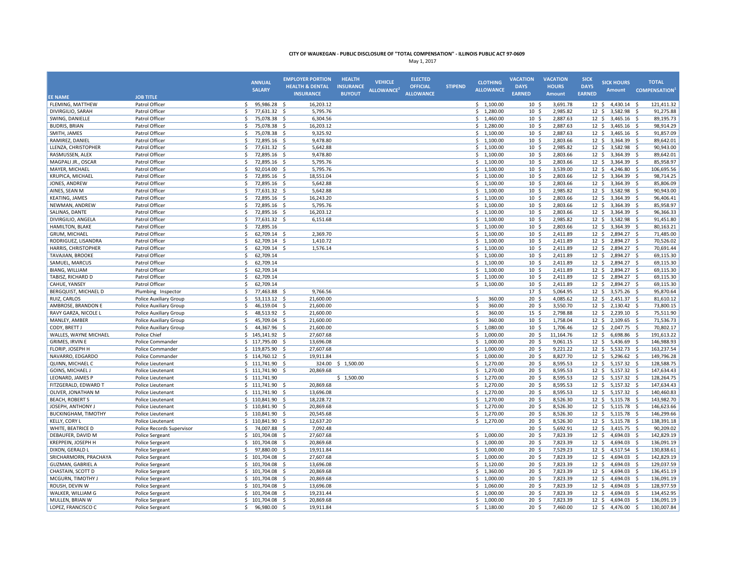|                            |                               |                      |              | <b>EMPLOYER PORTION</b>    | <b>HEALTH</b>    |                        | <b>ELECTED</b>   |                |                  | <b>VACATION</b>  | <b>VACATION</b> | <b>SICK</b>     |                         |                     |
|----------------------------|-------------------------------|----------------------|--------------|----------------------------|------------------|------------------------|------------------|----------------|------------------|------------------|-----------------|-----------------|-------------------------|---------------------|
|                            |                               | <b>ANNUAL</b>        |              | <b>HEALTH &amp; DENTAL</b> | <b>INSURANCE</b> | <b>VEHICLE</b>         | <b>OFFICIAL</b>  | <b>STIPEND</b> | <b>CLOTHING</b>  | <b>DAYS</b>      | <b>HOURS</b>    | <b>DAYS</b>     | <b>SICK HOURS</b>       | <b>TOTAL</b>        |
|                            |                               | <b>SALARY</b>        |              | <b>INSURANCE</b>           | <b>BUYOUT</b>    | ALLOWANCE <sup>2</sup> | <b>ALLOWANCE</b> |                | <b>ALLOWANCE</b> | <b>EARNED</b>    | <b>Amount</b>   | <b>EARNED</b>   | <b>Amount</b>           | <b>COMPENSATION</b> |
| <b>EE NAME</b>             | <b>JOB TITLE</b>              |                      |              |                            |                  |                        |                  |                |                  |                  |                 |                 |                         |                     |
| FLEMING, MATTHEW           | Patrol Officer                | \$.                  | 95,986.28 \$ | 16,203.12                  |                  |                        |                  |                | \$1,100.00       | 10 <sup>5</sup>  | 3,691.78        |                 | 12 \$ 4,430.14 \$       | 121,411.32          |
| DIVIRGILIO, SARAH          | Patrol Officer                | Š.                   | 77,631.32 \$ | 5,795.76                   |                  |                        |                  |                | \$1,280.00       | $10 \;$ \$       | 2,985.82        | $12 \div$       | 3,582.98                | 91,275.88<br>- S    |
| SWING, DANIELLE            | Patrol Officer                | Ś.                   | 75,078.38 \$ | 6,304.56                   |                  |                        |                  |                | \$1,460.00       | 10 <sup>5</sup>  | 2,887.63        | $12 \div$       | $3,465.16$ \$           | 89,195.73           |
| <b>BUDRIS, BRIAN</b>       | Patrol Officer                | \$                   | 75,078.38    | \$<br>16,203.12            |                  |                        |                  |                | \$1,280.00       | 10 <sup>5</sup>  | 2,887.63        | 12 <sup>5</sup> | 3,465.16                | 98,914.29<br>-\$    |
| SMITH, JAMES               | Patrol Officer                | \$                   | 75,078.38 \$ | 9,325.92                   |                  |                        |                  |                | \$1,100.00       | 10 <sup>5</sup>  | 2,887.63        | 12 <sup>5</sup> | $3,465.16$ \$           | 91,857.09           |
| RAMIREZ, DANIEL            | Patrol Officer                | \$                   | 72,895.16 \$ | 9,478.80                   |                  |                        |                  |                | \$1,100.00       | 10 <sup>5</sup>  | 2,803.66        | $12 \div$       | 3,364.39                | 89,642.01<br>- S    |
| LLENZA, CHRISTOPHER        | Patrol Officer                | Ŝ.                   | 77,631.32 \$ | 5,642.88                   |                  |                        |                  |                | \$1,100.00       | 10 <sup>5</sup>  | 2,985.82        |                 | 12 \$ 3,582.98 \$       | 90,943.00           |
| RASMUSSEN, ALEX            | Patrol Officer                | \$                   | 72,895.16 \$ | 9,478.80                   |                  |                        |                  |                | \$1,100.00       | $10 \frac{2}{3}$ | 2,803.66        | $12 \div$       | 3,364.39 \$             | 89,642.01           |
| MAGPALI JR., OSCAR         | Patrol Officer                | \$                   | 72,895.16 \$ | 5,795.76                   |                  |                        |                  |                | \$1,100.00       | 10 <sup>5</sup>  | 2,803.66        | 12 <sup>5</sup> | 3,364.39                | 85,958.97<br>- Ś    |
| MAYER, MICHAEL             | Patrol Officer                | \$                   | 92,014.00    | 5,795.76<br>- \$           |                  |                        |                  |                | \$1,100.00       | 10 <sup>5</sup>  | 3,539.00        | 12 <sup>5</sup> | 4,246.80                | 106,695.56<br>- S   |
| KRUPICA, MICHAEL           | Patrol Officer                | Ś.                   | 72,895.16 \$ | 18,551.04                  |                  |                        |                  |                | \$1,100.00       | 10 <sup>5</sup>  | 2,803.66        | $12 \cdot 5$    | 3,364.39                | 98,714.25<br>- S    |
| JONES, ANDREW              | Patrol Officer                | \$                   | 72,895.16 \$ | 5,642.88                   |                  |                        |                  |                | \$1,100.00       | 10 <sup>5</sup>  | 2,803.66        | 12 <sup>5</sup> | 3,364.39 \$             | 85,806.09           |
| AINES, SEAN M              | Patrol Officer                | $\mathsf{s}$         | 77,631.32 \$ | 5,642.88                   |                  |                        |                  |                | \$1,100.00       | 10 <sup>5</sup>  | 2,985.82        | $12 \div$       | 3,582.98                | 90,943.00<br>- S    |
| KEATING, JAMES             | Patrol Officer                | \$                   | 72,895.16 \$ | 16,243.20                  |                  |                        |                  |                | \$1,100.00       | 10 <sup>5</sup>  | 2,803.66        | $12 \div$       | 3,364.39                | 96,406.41<br>- S    |
| NEWMAN, ANDREW             | Patrol Officer                | Ś                    | 72,895.16    | 5,795.76<br>-\$            |                  |                        |                  |                | \$1,100.00       | 10 <sup>5</sup>  | 2,803.66        | 12 <sup>5</sup> | 3,364.39                | 85,958.97<br>- Ś    |
| SALINAS, DANTE             | Patrol Officer                | Ś.                   | 72,895.16 \$ | 16,203.12                  |                  |                        |                  |                | \$1,100.00       | 10 <sup>5</sup>  | 2,803.66        | $12 \div$       | 3,364.39 \$             | 96,366.33           |
| DIVIRGILIO, ANGELA         | Patrol Officer                | \$                   | 77,631.32 \$ | 6,151.68                   |                  |                        |                  |                | \$1,100.00       | 10 <sup>5</sup>  | 2,985.82        | $12 \div$       | 3,582.98                | 91,451.80<br>- \$   |
| HAMILTON, BLAKE            | Patrol Officer                | \$<br>72,895.16      |              |                            |                  |                        |                  |                | \$1,100.00       | 10 <sup>5</sup>  | 2,803.66        |                 | 12 \$ 3,364.39 \$       | 80,163.21           |
| GRUM, MICHAEL              | Patrol Officer                | \$                   | 62,709.14 \$ | 2,369.70                   |                  |                        |                  |                | \$1,100.00       | 10 <sup>5</sup>  | 2,411.89        |                 | 12 \$ 2,894.27          | 71,485.00<br>- \$   |
| RODRIGUEZ, LISANDRA        | Patrol Officer                | \$                   | 62,709.14 \$ | 1,410.72                   |                  |                        |                  |                | \$1,100.00       | 10 <sup>5</sup>  | 2,411.89        | $12 \div$       | 2,894.27 \$             | 70,526.02           |
| HARRIS, CHRISTOPHER        | Patrol Officer                | \$                   | 62,709.14 \$ | 1,576.14                   |                  |                        |                  |                | \$1,100.00       | 10 <sup>5</sup>  | 2,411.89        | 12 <sup>5</sup> | 2,894.27 \$             | 70,691.44           |
| TAVAJIAN, BROOKE           | Patrol Officer                | \$<br>62,709.14      |              |                            |                  |                        |                  |                | \$1,100.00       | 10 <sup>5</sup>  | 2,411.89        | 12 <sup>5</sup> | 2,894.27 \$             | 69,115.30           |
| SAMUEL, MARCUS             | Patrol Officer                | \$<br>62,709.14      |              |                            |                  |                        |                  |                | \$1,100.00       | 10 <sup>5</sup>  | 2,411.89        | $12 \cdot 5$    | 2,894.27 \$             | 69,115.30           |
| <b>BIANG, WILLIAM</b>      | Patrol Officer                | Ś.<br>62,709.14      |              |                            |                  |                        |                  |                | \$1,100.00       | $10 \;$ \$       | 2,411.89        | $12 \div$       | 2,894.27                | 69,115.30<br>- S    |
| TABISZ, RICHARD D          | Patrol Officer                | Ś.<br>62,709.14      |              |                            |                  |                        |                  |                | \$1,100.00       | 10 <sup>5</sup>  | 2,411.89        | 12 <sup>5</sup> | 2,894.27 \$             | 69,115.30           |
| CAHUE, YANSEY              | Patrol Officer                | \$<br>62,709.14      |              |                            |                  |                        |                  |                | \$1,100.00       | 10 <sup>5</sup>  | 2,411.89        | $12 \div$       | 2,894.27                | 69,115.30<br>-\$    |
| BERGQUIST, MICHAEL D       | Plumbing Inspector            | \$                   | 77,463.88 \$ | 9,766.56                   |                  |                        |                  |                |                  | 17 <sup>5</sup>  | 5,064.95        | $12 \div$       | 3,575.26 \$             | 95,870.64           |
| RUIZ, CARLOS               | Police Auxiliary Group        | \$                   | 53,113.12 \$ | 21,600.00                  |                  |                        |                  |                | \$<br>360.00     | 20 <sub>5</sub>  | 4,085.62        | $12 \div$       | 2,451.37                | 81,610.12<br>-\$    |
| AMBROSE, BRANDON E         | <b>Police Auxiliary Group</b> | Ś.                   | 46,159.04 \$ | 21,600.00                  |                  |                        |                  |                | Ś<br>360.00      | 20 <sup>5</sup>  | 3,550.70        |                 | 12 \$ 2,130.42 \$       | 73,800.15           |
| RAVY GARZA, NICOLE L       | Police Auxiliary Group        | Š.                   | 48,513.92    | - \$<br>21,600.00          |                  |                        |                  |                | Š.<br>360.00     | $15 \; \S$       | 2,798.88        | $12 \div$       | 2,239.10 \$             | 75,511.90           |
| MANLEY, AMBER              | Police Auxiliary Group        | Ś.                   | 45,709.04 \$ | 21,600.00                  |                  |                        |                  |                | \$<br>360.00     | 10 <sup>5</sup>  | 1,758.04        | $12 \cdot 5$    | 2,109.65 \$             | 71,536.73           |
| CODY, BRETT J              | <b>Police Auxiliary Group</b> | Ś.                   | 44,367.96 \$ | 21,600.00                  |                  |                        |                  |                | \$1,080.00       | 10 <sup>5</sup>  | 1,706.46        | 12 <sup>5</sup> | 2,047.75 \$             | 70,802.17           |
| WALLES, WAYNE MICHAEL      | Police Chief                  | Ś.<br>145,141.92 \$  |              | 27,607.68                  |                  |                        |                  |                | \$1,000.00       | 20 <sub>5</sub>  | 11,164.76       | 12 <sup>5</sup> |                         | 191,613.22<br>-\$   |
|                            |                               |                      |              | 13,696.08                  |                  |                        |                  |                | \$1,000.00       | 20 <sub>5</sub>  | 9,061.15        | 12 <sup>5</sup> | 6,698.86<br>5,436.69 \$ | 146,988.93          |
| GRIMES, IRVIN E            | Police Commander              | \$117,795.00\$<br>Š. |              |                            |                  |                        |                  |                |                  |                  |                 |                 |                         |                     |
| FLORIP, JOSEPH H           | Police Commander              | 119,875.90           |              | 27,607.68<br>.S            |                  |                        |                  |                | \$1,000.00       | 20 <sub>5</sub>  | 9,221.22        | 12 <sup>5</sup> | 5,532.73                | - Ś<br>163,237.54   |
| NAVARRO, EDGARDO           | Police Commander              | \$114,760.12\$       |              | 19,911.84                  |                  |                        |                  |                | \$1,000.00       | $20 \frac{2}{3}$ | 8,827.70        | $12 \div$       | 5,296.62                | 149,796.28<br>-\$   |
| QUINN, MICHAEL C           | Police Lieutenant             | \$111,741.90         |              | 324.00<br>-\$              | \$1,500.00       |                        |                  |                | \$1,270.00       | $20 \frac{2}{3}$ | 8,595.53        | $12 \div$       | 5,157.32                | 128,588.75<br>-\$   |
| GOINS, MICHAEL J           | Police Lieutenant             | \$111,741.90         |              | 20,869.68<br>- \$          |                  |                        |                  |                | \$1,270.00       | 20 <sub>5</sub>  | 8,595.53        | $12 \div$       | $5,157.32$ \$           | 147,634.43          |
| LEONARD, JAMES P           | Police Lieutenant             | \$111,741.90         |              |                            | \$1,500.00       |                        |                  |                | \$1,270.00       | $20 \frac{2}{3}$ | 8,595.53        | $12 \div$       | $5,157.32$ \$           | 128,264.75          |
| FITZGERALD, EDWARD T       | Police Lieutenant             | \$111,741.90         |              | 20,869.68<br>-S            |                  |                        |                  |                | \$1,270.00       | 20 <sup>5</sup>  | 8,595.53        | $12 \cdot 5$    | 5,157.32 \$             | 147,634.43          |
| OLIVER, JONATHAN M         | Police Lieutenant             | \$111,741.90         |              | 13,696.08<br>.S            |                  |                        |                  |                | \$1,270.00       | 20 <sup>5</sup>  | 8,595.53        | $12 \cdot 5$    | 5,157.32 \$             | 140,460.83          |
| <b>BEACH, ROBERTS</b>      | Police Lieutenant             | $$110,841.90$ \$     |              | 18,228.72                  |                  |                        |                  |                | \$1,270.00       | $20 \frac{2}{3}$ | 8,526.30        |                 | 12 \$ 5,115.78 \$       | 143,982.70          |
| JOSEPH, ANTHONY.           | Police Lieutenant             | $$110,841.90$ \$     |              | 20,869.68                  |                  |                        |                  |                | \$1,270.00       | 20 <sub>5</sub>  | 8,526.30        | $12 \cdot 5$    | $5,115.78$ \$           | 146,623.66          |
| <b>BUCKINGHAM, TIMOTHY</b> | Police Lieutenant             | Ś.<br>110,841.90 \$  |              | 20,545.68                  |                  |                        |                  |                | \$1,270.00       | 20 <sub>5</sub>  | 8,526.30        | $12 \cdot 5$    | 5,115.78 \$             | 146,299.66          |
| <b>KELLY, CORY I</b>       | Police Lieutenant             | \$110,841.90         |              | 12,637.20<br>-S            |                  |                        |                  |                | \$1,270.00       | 20 <sub>5</sub>  | 8,526.30        | $12 \cdot 5$    | 5,115.78 \$             | 138,391.18          |
| WHITE, BEATRICE D          | Police Records Supervisor     | Ś.<br>74,007.88      |              | 7,092.48<br>-\$            |                  |                        |                  |                |                  | 20 <sup>5</sup>  | 5,692.91        | $12 \cdot 5$    | 3,415.75                | 90,209.02<br>- S    |
| DEBAUFER, DAVID M          | Police Sergeant               | \$101,704.08\$       |              | 27,607.68                  |                  |                        |                  |                | \$1,000.00       | $20 \frac{2}{3}$ | 7,823.39        | $12 \div$       | 4,694.03 \$             | 142,829.19          |
| KREPPEIN, JOSEPH H         | <b>Police Sergeant</b>        | 101,704.08 \$<br>\$  |              | 20,869.68                  |                  |                        |                  |                | \$1,000.00       | $20 \frac{2}{3}$ | 7,823.39        | $12 \div$       | 4,694.03                | 136,091.19<br>-\$   |
| DIXON, GERALD L            | Police Sergeant               | \$                   | 97,880.00 \$ | 19,911.84                  |                  |                        |                  |                | \$1,000.00       | 20 <sub>5</sub>  | 7,529.23        | 12 <sup>5</sup> | 4,517.54                | - Ś<br>130,838.61   |
| SRICHARMORN, PRACHAYA      | Police Sergeant               | \$<br>101,704.08     |              | 27,607.68<br>- \$          |                  |                        |                  |                | \$1,000.00       | 20 <sub>5</sub>  | 7,823.39        | 12 <sup>5</sup> | 4,694.03                | 142,829.19<br>- Ś   |
| GUZMAN, GABRIEL A          | Police Sergeant               | 101,704.08 \$<br>\$  |              | 13,696.08                  |                  |                        |                  |                | \$1,120.00       | 20 <sub>5</sub>  | 7,823.39        | $12 \cdot 5$    | 4,694.03 \$             | 129,037.59          |
| CHASTAIN, SCOTT D          | <b>Police Sergeant</b>        | \$101,704.08\$       |              | 20,869.68                  |                  |                        |                  |                | \$1,360.00       | 20 <sub>5</sub>  | 7,823.39        | 12 <sup>5</sup> | 4,694.03 \$             | 136,451.19          |
| MCGURN, TIMOTHY J          | <b>Police Sergeant</b>        | 101,704.08<br>\$     |              | 20,869.68<br>-\$           |                  |                        |                  |                | \$1,000.00       | 20 <sup>5</sup>  | 7,823.39        | 12 <sup>5</sup> | 4,694.03                | 136,091.19<br>- S   |
| ROUSH, DEVIN W             | <b>Police Sergeant</b>        | \$101,704.08         |              | 13,696.08<br>- \$          |                  |                        |                  |                | \$1,060.00       | 20 <sup>5</sup>  | 7,823.39        | 12 <sup>5</sup> | 4,694.03                | - Ś<br>128,977.59   |
| WALKER, WILLIAM G          | Police Sergeant               | Ś.<br>101,704.08     |              | - \$<br>19,231.44          |                  |                        |                  |                | \$1,000.00       | 20 <sub>5</sub>  | 7,823.39        | 12 <sup>5</sup> | 4,694.03                | 134,452.95<br>- Ś   |
| MULLEN, BRIAN W            | Police Sergeant               | \$101,704.08\$       |              | 20,869.68                  |                  |                        |                  |                | \$1,000.00       | 20 <sub>5</sub>  | 7,823.39        |                 | 12 \$ 4,694.03 \$       | 136,091.19          |
| LOPEZ, FRANCISCO C         | <b>Police Sergeant</b>        | Ś.<br>96,980.00      |              | 19,911.84<br>.S            |                  |                        |                  |                | \$1,180.00       | 20 <sup>5</sup>  | 7,460.00        |                 | 12 \$ 4,476.00          | 130,007.84<br>-\$   |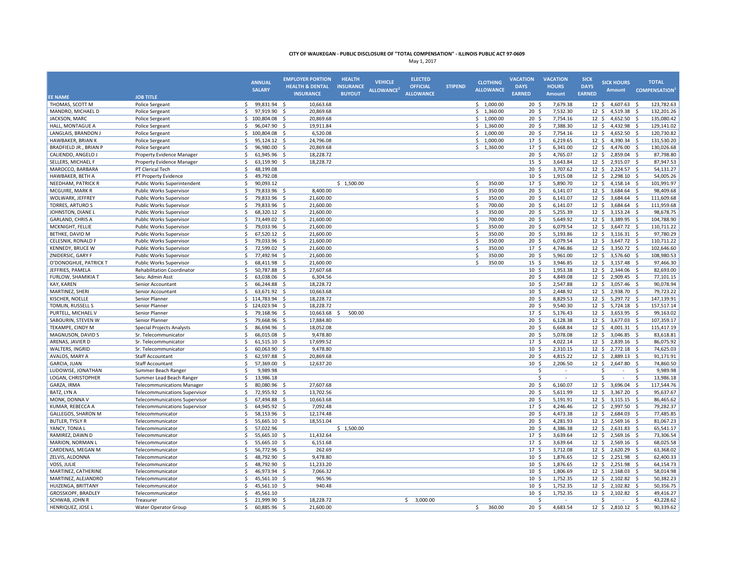|                           |                                      | <b>ANNUAL</b>                                   | <b>EMPLOYER PORTION</b><br><b>HEALTH &amp; DENTAL</b> | <b>HEALTH</b><br><b>INSURANCE</b> | <b>VEHICLE</b>         | <b>ELECTED</b><br><b>OFFICIAL</b> | <b>STIPEND</b> | <b>CLOTHING</b>    | <b>VACATION</b><br><b>DAYS</b> | <b>VACATION</b><br><b>HOURS</b> | <b>SICK</b><br><b>DAYS</b> | <b>SICK HOURS</b>              | <b>TOTAL</b>                    |
|---------------------------|--------------------------------------|-------------------------------------------------|-------------------------------------------------------|-----------------------------------|------------------------|-----------------------------------|----------------|--------------------|--------------------------------|---------------------------------|----------------------------|--------------------------------|---------------------------------|
|                           |                                      | <b>SALARY</b>                                   | <b>INSURANCE</b>                                      | <b>BUYOUT</b>                     | ALLOWANCE <sup>2</sup> | <b>ALLOWANCE</b>                  |                | <b>ALLOWANCE</b>   | <b>EARNED</b>                  | <b>Amount</b>                   | <b>EARNED</b>              | <b>Amount</b>                  | <b>COMPENSATION</b>             |
| <b>EE NAME</b>            | <b>JOB TITLE</b>                     |                                                 |                                                       |                                   |                        |                                   |                |                    |                                |                                 |                            |                                |                                 |
| THOMAS, SCOTT M           | Police Sergeant                      | \$<br>99,831.94 \$<br>$\mathsf{s}$<br>97,919.90 | 10,663.68                                             |                                   |                        |                                   |                | \$1,000.00         | 20 <sup>5</sup>                | 7,679.38                        |                            | $12 \quad$<br>4,607.63         | 123,782.63<br>- Ś<br>132,201.26 |
| MANDRO, MICHAEL D         | Police Sergeant                      |                                                 | $\zeta$<br>20,869.68                                  |                                   |                        |                                   |                | \$1,360.00         | $20 \frac{2}{3}$               | 7,532.30                        | $12 \; \text{S}$           | 4,519.38                       | -\$                             |
| JACKSON, MARC             | Police Sergeant                      | \$<br>100,804.08                                | - \$<br>20,869.68                                     |                                   |                        |                                   |                | \$1,000.00         | $20 \frac{2}{3}$               | 7,754.16                        | $12 \div$                  | $4,652.50$ \$                  | 135,080.42                      |
| HALL, MONTAGUE A          | Police Sergeant                      | \$<br>96,047.90                                 | 19,911.84<br>-\$                                      |                                   |                        |                                   |                | \$1,360.00         | $20 \frac{2}{3}$               | 7,388.30                        | 12 <sup>5</sup>            | 4,432.98                       | 129,141.02<br>- \$              |
| LANGLAIS, BRANDON J       | Police Sergeant                      | \$<br>100,804.08                                | - Ś<br>6,520.08                                       |                                   |                        |                                   |                | \$1,000.00         | 20 <sup>5</sup>                | 7,754.16                        |                            | $12 \quad$<br>4,652.50 \$      | 120,730.82                      |
| HAWBAKER, BRIAN K         | <b>Police Sergeant</b>               | 95,124.12 \$<br>Ŝ.                              | 24,796.08                                             |                                   |                        |                                   |                | \$1,000.00         | 17S                            | 6,219.65                        | 12 <sup>5</sup>            | 4,390.34                       | 131.530.20<br>- Ś               |
| BRADFIELD JR., BRIAN P    | Police Sergeant                      | \$<br>96,980.00                                 | 20,869.68<br>-\$                                      |                                   |                        |                                   |                | \$1,360.00         | 17 <sup>5</sup>                | 6,341.00                        | 12 <sup>5</sup>            | 4,476.00                       | 130,026.68<br>- \$              |
| CALIENDO, ANGELO J        | Property Evidence Manager            | \$<br>61,945.96 \$                              | 18,228.72                                             |                                   |                        |                                   |                |                    | 20 <sub>5</sub>                | 4,765.07                        | 12 <sup>5</sup>            | 2,859.04 \$                    | 87,798.80                       |
| SELLERS, MICHAEL F        | Property Evidence Manager            | \$<br>63,159.90                                 | <b>S</b><br>18,228.72                                 |                                   |                        |                                   |                |                    | 15 <sup>5</sup>                | 3,643.84                        | 12 <sup>5</sup>            | 2,915.07                       | 87,947.53<br>- \$               |
| MAROCCO, BARBARA          | PT Clerical Tech                     | \$<br>48,199.08                                 |                                                       |                                   |                        |                                   |                |                    | 20 <sub>5</sub>                | 3,707.62                        |                            | $12 \quad$<br>2,224.57 \$      | 54,131.27                       |
| HAWBAKER, BETH A          | PT Property Evidence                 | Ś<br>49,792.08                                  |                                                       |                                   |                        |                                   |                |                    | 10 <sup>5</sup>                | 1,915.08                        | $12 \cdot 5$               | 2,298.10                       | 54,005.26<br>-\$                |
| NEEDHAM, PATRICK R        | Public Works Superintendent          | \$<br>90,093.12                                 |                                                       | \$1,500.00                        |                        |                                   |                | 350.00<br>Ŝ.       | 17S                            | 5,890.70                        | $12 \div$                  | $4,158.14$ \$                  | 101,991.97                      |
| MCGUIRE, MARK R           | Public Works Supervisor              | \$<br>79,833.96 \$                              | 8,400.00                                              |                                   |                        |                                   |                | \$<br>350.00       | $20 \frac{2}{3}$               | 6,141.07                        | $12 \div$                  | 3,684.64                       | 98,409.68<br>- \$               |
| WOLWARK, JEFFREY          | Public Works Supervisor              | \$<br>79,833.96 \$                              | 21,600.00                                             |                                   |                        |                                   |                | \$<br>350.00       | 20 <sub>5</sub>                | 6,141.07                        | 12 <sup>5</sup>            | 3,684.64                       | 111,609.68<br>S.                |
| <b>TORRES, ARTURO S</b>   | Public Works Supervisor              | \$<br>79,833.96                                 | 21,600.00<br>- \$                                     |                                   |                        |                                   |                | $\zeta$<br>700.00  | 20 <sup>5</sup>                | 6,141.07                        | 12 <sup>5</sup>            | 3,684.64                       | 111,959.68<br>-\$               |
| JOHNSTON, DIANE L         | <b>Public Works Supervisor</b>       | \$<br>68,320.12 \$                              | 21,600.00                                             |                                   |                        |                                   |                | 350.00<br>Ŝ.       | 20 <sub>5</sub>                | 5,255.39                        |                            | 12S<br>$3,153.24$ \$           | 98,678.75                       |
| <b>GARLAND, CHRIS A</b>   | Public Works Supervisor              | \$<br>73.449.02 \$                              | 21,600.00                                             |                                   |                        |                                   |                | 700.00<br>Ŝ.       | 20 <sup>5</sup>                | 5,649.92                        | 12 <sup>5</sup>            | 3,389.95 \$                    | 104,788.90                      |
| MCKNIGHT, FELLIE          | <b>Public Works Supervisor</b>       | \$<br>79,033.96 \$                              | 21,600.00                                             |                                   |                        |                                   |                | \$<br>350.00       | 20 <sup>5</sup>                | 6,079.54                        |                            | $12 \quad$<br>3,647.72 \$      | 110,711.22                      |
| BETHKE, DAVID M           | Public Works Supervisor              | \$<br>67,520.12 \$                              | 21,600.00                                             |                                   |                        |                                   |                | Ŝ.<br>350.00       | 20 <sup>5</sup>                | 5,193.86                        |                            | $12 \quad$<br>$3,116.31$ \$    | 97,780.29                       |
| CELESNIK, RONALD F        | <b>Public Works Supervisor</b>       | $\mathsf{\hat{S}}$<br>79,033.96                 | Ŝ.<br>21,600.00                                       |                                   |                        |                                   |                | <b>S</b><br>350.00 | 20 <sub>5</sub>                | 6,079.54                        | 12 <sup>5</sup>            | 3,647.72                       | 110,711.22<br>- Ś               |
| <b>KENNEDY, BRUCE W</b>   | Public Works Supervisor              | 72,599.02<br>\$                                 | 21,600.00<br>-\$                                      |                                   |                        |                                   |                | 350.00<br>Ŝ.       | 17 \$                          | 4,746.86                        | $12 \cdot 5$               | 3,350.72 \$                    | 102,646.60                      |
| ZNIDERSIC, GARY F         | <b>Public Works Supervisor</b>       | \$<br>77,492.94                                 | - \$<br>21,600.00                                     |                                   |                        |                                   |                | 350.00<br><b>S</b> | 20 <sup>5</sup>                | 5,961.00                        | 12 <sup>5</sup>            | 3,576.60 \$                    | 108,980.53                      |
| O'DONOGHUE, PATRICK T     | Public Works Supervisor              | \$<br>68,411.98 \$                              | 21,600.00                                             |                                   |                        |                                   |                | \$<br>350.00       | 15 <sup>5</sup>                | 3,946.85                        |                            | $12 \div$<br>3,157.48 \$       | 97,466.30                       |
| JEFFRIES, PAMELA          | <b>Rehabilitation Coordinator</b>    | \$<br>50,787.88                                 | 27,607.68<br>-\$                                      |                                   |                        |                                   |                |                    | 10 <sup>5</sup>                | 1,953.38                        |                            | 2,344.06<br>$12 \div$          | 82,693.00<br>- \$               |
| FURLOW, SHAMIKIA T        | Seiu: Admin Asst                     | \$<br>63,038.06 \$                              | 6,304.56                                              |                                   |                        |                                   |                |                    | 20 <sub>5</sub>                | 4,849.08                        |                            | 12 <sup>5</sup><br>2,909.45 \$ | 77,101.15                       |
| KAY, KAREN                | Senior Accountant                    | 66,244.88<br>\$                                 | 18,228.72<br>- Ś                                      |                                   |                        |                                   |                |                    | 10 <sup>5</sup>                | 2,547.88                        |                            | $12 \quad$<br>3,057.46 \$      | 90,078.94                       |
| MARTINEZ, SHERI           | Senior Accountant                    | \$<br>63,671.92 \$                              | 10,663.68                                             |                                   |                        |                                   |                |                    | 10 <sup>5</sup>                | 2,448.92                        |                            | 12 <sup>5</sup><br>2,938.70 \$ | 79.723.22                       |
| KISCHER, NOELLE           | Senior Planner                       | \$114,783.94                                    | 18,228.72<br>- \$                                     |                                   |                        |                                   |                |                    | 20 <sup>5</sup>                | 8,829.53                        |                            | $12 \quad$<br>5,297.72 \$      | 147,139.91                      |
| TOMLIN, RUSSELL S         | Senior Planner                       | \$<br>124,023.94                                | 18,228.72<br>-\$                                      |                                   |                        |                                   |                |                    | 20 <sup>5</sup>                | 9,540.30                        |                            | $12 \cdot 5$<br>5,724.18 \$    | 157,517.14                      |
| PURTELL, MICHAEL V        | Senior Planner                       | Ś.<br>79,168.96                                 | -Ś<br>10,663.68                                       | 500.00<br>Ŝ                       |                        |                                   |                |                    | 17 <sup>5</sup>                | 5,176.43                        | 12 <sup>5</sup>            | 3,653.95 \$                    | 99,163.02                       |
| SABOURIN, STEVEN W        | Senior Planner                       | \$<br>79,668.96                                 | -Ś<br>17,884.80                                       |                                   |                        |                                   |                |                    | 20 <sub>5</sub>                | 6,128.38                        | 12 <sup>5</sup>            | 3,677.03                       | 107,359.17<br>- \$              |
| TEKAMPE, CINDY M          | <b>Special Projects Analysts</b>     | \$<br>86,694.96 \$                              | 18,052.08                                             |                                   |                        |                                   |                |                    | 20 <sup>5</sup>                | 6,668.84                        | 12 <sup>5</sup>            | $4,001.31$ \$                  | 115,417.19                      |
| MAGNUSON, DAVID S         | Sr. Telecommunicator                 | \$<br>66,015.08                                 | \$<br>9,478.80                                        |                                   |                        |                                   |                |                    | $20 \frac{2}{3}$               | 5,078.08                        | $12 \; \text{S}$           | 3,046.85                       | 83,618.81<br>-\$                |
| ARENAS, JAVIER D          | Sr. Telecommunicator                 | \$<br>61,515.10 \$                              | 17,699.52                                             |                                   |                        |                                   |                |                    | 17 <sup>5</sup>                | 4,022.14                        |                            | $12 \div$<br>2,839.16 \$       | 86,075.92                       |
| WALTERS, INGRID           | Sr. Telecommunicator                 | \$<br>60,063.90                                 | 9,478.80<br>-\$                                       |                                   |                        |                                   |                |                    | 10 <sup>5</sup>                | 2,310.15                        |                            | 12 <sup>5</sup><br>2,772.18    | 74,625.03<br>- \$               |
| AVALOS, MARY A            | <b>Staff Accountant</b>              | \$<br>62,597.88                                 | 20,869.68<br>- \$                                     |                                   |                        |                                   |                |                    | 20 <sup>5</sup>                | 4,815.22                        |                            | 12 \$ 2,889.13 \$              | 91,171.91                       |
| <b>GARCIA, JUAN</b>       | <b>Staff Accountant</b>              | 57,369.00<br>\$                                 | 12,637.20<br>Ŝ.                                       |                                   |                        |                                   |                |                    | 10 <sup>5</sup>                | 2,206.50                        |                            | $12 \quad$<br>2,647.80 \$      | 74,860.50                       |
| LUDOWISE, JONATHAN        | Summer Beach Ranger                  | Š.<br>9,989.98                                  |                                                       |                                   |                        |                                   |                |                    | Š.                             |                                 |                            | .S<br>$\sim$                   | -Ś<br>9,989.98                  |
| LOGAN, CHRISTOPHER        | Summer Lead Beach Ranger             | \$<br>13,986.18                                 |                                                       |                                   |                        |                                   |                |                    | \$.                            |                                 |                            | Ś<br>$\overline{\phantom{a}}$  | -S<br>13,986.18                 |
| GARZA, IRMA               | <b>Telecommunications Manager</b>    | \$<br>80,080.96                                 | 27,607.68<br>-Ś                                       |                                   |                        |                                   |                |                    | 20 <sup>5</sup>                | 6,160.07                        | 12 <sup>5</sup>            | 3,696.04                       | 117,544.76<br>- Ś               |
| BATZ, LYN A               | <b>Telecommunications Supervisor</b> | \$<br>72,955.92                                 | 13,702.56<br>-\$                                      |                                   |                        |                                   |                |                    | 20 <sub>5</sub>                | 5,611.99                        |                            | $12 \quad$<br>3,367.20         | S.<br>95,637.67                 |
| MONK, DONNA V             | <b>Telecommunications Supervisor</b> | Ś<br>67,494.88                                  | 10,663.68<br>-\$                                      |                                   |                        |                                   |                |                    | 20 <sup>5</sup>                | 5,191.91                        | $12 \cdot 5$               | 3,115.15                       | 86,465.62<br>-\$                |
| KUMAR, REBECCA A          | <b>Telecommunications Supervisor</b> | Ś.<br>64,945.92                                 | - Ś<br>7,092.48                                       |                                   |                        |                                   |                |                    | 17S                            | 4,246.46                        | $12 \div$                  | 2,997.50 \$                    | 79,282.37                       |
| <b>GALLEGOS, SHARON M</b> | Telecommunicator                     | \$<br>58,153.96 \$                              | 12,174.48                                             |                                   |                        |                                   |                |                    | $20 \frac{2}{3}$               | 4,473.38                        | $12 \div$                  | 2,684.03                       | 77,485.85<br>- \$               |
| <b>BUTLER, TYSLY R</b>    | Telecommunicator                     | \$<br>55,665.10 \$                              | 18,551.04                                             |                                   |                        |                                   |                |                    | 20 <sub>5</sub>                | 4,281.93                        |                            | $12 \div$<br>2,569.16 \$       | 81,067.23                       |
| YANCY, TONIA L            | Telecommunicator                     | \$<br>57,022.96                                 |                                                       | \$1,500.00                        |                        |                                   |                |                    | 20 <sup>5</sup>                | 4,386.38                        |                            | 12 \$ 2,631.83                 | 65,541.17<br>- \$               |
| RAMIREZ, DAWN D           |                                      | 55,665.10 \$                                    |                                                       |                                   |                        |                                   |                |                    | 17S                            | 3,639.64                        |                            | 12 \$ 2,569.16 \$              | 73,306.54                       |
| <b>MARION, NORMAN L</b>   | Telecommunicator                     | \$                                              | 11,432.64<br>6.151.68                                 |                                   |                        |                                   |                |                    | 17S                            |                                 |                            | 12 <sup>5</sup>                |                                 |
|                           | Telecommunicator                     | \$<br>55,665.10                                 | - S                                                   |                                   |                        |                                   |                |                    |                                | 3,639.64                        |                            | 2,569.16 \$                    | 68,025.58                       |
| CARDENAS, MEGAN M         | Telecommunicator                     | \$<br>56,772.96 \$                              | 262.69                                                |                                   |                        |                                   |                |                    | 17 <sup>5</sup>                | 3,712.08                        |                            | $12 \quad$<br>2,620.29 \$      | 63,368.02                       |
| ZELVIS, ALDONNA           | Telecommunicator                     | \$<br>48,792.90<br>Ś                            | -Ś<br>9,478.80                                        |                                   |                        |                                   |                |                    | 10 <sup>5</sup>                | 1,876.65                        | 12 <sup>5</sup>            | 2,251.98                       | 62,400.33<br>- \$               |
| VOSS, JULIE               | Telecommunicator                     | 48,792.90                                       | -\$<br>11,233.20                                      |                                   |                        |                                   |                |                    | 10 <sup>5</sup>                | 1,876.65                        | 12 <sup>5</sup>            | 2,251.98                       | 64,154.73<br>-\$                |
| MARTINEZ, CATHERINE       | Telecommunicator                     | 46,973.94 \$<br>Ŝ.                              | 7,066.32                                              |                                   |                        |                                   |                |                    | 10 <sup>5</sup>                | 1,806.69                        |                            | 2,168.03 \$<br>$12 \cdot 5$    | 58,014.98                       |
| MARTINEZ, ALEJANDRO       | Telecommunicator                     | \$<br>45,561.10                                 | 965.96<br>-\$                                         |                                   |                        |                                   |                |                    | 10 <sup>5</sup>                | 1,752.35                        |                            | $12 \quad$<br>2,102.82         | 50,382.23<br>- \$               |
| HUIZENGA, BRITTANY        | Telecommunicator                     | \$<br>45,561.10 \$                              | 940.48                                                |                                   |                        |                                   |                |                    | 10 <sup>5</sup>                | 1,752.35                        |                            | $12 \div$<br>2,102.82 \$       | 50,356.75                       |
| GROSSKOPF, BRADLEY        | Telecommunicator                     | \$<br>45,561.10                                 |                                                       |                                   |                        |                                   |                |                    | 10 <sup>5</sup>                | 1,752.35                        |                            | 2,102.82<br>$12 \div$          | 49,416.27<br>- \$               |
| SCHWAB, JOHN R            | Treasurer                            | 21,999.90<br>Ś.                                 | 18,228.72<br>- Ś                                      |                                   |                        | 3,000.00<br>\$                    |                |                    | Ś                              |                                 |                            | Ś                              | 43,228.62<br>Ś                  |
| HENRIQUEZ, JOSE L         | <b>Water Operator Group</b>          | Ś.<br>60.885.96 \$                              | 21.600.00                                             |                                   |                        |                                   |                | 360.00<br>Ŝ.       | 20 <sub>5</sub>                | 4.683.54                        |                            | 12 \$ 2,810.12 \$              | 90,339.62                       |